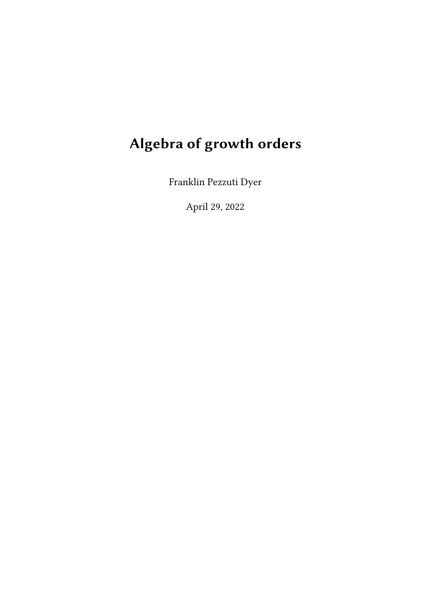# Algebra of growth orders

Franklin Pezzuti Dyer

April 29, 2022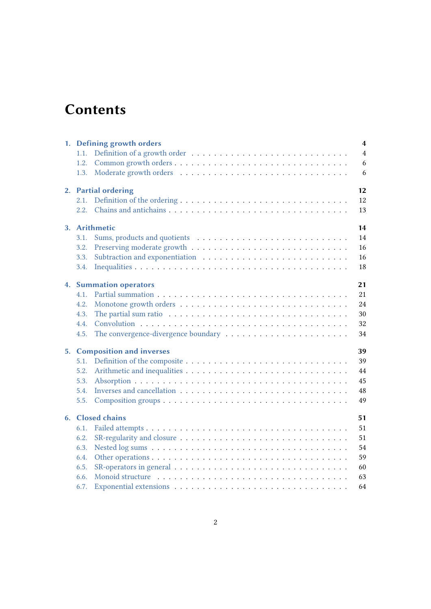## **Contents**

|  |                                     | 1. Defining growth orders                                                                     | $\overline{\mathbf{4}}$ |  |  |  |
|--|-------------------------------------|-----------------------------------------------------------------------------------------------|-------------------------|--|--|--|
|  | 1.1.                                |                                                                                               | $\overline{4}$          |  |  |  |
|  | 1.2.                                |                                                                                               | 6                       |  |  |  |
|  | 1.3.                                |                                                                                               | 6                       |  |  |  |
|  | 2. Partial ordering<br>12           |                                                                                               |                         |  |  |  |
|  | 2.1.                                |                                                                                               | 12                      |  |  |  |
|  | 2.2.                                |                                                                                               | 13                      |  |  |  |
|  | 3. Arithmetic<br>14                 |                                                                                               |                         |  |  |  |
|  | 3.1.                                |                                                                                               | 14                      |  |  |  |
|  | 3.2.                                |                                                                                               | 16                      |  |  |  |
|  | 3.3.                                |                                                                                               | 16                      |  |  |  |
|  | 3.4.                                |                                                                                               | 18                      |  |  |  |
|  | 21<br><b>4. Summation operators</b> |                                                                                               |                         |  |  |  |
|  | 4.1.                                |                                                                                               | 21                      |  |  |  |
|  | 4.2.                                |                                                                                               | 24                      |  |  |  |
|  | 4.3.                                | The partial sum ratio $\ldots \ldots \ldots \ldots \ldots \ldots \ldots \ldots \ldots \ldots$ | 30                      |  |  |  |
|  | 4.4.                                |                                                                                               | 32                      |  |  |  |
|  | 4.5.                                |                                                                                               | 34                      |  |  |  |
|  | 5. Composition and inverses<br>39   |                                                                                               |                         |  |  |  |
|  | 5.1.                                |                                                                                               | 39                      |  |  |  |
|  | 5.2.                                |                                                                                               | 44                      |  |  |  |
|  | 5.3.                                |                                                                                               | 45                      |  |  |  |
|  | 5.4.                                |                                                                                               | 48                      |  |  |  |
|  | 5.5.                                |                                                                                               | 49                      |  |  |  |
|  | 6. Closed chains<br>51              |                                                                                               |                         |  |  |  |
|  | 6.1.                                |                                                                                               | 51                      |  |  |  |
|  | 6.2.                                |                                                                                               | 51                      |  |  |  |
|  | 6.3.                                |                                                                                               | 54                      |  |  |  |
|  | 6.4.                                |                                                                                               | 59                      |  |  |  |
|  | 6.5.                                |                                                                                               | 60                      |  |  |  |
|  | 6.6.                                |                                                                                               | 63                      |  |  |  |
|  | 6.7.                                |                                                                                               | 64                      |  |  |  |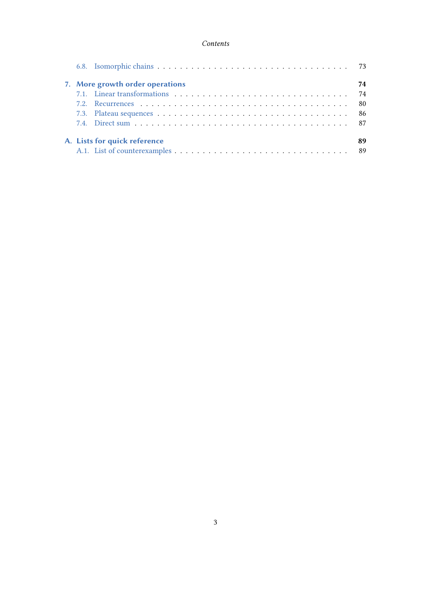#### Contents

|  | 7. More growth order operations<br>74 |  |      |  |  |
|--|---------------------------------------|--|------|--|--|
|  |                                       |  | 74   |  |  |
|  |                                       |  | - 80 |  |  |
|  |                                       |  |      |  |  |
|  |                                       |  |      |  |  |
|  | A. Lists for quick reference<br>89    |  |      |  |  |
|  |                                       |  |      |  |  |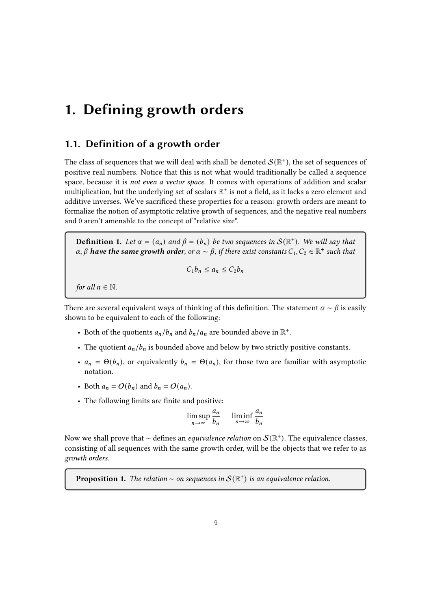## <span id="page-3-0"></span>1. Defining growth orders

## <span id="page-3-1"></span>1.1. Definition of a growth order

The class of sequences that we will deal with shall be denoted  $\mathcal{S}(\mathbb{R}^+)$ , the set of sequences of positive real numbers. Notice that this is not what would traditionally be called a sequence space, because it is not even a vector space. It comes with operations of addition and scalar multiplication, but the underlying set of scalars  $\mathbb{R}^+$  is not a field, as it lacks a zero element and additive inverses. We've sacrificed these properties for a reason: growth orders are meant to formalize the notion of asymptotic relative growth of sequences, and the negative real numbers and 0 aren't amenable to the concept of "relative size".

**Definition 1.** Let  $\alpha = (a_n)$  and  $\beta = (b_n)$  be two sequences in  $\mathcal{S}(\mathbb{R}^+)$ . We will say that  $\alpha, \beta$  have the same growth order, or  $\alpha \sim \beta$ , if there exist constants  $C_1, C_2 \in \mathbb{R}^+$  such that

$$
C_1b_n\leq a_n\leq C_2b_n
$$

for all  $n \in \mathbb{N}$ .

There are several equivalent ways of thinking of this definition. The statement  $\alpha \sim \beta$  is easily shown to be equivalent to each of the following:

- Both of the quotients  $a_n/b_n$  and  $b_n/a_n$  are bounded above in  $\mathbb{R}^+$ .
- The quotient  $a_n/b_n$  is bounded above and below by two strictly positive constants.
- $a_n = \Theta(b_n)$ , or equivalently  $b_n = \Theta(a_n)$ , for those two are familiar with asymptotic notation.
- Both  $a_n = O(b_n)$  and  $b_n = O(a_n)$ .
- The following limits are finite and positive:

$$
\limsup_{n \to \infty} \frac{a_n}{b_n} \quad \liminf_{n \to \infty} \frac{a_n}{b_n}
$$

Now we shall prove that ∼ defines an *equivalence relation* on  $\mathcal{S}(\mathbb{R}^+)$ . The equivalence classes, consisting of all sequences with the same growth order, will be the objects that we refer to as growth orders.

**Proposition 1.** The relation ~ on sequences in  $S(\mathbb{R}^+)$  is an equivalence relation.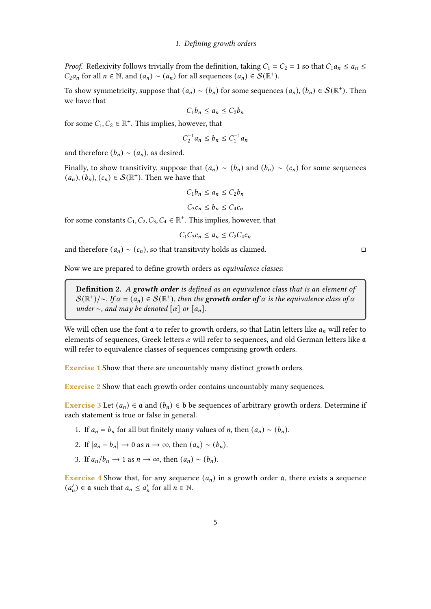*Proof.* Reflexivity follows trivially from the definition, taking  $C_1 = C_2 = 1$  so that  $C_1 a_n \le a_n \le$  $C_2 a_n$  for all  $n \in \mathbb{N}$ , and  $(a_n) \sim (a_n)$  for all sequences  $(a_n) \in \mathcal{S}(\mathbb{R}^+)$ .

To show symmetricity, suppose that  $(a_n) \sim (b_n)$  for some sequences  $(a_n)$ ,  $(b_n) \in \mathcal{S}(\mathbb{R}^+)$ . Then we have that

 $C_1 b_n \leq a_n \leq C_2 b_n$ 

for some  $C_1, C_2 \in \mathbb{R}^+$ . This implies, however, that

$$
C_2^{-1}a_n \le b_n \le C_1^{-1}a_n
$$

and therefore  $(b_n) \sim (a_n)$ , as desired.

Finally, to show transitivity, suppose that  $(a_n) \sim (b_n)$  and  $(b_n) \sim (c_n)$  for some sequences  $(a_n), (b_n), (c_n) \in \mathcal{S}(\mathbb{R}^+)$ . Then we have that

$$
C_1 b_n \le a_n \le C_2 b_n
$$
  

$$
C_3 c_n \le b_n \le C_4 c_n
$$

for some constants  $C_1, C_2, C_3, C_4 \in \mathbb{R}^+$ . This implies, however, that

$$
C_1 C_3 c_n \le a_n \le C_2 C_4 c_n
$$

and therefore  $(a_n) \sim (c_n)$ , so that transitivity holds as claimed. □

Now we are prepared to define growth orders as equivalence classes:

**Definition 2.** A growth order is defined as an equivalence class that is an element of  $\mathcal{S}(\mathbb{R}^+)$ /∼. If  $\alpha = (a_n) \in \mathcal{S}(\mathbb{R}^+)$ , then the growth order of  $\alpha$  is the equivalence class of  $\alpha$ under ∼, and may be denoted  $[\alpha]$  or  $[a_n]$ .

We will often use the font  $\mathfrak a$  to refer to growth orders, so that Latin letters like  $a_n$  will refer to elements of sequences, Greek letters  $\alpha$  will refer to sequences, and old German letters like  $\mathfrak a$ will refer to equivalence classes of sequences comprising growth orders.

Exercise 1 Show that there are uncountably many distinct growth orders.

Exercise 2 Show that each growth order contains uncountably many sequences.

**Exercise 3** Let  $(a_n) \in \mathfrak{a}$  and  $(b_n) \in \mathfrak{b}$  be sequences of arbitrary growth orders. Determine if each statement is true or false in general.

- 1. If  $a_n = b_n$  for all but finitely many values of *n*, then  $(a_n) \sim (b_n)$ .
- 2. If  $|a_n b_n| \to 0$  as  $n \to \infty$ , then  $(a_n) \sim (b_n)$ .
- 3. If  $a_n/b_n \to 1$  as  $n \to \infty$ , then  $(a_n) \sim (b_n)$ .

**Exercise 4** Show that, for any sequence  $(a_n)$  in a growth order  $a$ , there exists a sequence  $(a'_n) \in \mathfrak{a}$  such that  $a_n \leq a'_n$  for all  $n \in \mathbb{N}$ .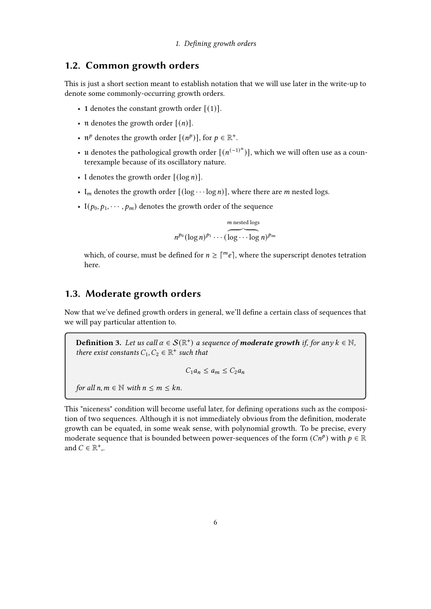## <span id="page-5-0"></span>1.2. Common growth orders

This is just a short section meant to establish notation that we will use later in the write-up to denote some commonly-occurring growth orders.

- 1 denotes the constant growth order  $[(1)]$ .
- **n** denotes the growth order  $[(n)]$ .
- $\mathfrak{n}^p$  denotes the growth order  $[(n^p)]$ , for  $p \in \mathbb{R}^+$ .
- u denotes the pathological growth order  $[(n^{(-1)^n})]$ , which we will often use as a counterexample because of its oscillatory nature.
- I denotes the growth order  $[(\log n)]$ .
- $I_m$  denotes the growth order  $[(\log \cdots \log n)]$ , where there are *m* nested logs.
- $I(p_0, p_1, \dots, p_m)$  denotes the growth order of the sequence

 $n^{p_0}(\log n)^{p_1}\cdots(\widehat{\log \cdots \log n})^{p_m}$  $m$  nested logs

which, of course, must be defined for  $n \geq \lceil m_e \rceil$ , where the superscript denotes tetration here.

## <span id="page-5-1"></span>1.3. Moderate growth orders

Now that we've defined growth orders in general, we'll define a certain class of sequences that we will pay particular attention to.

**Definition 3.** Let us call  $\alpha \in \mathcal{S}(\mathbb{R}^+)$  a sequence of **moderate growth** if, for any  $k \in \mathbb{N}$ , there exist constants  $C_1, C_2 \in \mathbb{R}^+$  such that

$$
C_1 a_n \le a_m \le C_2 a_n
$$

for all  $n, m \in \mathbb{N}$  with  $n \leq m \leq kn$ .

This "niceness" condition will become useful later, for defining operations such as the composition of two sequences. Although it is not immediately obvious from the definition, moderate growth can be equated, in some weak sense, with polynomial growth. To be precise, every moderate sequence that is bounded between power-sequences of the form  $(Cn^p)$  with  $p \in \mathbb{R}$ and  $C \in \mathbb{R}^+$ ,.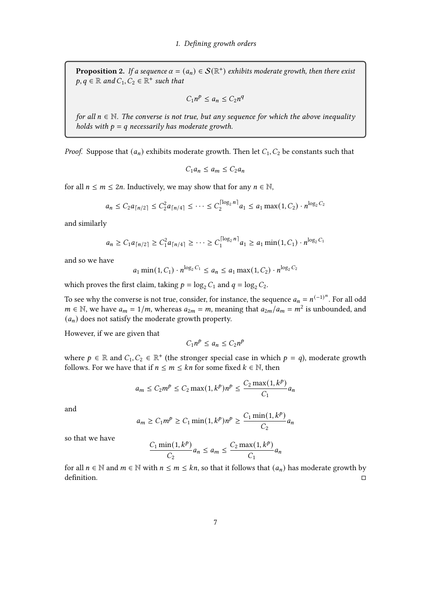**Proposition 2.** If a sequence  $\alpha = (a_n) \in \mathcal{S}(\mathbb{R}^+)$  exhibits moderate growth, then there exist  $p, q \in \mathbb{R}$  and  $C_1, C_2 \in \mathbb{R}^+$  such that

$$
C_1 n^p \le a_n \le C_2 n^q
$$

for all  $n \in \mathbb{N}$ . The converse is not true, but any sequence for which the above inequality holds with  $p = q$  necessarily has moderate growth.

*Proof.* Suppose that  $(a_n)$  exhibits moderate growth. Then let  $C_1, C_2$  be constants such that

$$
C_1 a_n \le a_m \le C_2 a_n
$$

for all  $n \le m \le 2n$ . Inductively, we may show that for any  $n \in \mathbb{N}$ ,

$$
a_n \leq C_2 a_{\lceil n/2 \rceil} \leq C_2^2 a_{\lceil n/4 \rceil} \leq \cdots \leq C_2^{\lceil \log_2 n \rceil} a_1 \leq a_1 \max(1, C_2) \cdot n^{\log_2 C_2}
$$

and similarly

$$
a_n \geq C_1 a_{\lceil n/2 \rceil} \geq C_1^2 a_{\lceil n/4 \rceil} \geq \cdots \geq C_1^{\lceil \log_2 n \rceil} a_1 \geq a_1 \min(1, C_1) \cdot n^{\log_2 C_1}
$$

and so we have

$$
a_1 \min(1, C_1) \cdot n^{\log_2 C_1} \le a_n \le a_1 \max(1, C_2) \cdot n^{\log_2 C_2}
$$

which proves the first claim, taking  $p = \log_2 C_1$  and  $q = \log_2 C_2$ .

To see why the converse is not true, consider, for instance, the sequence  $a_n = n^{(-1)^n}$ . For all odd  $m \in \mathbb{N}$ , we have  $a_m = 1/m$ , whereas  $a_{2m} = m$ , meaning that  $a_{2m}/a_m = m^2$  is unbounded, and  $(a_n)$  does not satisfy the moderate growth property.

However, if we are given that

$$
C_1 n^p \le a_n \le C_2 n^p
$$

where  $p \in \mathbb{R}$  and  $C_1, C_2 \in \mathbb{R}^+$  (the stronger special case in which  $p = q$ ), moderate growth follows. For we have that if  $n \le m \le kn$  for some fixed  $k \in \mathbb{N}$ , then

$$
a_m \le C_2 m^p \le C_2 \max(1, k^p) n^p \le \frac{C_2 \max(1, k^p)}{C_1} a_n
$$

and

$$
a_m \ge C_1 m^p \ge C_1 \min(1, k^p) n^p \ge \frac{C_1 \min(1, k^p)}{C_2} a_n
$$

so that we have

$$
\frac{C_1 \min(1, k^p)}{C_2} a_n \le a_m \le \frac{C_2 \max(1, k^p)}{C_1} a_n
$$

for all  $n \in \mathbb{N}$  and  $m \in \mathbb{N}$  with  $n \leq m \leq kn$ , so that it follows that  $(a_n)$  has moderate growth by definition.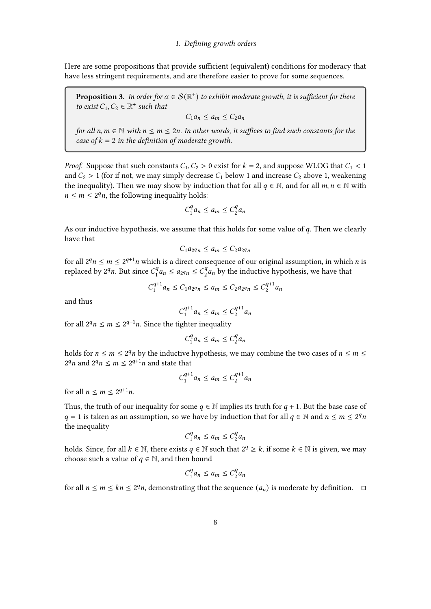Here are some propositions that provide sufficient (equivalent) conditions for moderacy that have less stringent requirements, and are therefore easier to prove for some sequences.

**Proposition 3.** In order for  $\alpha \in \mathcal{S}(\mathbb{R}^+)$  to exhibit moderate growth, it is sufficient for there to exist  $C_1, C_2 \in \mathbb{R}^+$  such that

$$
C_1 a_n \le a_m \le C_2 a_n
$$

for all  $n, m \in \mathbb{N}$  with  $n \leq m \leq 2n$ . In other words, it suffices to find such constants for the case of  $k = 2$  in the definition of moderate growth.

*Proof.* Suppose that such constants  $C_1, C_2 > 0$  exist for  $k = 2$ , and suppose WLOG that  $C_1 < 1$ and  $C_2 > 1$  (for if not, we may simply decrease  $C_1$  below 1 and increase  $C_2$  above 1, weakening the inequality). Then we may show by induction that for all  $q \in \mathbb{N}$ , and for all  $m, n \in \mathbb{N}$  with  $n \leq m \leq 2^q n$ , the following inequality holds:

$$
C_1^q a_n \le a_m \le C_2^q a_n
$$

As our inductive hypothesis, we assume that this holds for some value of  $q$ . Then we clearly have that

$$
C_1 a_{2} a_n \le a_m \le C_2 a_{2} a_n
$$

for all  $2^q n \leq m \leq 2^{q+1} n$  which is a direct consequence of our original assumption, in which *n* is replaced by  $2^q n$ . But since  $C_1^q$  $a_1^q a_n \le a_{2^q n} \le C_2^q$  $\frac{q}{2}a_n$  by the inductive hypothesis, we have that

$$
C_1^{q+1}a_n \le C_1a_{2^qn} \le a_m \le C_2a_{2^qn} \le C_2^{q+1}a_n
$$

and thus

$$
C_1^{q+1}a_n \le a_m \le C_2^{q+1}a_n
$$

for all  $2^q n \leq m \leq 2^{q+1} n$ . Since the tighter inequality

$$
C_1^q a_n \le a_m \le C_2^q a_n
$$

holds for  $n \le m \le 2^q n$  by the inductive hypothesis, we may combine the two cases of  $n \le m \le 2^q n$  $2^q n$  and  $2^q n \leq m \leq 2^{q+1} n$  and state that

$$
C_1^{q+1}a_n \le a_m \le C_2^{q+1}a_n
$$

for all  $n \leq m \leq 2^{q+1}n$ .

Thus, the truth of our inequality for some  $q \in \mathbb{N}$  implies its truth for  $q + 1$ . But the base case of  $q = 1$  is taken as an assumption, so we have by induction that for all  $q \in \mathbb{N}$  and  $n \le m \le 2^q n$ the inequality

$$
C_1^q a_n \le a_m \le C_2^q a_n
$$

holds. Since, for all  $k \in \mathbb{N}$ , there exists  $q \in \mathbb{N}$  such that  $2^q \geq k$ , if some  $k \in \mathbb{N}$  is given, we may choose such a value of  $q \in \mathbb{N}$ , and then bound

$$
C_1^q a_n \le a_m \le C_2^q a_n
$$

for all  $n \le m \le kn \le 2^q n$ , demonstrating that the sequence  $(a_n)$  is moderate by definition.  $\Box$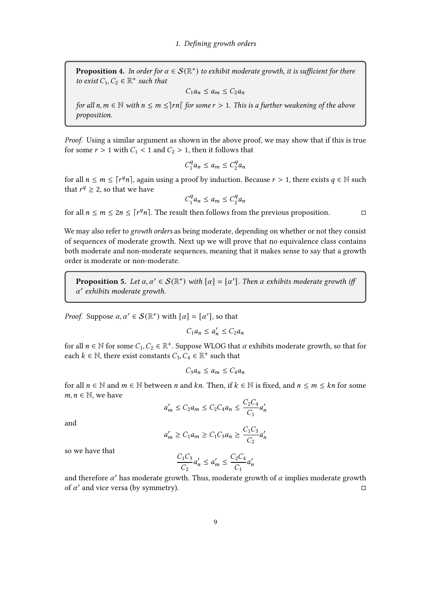**Proposition 4.** In order for  $\alpha \in \mathcal{S}(\mathbb{R}^+)$  to exhibit moderate growth, it is sufficient for there to exist  $C_1, C_2 \in \mathbb{R}^+$  such that

$$
C_1 a_n \le a_m \le C_2 a_n
$$

for all  $n, m \in \mathbb{N}$  with  $n \leq m \leq |rn|$  for some  $r > 1$ . This is a further weakening of the above proposition.

Proof. Using a similar argument as shown in the above proof, we may show that if this is true for some  $r > 1$  with  $C_1 < 1$  and  $C_2 > 1$ , then it follows that

$$
C_1^q a_n \le a_m \le C_2^q a_n
$$

for all  $n \leq m \leq \lceil r^q n \rceil$ , again using a proof by induction. Because  $r > 1$ , there exists  $q \in \mathbb{N}$  such that  $r^q \geq 2$ , so that we have

$$
C_1^q a_n \le a_m \le C_2^q a_n
$$

for all  $n \le m \le 2n \le \lceil r^q n \rceil$ . The result then follows from the previous proposition.

We may also refer to *growth orders* as being moderate, depending on whether or not they consist of sequences of moderate growth. Next up we will prove that no equivalence class contains both moderate and non-moderate sequences, meaning that it makes sense to say that a growth order is moderate or non-moderate.

**Proposition 5.** Let  $\alpha, \alpha' \in \mathcal{S}(\mathbb{R}^+)$  with  $[\alpha] = [\alpha']$ . Then  $\alpha$  exhibits moderate growth if  $\alpha'$  exhibits moderate growth.

*Proof.* Suppose  $\alpha, \alpha' \in \mathcal{S}(\mathbb{R}^+)$  with  $[\alpha] = [\alpha']$ , so that

$$
C_1 a_n \le a'_n \le C_2 a_n
$$

for all  $n \in \mathbb{N}$  for some  $C_1, C_2 \in \mathbb{R}^+$ . Suppose WLOG that  $\alpha$  exhibits moderate growth, so that for each  $k \in \mathbb{N}$ , there exist constants  $C_3, C_4 \in \mathbb{R}^+$  such that

$$
C_3 a_n \le a_m \le C_4 a_n
$$

for all  $n \in \mathbb{N}$  and  $m \in \mathbb{N}$  between n and kn. Then, if  $k \in \mathbb{N}$  is fixed, and  $n \leq m \leq kn$  for some  $m, n \in \mathbb{N}$ , we have

$$
a'_m \le C_2 a_m \le C_2 C_4 a_n \le \frac{C_2 C_4}{C_1} a'_n
$$

and

$$
a'_m \ge C_1 a_m \ge C_1 C_3 a_n \ge \frac{C_1 C_3}{C_2} a'_n
$$

so we have that

$$
\frac{C_1 C_3}{C_2} a'_n \le a'_m \le \frac{C_2 C_4}{C_1} a'_n
$$

and therefore  $\alpha'$  has moderate growth. Thus, moderate growth of  $\alpha$  implies moderate growth of  $\alpha'$  and vice versa (by symmetry).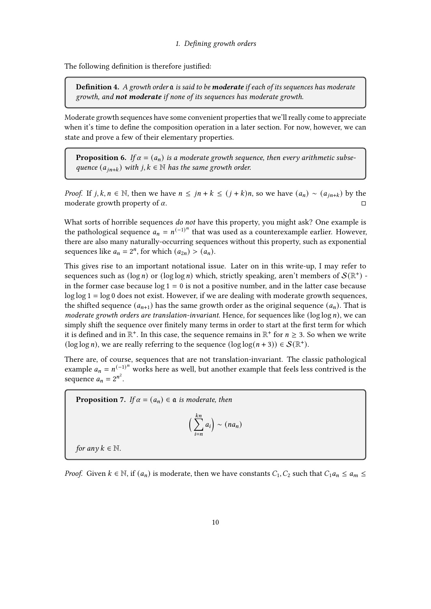The following definition is therefore justified:

**Definition 4.** A growth order  $a$  is said to be **moderate** if each of its sequences has moderate growth, and **not moderate** if none of its sequences has moderate growth.

Moderate growth sequences have some convenient properties that we'll really come to appreciate when it's time to define the composition operation in a later section. For now, however, we can state and prove a few of their elementary properties.

**Proposition 6.** If  $\alpha = (a_n)$  is a moderate growth sequence, then every arithmetic subsequence  $(a_{in+k})$  with  $j, k \in \mathbb{N}$  has the same growth order.

*Proof.* If *j*,  $k, n \in \mathbb{N}$ , then we have  $n \leq jn + k \leq (j + k)n$ , so we have  $(a_n) \sim (a_{in+k})$  by the moderate growth property of  $\alpha$ .

What sorts of horrible sequences do not have this property, you might ask? One example is the pathological sequence  $a_n = n^{(-1)^n}$  that was used as a counterexample earlier. However, there are also many naturally-occurring sequences without this property, such as exponential sequences like  $a_n = 2^n$ , for which  $(a_{2n}) > (a_n)$ .

This gives rise to an important notational issue. Later on in this write-up, I may refer to sequences such as (log n) or (log log n) which, strictly speaking, aren't members of  $S(\mathbb{R}^+)$  in the former case because  $log 1 = 0$  is not a positive number, and in the latter case because  $\log \log 1 = \log 0$  does not exist. However, if we are dealing with moderate growth sequences, the shifted sequence  $(a_{n+1})$  has the same growth order as the original sequence  $(a_n)$ . That is moderate growth orders are translation-invariant. Hence, for sequences like ( $\log \log n$ ), we can simply shift the sequence over finitely many terms in order to start at the first term for which it is defined and in  $\mathbb{R}^+$ . In this case, the sequence remains in  $\mathbb{R}^+$  for  $n \geq 3$ . So when we write (log log *n*), we are really referring to the sequence  $(\log \log (n + 3)) \in S(\mathbb{R}^+)$ .

There are, of course, sequences that are not translation-invariant. The classic pathological example  $a_n = n^{(-1)^n}$  works here as well, but another example that feels less contrived is the sequence  $a_n = 2^{n^2}$ .

<span id="page-9-0"></span>**Proposition 7.** If  $\alpha = (a_n) \in \mathfrak{a}$  is moderate, then

$$
\left(\sum_{i=n}^{kn}a_i\right)\sim (na_n)
$$

for any  $k \in \mathbb{N}$ .

*Proof.* Given  $k \in \mathbb{N}$ , if  $(a_n)$  is moderate, then we have constants  $C_1, C_2$  such that  $C_1 a_n \le a_m \le a_m$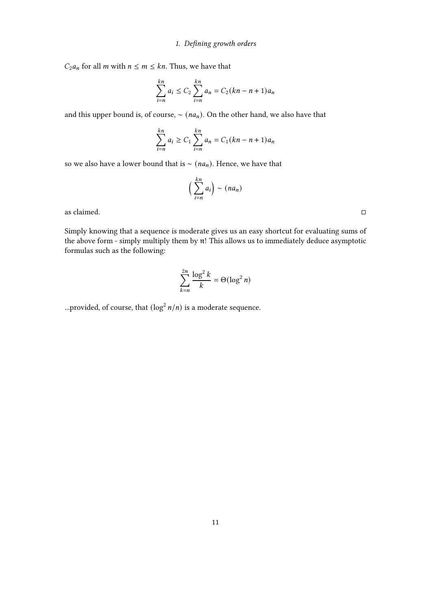$C_2 a_n$  for all *m* with  $n \le m \le kn$ . Thus, we have that

$$
\sum_{i=n}^{kn} a_i \le C_2 \sum_{i=n}^{kn} a_i = C_2 (kn - n + 1) a_n
$$

and this upper bound is, of course,  $\sim (na_n)$ . On the other hand, we also have that

$$
\sum_{i=n}^{kn} a_i \ge C_1 \sum_{i=n}^{kn} a_i = C_1 (kn - n + 1) a_n
$$

so we also have a lower bound that is  $\sim$  ( $na_n$ ). Hence, we have that

$$
\left(\sum_{i=n}^{kn}a_i\right)\sim (na_n)
$$

as claimed.  $\Box$ 

Simply knowing that a sequence is moderate gives us an easy shortcut for evaluating sums of the above form - simply multiply them by  $\mathfrak n!$  This allows us to immediately deduce asymptotic formulas such as the following:

$$
\sum_{k=n}^{2n} \frac{\log^2 k}{k} = \Theta(\log^2 n)
$$

...provided, of course, that  $(\log^2 n/n)$  is a moderate sequence.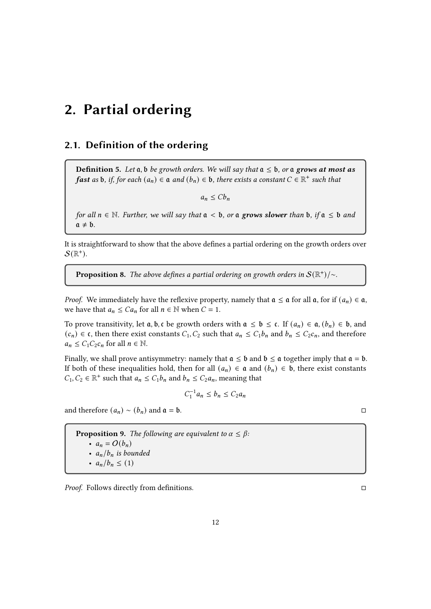## <span id="page-11-0"></span>2. Partial ordering

## <span id="page-11-1"></span>2.1. Definition of the ordering

**Definition 5.** Let  $a$ ,  $b$  be growth orders. We will say that  $a \leq b$ , or a grows at most as **fast** as b, if, for each  $(a_n) \in \mathfrak{a}$  and  $(b_n) \in \mathfrak{b}$ , there exists a constant  $C \in \mathbb{R}^+$  such that

 $a_n \leq C b_n$ 

for all  $n \in \mathbb{N}$ . Further, we will say that  $\mathfrak{a} < \mathfrak{b}$ , or  $\mathfrak{a}$  grows slower than  $\mathfrak{b}$ , if  $\mathfrak{a} \leq \mathfrak{b}$  and  $a \neq b$ .

It is straightforward to show that the above defines a partial ordering on the growth orders over  $\mathcal{S}(\mathbb{R}^+).$ 

**Proposition 8.** The above defines a partial ordering on growth orders in  $S(\mathbb{R}^+)$ /~.

*Proof.* We immediately have the reflexive property, namely that  $\mathfrak{a} \leq \mathfrak{a}$  for all  $\mathfrak{a}$ , for if  $(a_n) \in \mathfrak{a}$ , we have that  $a_n \leq C a_n$  for all  $n \in \mathbb{N}$  when  $C = 1$ .

To prove transitivity, let  $a, b, c$  be growth orders with  $a \le b \le c$ . If  $(a_n) \in a, (b_n) \in b$ , and  $(c_n) \in \mathfrak{c}$ , then there exist constants  $C_1, C_2$  such that  $a_n \leq C_1 b_n$  and  $b_n \leq C_2 c_n$ , and therefore  $a_n \leq C_1 C_2 c_n$  for all  $n \in \mathbb{N}$ .

Finally, we shall prove antisymmetry: namely that  $a \leq b$  and  $b \leq a$  together imply that  $a = b$ . If both of these inequalities hold, then for all  $(a_n) \in \mathfrak{a}$  and  $(b_n) \in \mathfrak{b}$ , there exist constants  $C_1, C_2 \in \mathbb{R}^+$  such that  $a_n \leq C_1 b_n$  and  $b_n \leq C_2 a_n$ , meaning that

$$
C_1^{-1}a_n \le b_n \le C_2a_n
$$

and therefore  $(a_n) \sim (b_n)$  and  $\mathfrak{a} = \mathfrak{b}$ .  $\Box$ 

**Proposition 9.** The following are equivalent to  $\alpha \leq \beta$ : •  $a_n = O(b_n)$ •  $a_n / b_n$  is bounded •  $a_n / b_n \leq (1)$ 

Proof. Follows directly from denitions.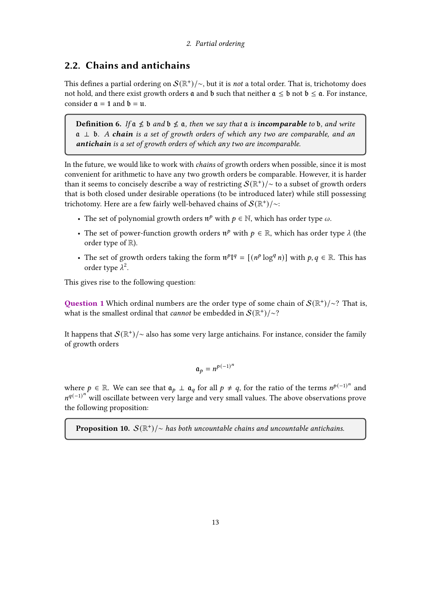#### 2. Partial ordering

## <span id="page-12-0"></span>2.2. Chains and antichains

This defines a partial ordering on  $\mathcal S(\mathbb R^+) / \sim$ , but it is *not* a total order. That is, trichotomy does not hold, and there exist growth orders  $\alpha$  and  $\beta$  such that neither  $\alpha < \beta$  not  $\beta < \alpha$ . For instance, consider  $\mathfrak{a} = 1$  and  $\mathfrak{b} = \mathfrak{u}$ .

**Definition 6.** If  $a \nleq b$  and  $b \nleq a$ , then we say that  $a$  is **incomparable** to b, and write  $a \perp b$ . A chain is a set of growth orders of which any two are comparable, and an antichain is a set of growth orders of which any two are incomparable.

In the future, we would like to work with chains of growth orders when possible, since it is most convenient for arithmetic to have any two growth orders be comparable. However, it is harder than it seems to concisely describe a way of restricting  $\mathcal{S}(\mathbb{R}^+) / \sim$  to a subset of growth orders that is both closed under desirable operations (to be introduced later) while still possessing trichotomy. Here are a few fairly well-behaved chains of  $\mathcal S(\mathbb R^+) /\!\!\sim$ 

- The set of polynomial growth orders  $\mathfrak{n}^p$  with  $p \in \mathbb{N}$ , which has order type  $\omega$ .
- The set of power-function growth orders  $\mathfrak{n}^p$  with  $p \in \mathbb{R}$ , which has order type  $\lambda$  (the order type of R).
- The set of growth orders taking the form  $\mathfrak{n}^p I^q = [(n^p \log^q n)]$  with  $p, q \in \mathbb{R}$ . This has order type  $\lambda^2$ .

This gives rise to the following question:

Question 1 Which ordinal numbers are the order type of some chain of  $\mathcal{S}(\mathbb{R}^+)/\sim$ ? That is, what is the smallest ordinal that *cannot* be embedded in  $S(\mathbb{R}^+)/\sim$ ?

It happens that  $\mathcal{S}(\mathbb{R}^+)/\sim$  also has some very large antichains. For instance, consider the family of growth orders

$$
\mathfrak{a}_p = n^{p(-1)^n}
$$

where  $p \in \mathbb{R}$ . We can see that  $\mathfrak{a}_p \perp \mathfrak{a}_q$  for all  $p \neq q$ , for the ratio of the terms  $n^{p(-1)^n}$  and  $n^{q(-1)^n}$  will oscillate between very large and very small values. The above observations prove the following proposition:

**Proposition 10.**  $S(\mathbb{R}^+)$ / $\sim$  has both uncountable chains and uncountable antichains.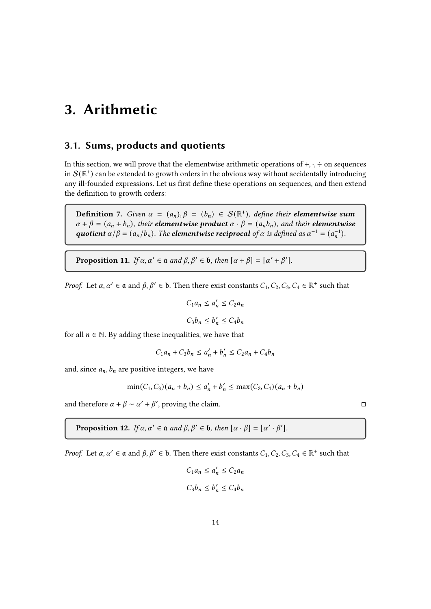## <span id="page-13-0"></span>3. Arithmetic

## <span id="page-13-1"></span>3.1. Sums, products and quotients

In this section, we will prove that the elementwise arithmetic operations of  $+, \cdot, \div$  on sequences in  $\mathcal{S}(\mathbb{R}^+)$  can be extended to growth orders in the obvious way without accidentally introducing any ill-founded expressions. Let us first define these operations on sequences, and then extend the definition to growth orders:

**Definition** 7. Given  $\alpha = (a_n), \beta = (b_n) \in S(\mathbb{R}^+)$ , define their **elementwise sum**  $\alpha + \beta = (a_n + b_n)$ , their **elementwise product**  $\alpha \cdot \beta = (a_n b_n)$ , and their **elementwise** quotient  $\alpha/\beta = (a_n/b_n)$ . The elementwise reciprocal of  $\alpha$  is defined as  $\alpha^{-1} = (a_n^{-1})$ .

**Proposition 11.** If  $\alpha, \alpha' \in \mathfrak{a}$  and  $\beta, \beta' \in \mathfrak{b}$ , then  $[\alpha + \beta] = [\alpha' + \beta']$ .

*Proof.* Let  $\alpha, \alpha' \in \mathfrak{a}$  and  $\beta, \beta' \in \mathfrak{b}$ . Then there exist constants  $C_1, C_2, C_3, C_4 \in \mathbb{R}^+$  such that

$$
C_1 a_n \le a'_n \le C_2 a_n
$$
  

$$
C_3 b_n \le b'_n \le C_4 b_n
$$

for all  $n \in \mathbb{N}$ . By adding these inequalities, we have that

$$
C_1 a_n + C_3 b_n \le a'_n + b'_n \le C_2 a_n + C_4 b_n
$$

and, since  $a_n$ ,  $b_n$  are positive integers, we have

$$
\min(C_1, C_3)(a_n + b_n) \le a'_n + b'_n \le \max(C_2, C_4)(a_n + b_n)
$$

and therefore  $\alpha + \beta \sim \alpha' + \beta'$ , proving the claim.

**Proposition 12.** If  $\alpha, \alpha' \in \mathfrak{a}$  and  $\beta, \beta' \in \mathfrak{b}$ , then  $[\alpha \cdot \beta] = [\alpha' \cdot \beta']$ .

*Proof.* Let  $\alpha, \alpha' \in \mathfrak{a}$  and  $\beta, \beta' \in \mathfrak{b}$ . Then there exist constants  $C_1, C_2, C_3, C_4 \in \mathbb{R}^+$  such that

$$
C_1 a_n \le a'_n \le C_2 a_n
$$
  

$$
C_3 b_n \le b'_n \le C_4 b_n
$$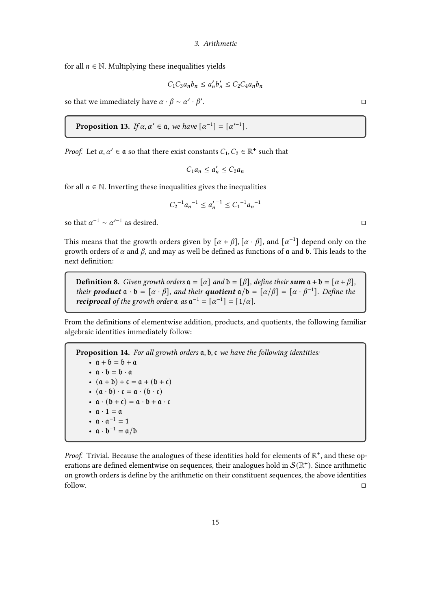for all  $n \in \mathbb{N}$ . Multiplying these inequalities yields

$$
C_1 C_3 a_n b_n \le a'_n b'_n \le C_2 C_4 a_n b_n
$$

so that we immediately have  $\alpha \cdot \beta \sim \alpha' \cdot \beta'$ .

**Proposition 13.** If 
$$
\alpha, \alpha' \in \mathfrak{a}
$$
, we have  $[\alpha^{-1}] = [\alpha'^{-1}]$ .

*Proof.* Let  $\alpha, \alpha' \in \mathfrak{a}$  so that there exist constants  $C_1, C_2 \in \mathbb{R}^+$  such that

$$
C_1 a_n \le a'_n \le C_2 a_n
$$

for all  $n \in \mathbb{N}$ . Inverting these inequalities gives the inequalities

$$
C_2^{-1}a_n^{-1} \le a'_n^{-1} \le C_1^{-1}a_n^{-1}
$$

so that  $\alpha^{-1} \sim \alpha'^{-1}$  as desired.

This means that the growth orders given by  $[\alpha + \beta]$ ,  $[\alpha \cdot \beta]$ , and  $[\alpha^{-1}]$  depend only on the growth orders of  $\alpha$  and  $\beta$ , and may as well be defined as functions of  $\alpha$  and  $\beta$ . This leads to the next definition:

**Definition 8.** Given growth orders  $a = [\alpha]$  and  $b = [\beta]$ , define their sum  $a + b = [\alpha + \beta]$ , their **product**  $\mathfrak{a} \cdot \mathfrak{b} = [\alpha \cdot \beta]$ , and their **quotient**  $\mathfrak{a}/\mathfrak{b} = [\alpha/\beta] = [\alpha \cdot \beta^{-1}]$ . Define the **reciprocal** of the growth order  $\mathfrak{a}$  as  $\mathfrak{a}^{-1} = [\alpha^{-1}] = [1/\alpha]$ .

From the definitions of elementwise addition, products, and quotients, the following familiar algebraic identities immediately follow:

**Proposition 14.** For all growth orders  $a, b, c$  we have the following identities: •  $a + b = b + a$ •  $a \cdot b = b \cdot a$ •  $(a + b) + c = a + (b + c)$ •  $(a \cdot b) \cdot c = a \cdot (b \cdot c)$ •  $\alpha \cdot (b + c) = \alpha \cdot b + \alpha \cdot c$ •  $\mathfrak{a} \cdot 1 = \mathfrak{a}$ •  $\alpha \cdot \alpha^{-1} = 1$ •  $\mathfrak{a} \cdot \mathfrak{b}^{-1} = \mathfrak{a}/\mathfrak{b}$ 

Proof. Trivial. Because the analogues of these identities hold for elements of  $\mathbb{R}^+$ , and these operations are defined elementwise on sequences, their analogues hold in  $\mathcal{S}(\mathbb{R}^+)$ . Since arithmetic on growth orders is define by the arithmetic on their constituent sequences, the above identities follow.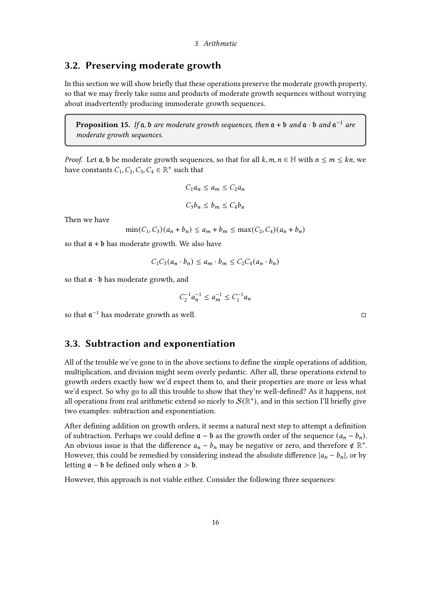## <span id="page-15-0"></span>3.2. Preserving moderate growth

In this section we will show briefly that these operations preserve the moderate growth property, so that we may freely take sums and products of moderate growth sequences without worrying about inadvertently producing immoderate growth sequences.

**Proposition 15.** If  $a$ ,  $b$  are moderate growth sequences, then  $a + b$  and  $a \cdot b$  and  $a^{-1}$  are moderate growth sequences.

*Proof.* Let  $a, b$  be moderate growth sequences, so that for all  $k, m, n \in \mathbb{N}$  with  $n \le m \le kn$ , we have constants  $C_1, C_2, C_3, C_4 \in \mathbb{R}^+$  such that

$$
C_1 a_n \le a_m \le C_2 a_n
$$
  

$$
C_3 b_n \le b_m \le C_4 b_n
$$

Then we have

$$
\min(C_1, C_3)(a_n + b_n) \le a_m + b_m \le \max(C_2, C_4)(a_n + b_n)
$$

so that  $a + b$  has moderate growth. We also have

$$
C_1 C_3(a_n \cdot b_n) \le a_m \cdot b_m \le C_2 C_4(a_n \cdot b_n)
$$

so that  $a \cdot b$  has moderate growth, and

$$
C_2^{-1}a_n^{-1} \le a_m^{-1} \le C_1^{-1}a_n
$$

so that  $\mathfrak{a}^{-1}$  has moderate growth as well.  $□$ 

## <span id="page-15-1"></span>3.3. Subtraction and exponentiation

All of the trouble we've gone to in the above sections to define the simple operations of addition, multiplication, and division might seem overly pedantic. After all, these operations extend to growth orders exactly how we'd expect them to, and their properties are more or less what we'd expect. So why go to all this trouble to show that they're well-defined? As it happens, not all operations from real arithmetic extend so nicely to  $\mathcal{S}(\mathbb{R}^+)$ , and in this section I'll briefly give two examples: subtraction and exponentiation.

After defining addition on growth orders, it seems a natural next step to attempt a definition of subtraction. Perhaps we could define  $a - b$  as the growth order of the sequence  $(a_n - b_n)$ . An obvious issue is that the difference  $a_n - b_n$  may be negative or zero, and therefore  $\notin \mathbb{R}^+$ . However, this could be remedied by considering instead the absolute difference  $|a_n - b_n|$ , or by letting  $a - b$  be defined only when  $a > b$ .

However, this approach is not viable either. Consider the following three sequences: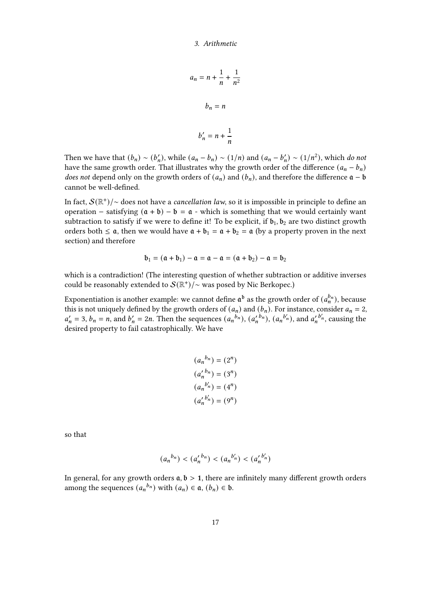$$
a_n = n + \frac{1}{n} + \frac{1}{n^2}
$$

$$
b_n = n
$$

$$
b'_n = n + \frac{1}{n}
$$

Then we have that  $(b_n) \sim (b'_n)$ , while  $(a_n - b_n) \sim (1/n)$  and  $(a_n - b'_n) \sim (1/n^2)$ , which do not have the same growth order. That illustrates why the growth order of the difference  $(a_n - b_n)$ does not depend only on the growth orders of  $(a_n)$  and  $(b_n)$ , and therefore the difference  $\mathfrak{a} - \mathfrak{b}$ cannot be well-defined.

In fact,  $\mathcal{S}(\mathbb{R}^+)/\sim$  does not have a *cancellation law*, so it is impossible in principle to define an operation – satisfying  $(a + b) - b = a$  - which is something that we would certainly want subtraction to satisfy if we were to define it! To be explicit, if  $b_1$ ,  $b_2$  are two distinct growth orders both  $\leq \mathfrak{a}$ , then we would have  $\mathfrak{a} + \mathfrak{b}_1 = \mathfrak{a} + \mathfrak{b}_2 = \mathfrak{a}$  (by a property proven in the next section) and therefore

$$
\mathfrak{b}_1=(\mathfrak{a}+\mathfrak{b}_1)-\mathfrak{a}=\mathfrak{a}-\mathfrak{a}=(\mathfrak{a}+\mathfrak{b}_2)-\mathfrak{a}=\mathfrak{b}_2
$$

which is a contradiction! (The interesting question of whether subtraction or additive inverses could be reasonably extended to  $\mathcal{S}(\mathbb{R}^+)/\sim$  was posed by Nic Berkopec.)

Exponentiation is another example: we cannot define  $\mathfrak{a}^{\mathfrak{b}}$  as the growth order of  $(a_n^{b_n}),$  because this is not uniquely defined by the growth orders of  $(a_n)$  and  $(b_n)$ . For instance, consider  $a_n = 2$ ,  $a'_n = 3$ ,  $b_n = n$ , and  $b'_n = 2n$ . Then the sequences  $(a_n^{b_n})$ ,  $(a'_n^{b_n})$ ,  $(a_n^{b'_n})$ , and  $a'_n^{b'_n}$ , causing the desired property to fail catastrophically. We have

$$
(a_n^{b_n}) = (2^n)
$$
  
\n
$$
(a'_n^{b_n}) = (3^n)
$$
  
\n
$$
(a_n^{b'_n}) = (4^n)
$$
  
\n
$$
(a'_n^{b'_n}) = (9^n)
$$

so that

$$
(a_n^{b_n}) < (a_n^{\prime b_n}) < (a_n^{b_n}) < (a_n^{\prime b_n})
$$

In general, for any growth orders  $a, b > 1$ , there are infinitely many different growth orders among the sequences  $(a_n^{b_n})$  with  $(a_n) \in \mathfrak{a}$ ,  $(b_n) \in \mathfrak{b}$ .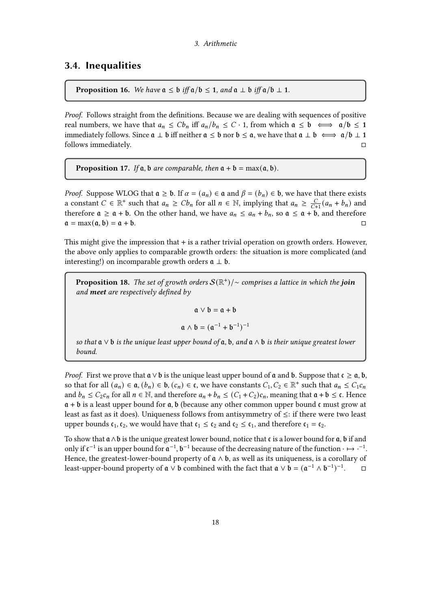## <span id="page-17-0"></span>3.4. Inequalities

**Proposition 16.** We have  $a \leq b$  iff  $a/b \leq 1$ , and  $a \perp b$  iff  $a/b \perp 1$ .

Proof. Follows straight from the definitions. Because we are dealing with sequences of positive real numbers, we have that  $a_n \leq C b_n$  iff  $a_n/b_n \leq C \cdot 1$ , from which  $a \leq b \iff a/b \leq 1$ immediately follows. Since  $a \perp b$  iff neither  $a \leq b$  nor  $b \leq a$ , we have that  $a \perp b \iff a/b \perp 1$ follows immediately.

**Proposition 17.** If  $a$ ,  $b$  are comparable, then  $a + b = \max(a, b)$ .

*Proof.* Suppose WLOG that  $a \ge b$ . If  $\alpha = (a_n) \in \mathfrak{a}$  and  $\beta = (b_n) \in \mathfrak{b}$ , we have that there exists a constant  $C \in \mathbb{R}^+$  such that  $a_n \geq Cb_n$  for all  $n \in \mathbb{N}$ , implying that  $a_n \geq \frac{C}{C}$  $\frac{C}{C+1}(a_n + b_n)$  and therefore  $a \ge a + b$ . On the other hand, we have  $a_n \le a_n + b_n$ , so  $a \le a + b$ , and therefore  $a = \max(a, b) = a + b.$ 

This might give the impression that + is a rather trivial operation on growth orders. However, the above only applies to comparable growth orders: the situation is more complicated (and interesting!) on incomparable growth orders  $a \perp b$ .

**Proposition 18.** The set of growth orders  $\mathcal{S}(\mathbb{R}^+)$   $\sim$  comprises a lattice in which the **join** and **meet** are respectively defined by

 $a \vee b = a + b$ 

$$
\mathfrak{a} \wedge \mathfrak{b} = (\mathfrak{a}^{-1} + \mathfrak{b}^{-1})^{-1}
$$

so that  $a \vee b$  is the unique least upper bound of  $a, b, and a \wedge b$  is their unique greatest lower bound.

*Proof.* First we prove that  $a \vee b$  is the unique least upper bound of  $a$  and  $b$ . Suppose that  $c \ge a$ ,  $b$ , so that for all  $(a_n) \in \mathfrak{a}, (b_n) \in \mathfrak{b}, (c_n) \in \mathfrak{c}$ , we have constants  $C_1, C_2 \in \mathbb{R}^+$  such that  $a_n \leq C_1 c_n$ and  $b_n \leq C_2 c_n$  for all  $n \in \mathbb{N}$ , and therefore  $a_n + b_n \leq (C_1 + C_2)c_n$ , meaning that  $\mathfrak{a} + \mathfrak{b} \leq \mathfrak{c}$ . Hence  $a + b$  is a least upper bound for  $a, b$  (because any other common upper bound  $c$  must grow at least as fast as it does). Uniqueness follows from antisymmetry of ≤: if there were two least upper bounds  $\mathfrak{c}_1, \mathfrak{c}_2$ , we would have that  $\mathfrak{c}_1 \leq \mathfrak{c}_2$  and  $\mathfrak{c}_2 \leq \mathfrak{c}_1$ , and therefore  $\mathfrak{c}_1 = \mathfrak{c}_2$ .

To show that  $a \wedge b$  is the unique greatest lower bound, notice that c is a lower bound for  $a$ ,  $b$  if and only if  $c^{-1}$  is an upper bound for  $\mathfrak{a}^{-1}$ ,  $\mathfrak{b}^{-1}$  because of the decreasing nature of the function  $\cdot \mapsto \cdot^{-1}$ . Hence, the greatest-lower-bound property of  $\mathfrak{a} \wedge \mathfrak{b}$ , as well as its uniqueness, is a corollary of least-upper-bound property of  $\mathfrak{a} \vee \mathfrak{b}$  combined with the fact that  $\mathfrak{a} \vee \mathfrak{b} = (\mathfrak{a}^{-1} \wedge \mathfrak{b}^{-1})^{-1}$  $\Box$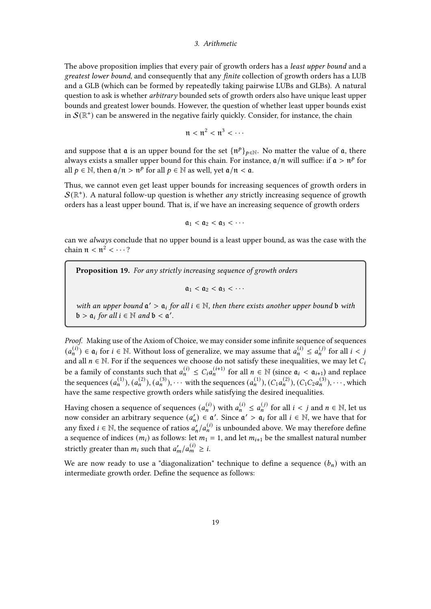#### 3. Arithmetic

The above proposition implies that every pair of growth orders has a *least upper bound* and a greatest lower bound, and consequently that any finite collection of growth orders has a LUB and a GLB (which can be formed by repeatedly taking pairwise LUBs and GLBs). A natural question to ask is whether *arbitrary* bounded sets of growth orders also have unique least upper bounds and greatest lower bounds. However, the question of whether least upper bounds exist in  $\mathcal{S}(\mathbb{R}^+)$  can be answered in the negative fairly quickly. Consider, for instance, the chain

$$
\mathfrak{n} < \mathfrak{n}^2 < \mathfrak{n}^3 < \cdots
$$

and suppose that  $\mathfrak a$  is an upper bound for the set  $\{\mathfrak n^p\}_{p\in\mathbb N}$ . No matter the value of  $\mathfrak a$ , there always exists a smaller upper bound for this chain. For instance,  $a/\pi$  will suffice: if  $a > \pi^p$  for all  $p \in \mathbb{N}$ , then  $\mathfrak{a}/\mathfrak{n} > \mathfrak{n}^p$  for all  $p \in \mathbb{N}$  as well, yet  $\mathfrak{a}/\mathfrak{n} < \mathfrak{a}$ .

Thus, we cannot even get least upper bounds for increasing sequences of growth orders in  $\mathcal{S}(\mathbb{R}^+)$ . A natural follow-up question is whether *any* strictly increasing sequence of growth orders has a least upper bound. That is, if we have an increasing sequence of growth orders

$$
\mathfrak{a}_1 < \mathfrak{a}_2 < \mathfrak{a}_3 < \cdots
$$

can we always conclude that no upper bound is a least upper bound, as was the case with the chain  $\mathfrak{n} < \mathfrak{n}^2 < \cdots$ ?

Proposition 19. For any strictly increasing sequence of growth orders

 $a_1 < a_2 < a_3 < \cdots$ 

with an upper bound  $a' > a_i$  for all  $i \in \mathbb{N}$ , then there exists another upper bound b with  $\mathfrak{b} > \mathfrak{a}_i$  for all  $i \in \mathbb{N}$  and  $\mathfrak{b} < \mathfrak{a}'$ .

Proof. Making use of the Axiom of Choice, we may consider some infinite sequence of sequences  $(a_n^{(i)}) \in \mathfrak{a}_i$  for  $i \in \mathbb{N}$ . Without loss of generalize, we may assume that  $a_n^{(i)} \le a_n^{(j)}$  for all  $i < j$ and all  $n \in \mathbb{N}$ . For if the sequences we choose do not satisfy these inequalities, we may let  $C_i$ be a family of constants such that  $a_n^{(i)} \leq C_i a_n^{(i+1)}$  for all  $n \in \mathbb{N}$  (since  $\mathfrak{a}_i < \mathfrak{a}_{i+1}$ ) and replace the sequences  $(a_n^{(1)}), (a_n^{(2)}), (a_n^{(3)}), \cdots$  with the sequences  $(a_n^{(1)}), (C_1a_n^{(2)}), (C_1C_2a_n^{(3)}), \cdots$ , which have the same respective growth orders while satisfying the desired inequalities.

Having chosen a sequence of sequences  $(a_n^{(i)})$  with  $a_n^{(i)} \le a_n^{(j)}$  for all  $i < j$  and  $n \in \mathbb{N}$ , let us now consider an arbitrary sequence  $(a'_n) \in \mathfrak{a}'$ . Since  $\mathfrak{a}' > \mathfrak{a}_i$  for all  $i \in \mathbb{N}$ , we have that for any fixed  $i \in \mathbb{N}$ , the sequence of ratios  $a'_n/a_n^{(i)}$  is unbounded above. We may therefore define a sequence of indices  $(m_i)$  as follows: let  $m_1 = 1$ , and let  $m_{i+1}$  be the smallest natural number strictly greater than  $m_i$  such that  $a'_m/a_m^{(i)} \geq i$ .

We are now ready to use a "diagonalization" technique to define a sequence  $(b_n)$  with an intermediate growth order. Define the sequence as follows: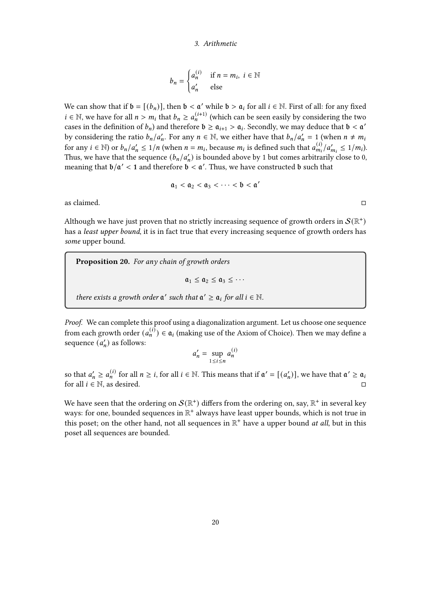#### 3. Arithmetic

$$
b_n = \begin{cases} a_n^{(i)} & \text{if } n = m_i, \ i \in \mathbb{N} \\ a'_n & \text{else} \end{cases}
$$

We can show that if  $\mathfrak{b} = [(b_n)]$ , then  $\mathfrak{b} < \mathfrak{a}'$  while  $\mathfrak{b} > \mathfrak{a}_i$  for all  $i \in \mathbb{N}$ . First of all: for any fixed  $i \in \mathbb{N}$ , we have for all  $n > m_i$  that  $b_n \ge a_n^{(i+1)}$  (which can be seen easily by considering the two cases in the definition of  $b_n$ ) and therefore  $\mathfrak{b} \geq \mathfrak{a}_{i+1} > \mathfrak{a}_i$ . Secondly, we may deduce that  $\mathfrak{b} < \mathfrak{a}'$ by considering the ratio  $b_n/a'_n$ . For any  $n \in \mathbb{N}$ , we either have that  $b_n/a'_n = 1$  (when  $n \neq m$ for any  $i \in \mathbb{N}$  or  $b_n/a'_n \leq 1/n$  (when  $n = m_i$ , because  $m_i$  is defined such that  $a_{m_i}/a'_{m_i} \leq 1/m_i$ ). Thus, we have that the sequence  $(b_n/a'_n)$  is bounded above by 1 but comes arbitrarily close to 0, meaning that  $b/a' < 1$  and therefore  $b < a'$ . Thus, we have constructed b such that

$$
\mathfrak{a}_1 < \mathfrak{a}_2 < \mathfrak{a}_3 < \cdots < \mathfrak{b} < \mathfrak{a}'
$$

as claimed.  $\Box$ 

Although we have just proven that no strictly increasing sequence of growth orders in  $\mathcal{S}(\mathbb{R}^+)$ has a *least upper bound*, it is in fact true that every increasing sequence of growth orders has some upper bound.

Proposition 20. For any chain of growth orders  $a_1 \le a_2 \le a_3 \le \cdots$ there exists a growth order  $a'$  such that  $a' \ge a_i$  for all  $i \in \mathbb{N}$ .

Proof. We can complete this proof using a diagonalization argument. Let us choose one sequence from each growth order  $(a_n^{(i)}) \in \mathfrak{a}_i$  (making use of the Axiom of Choice). Then we may define a sequence  $(a'_n)$  as follows:

$$
a'_n = \sup_{1 \le i \le n} a_n^{(i)}
$$

so that  $a'_n \ge a_n^{(i)}$  for all  $n \ge i$ , for all  $i \in \mathbb{N}$ . This means that if  $\mathfrak{a}' = [(a'_n)]$ , we have that  $\mathfrak{a}' \ge \mathfrak{a}_i$ for all  $i \in \mathbb{N}$ , as desired.

We have seen that the ordering on  $\mathcal{S}(\mathbb{R}^+)$  differs from the ordering on, say,  $\mathbb{R}^+$  in several key ways: for one, bounded sequences in  $\mathbb{R}^+$  always have least upper bounds, which is not true in this poset; on the other hand, not all sequences in  $\mathbb{R}^+$  have a upper bound at all, but in this poset all sequences are bounded.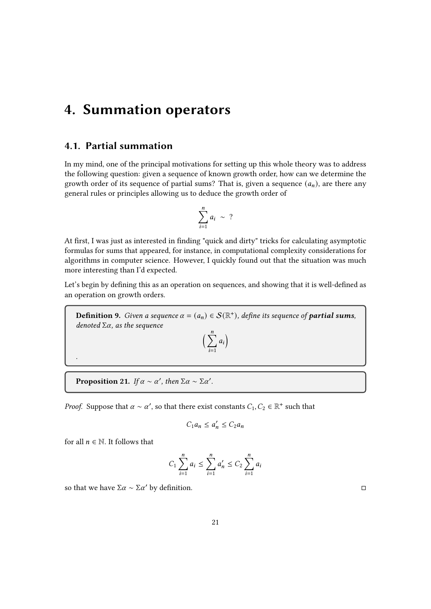## <span id="page-20-1"></span><span id="page-20-0"></span>4.1. Partial summation

In my mind, one of the principal motivations for setting up this whole theory was to address the following question: given a sequence of known growth order, how can we determine the growth order of its sequence of partial sums? That is, given a sequence  $(a_n)$ , are there any general rules or principles allowing us to deduce the growth order of

$$
\sum_{i=1}^n a_i \sim ?
$$

At first, I was just as interested in finding "quick and dirty" tricks for calculating asymptotic formulas for sums that appeared, for instance, in computational complexity considerations for algorithms in computer science. However, I quickly found out that the situation was much more interesting than I'd expected.

Let's begin by defining this as an operation on sequences, and showing that it is well-defined as an operation on growth orders.

**Definition 9.** Given a sequence  $\alpha = (a_n) \in \mathcal{S}(\mathbb{R}^+)$ , define its sequence of **partial sums**, denoted  $\Sigma\alpha$ , as the sequence  $\left(\begin{array}{c} \frac{n}{2} \\ \frac{n}{2} \end{array}\right)$ 

 $a_i$ 

 $\overline{i=1}$ 

**Proposition 21.** If  $\alpha \sim \alpha'$ , then  $\Sigma \alpha \sim \Sigma \alpha'$ .

*Proof.* Suppose that  $\alpha \sim \alpha'$ , so that there exist constants  $C_1, C_2 \in \mathbb{R}^+$  such that

$$
C_1 a_n \le a'_n \le C_2 a_n
$$

for all  $n \in \mathbb{N}$ . It follows that

.

$$
C_1 \sum_{i=1}^{n} a_i \le \sum_{i=1}^{n} a'_n \le C_2 \sum_{i=1}^{n} a_i
$$

so that we have Σα ~ Σα' by definition.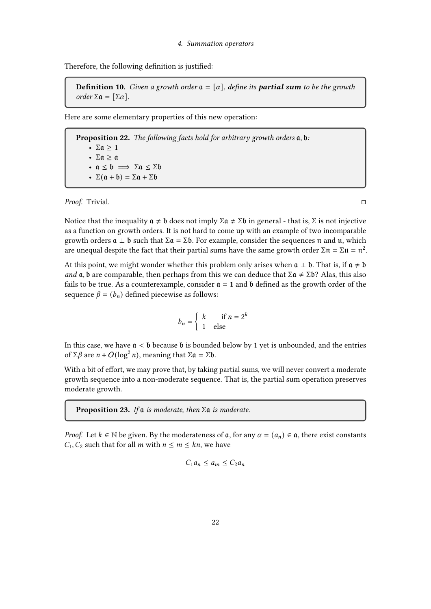Therefore, the following definition is justified:

**Definition 10.** Given a growth order  $a = [\alpha]$ , define its **partial sum** to be the growth order Σ $\alpha = [\Sigma \alpha]$ .

Here are some elementary properties of this new operation:

Proposition 22. The following facts hold for arbitrary growth orders  $a, b$ : •  $\Sigma \alpha > 1$ • Σ $\alpha \geq \alpha$ •  $a \leq b \implies \Sigma a \leq \Sigma b$ •  $\Sigma(\mathfrak{a} + \mathfrak{b}) = \Sigma \mathfrak{a} + \Sigma \mathfrak{b}$ 

Proof. Trivial.

Notice that the inequality  $a \neq b$  does not imply  $\Sigma a \neq \Sigma b$  in general - that is,  $\Sigma$  is not injective as a function on growth orders. It is not hard to come up with an example of two incomparable growth orders  $\mathfrak{a} \perp \mathfrak{b}$  such that  $\Sigma \mathfrak{a} = \Sigma \mathfrak{b}$ . For example, consider the sequences  $\mathfrak{n}$  and  $\mathfrak{u}$ , which are unequal despite the fact that their partial sums have the same growth order Σ $π = Σu = π<sup>2</sup>$ .

At this point, we might wonder whether this problem only arises when  $a \perp b$ . That is, if  $a \neq b$ and  $\alpha$ ,  $\beta$  are comparable, then perhaps from this we can deduce that  $\Sigma \alpha \neq \Sigma \beta$ ? Alas, this also fails to be true. As a counterexample, consider  $\mathfrak{a} = 1$  and  $\mathfrak b$  defined as the growth order of the sequence  $\beta = (b_n)$  defined piecewise as follows:

$$
b_n = \begin{cases} k & \text{if } n = 2^k \\ 1 & \text{else} \end{cases}
$$

In this case, we have  $a < b$  because b is bounded below by 1 yet is unbounded, and the entries of Σ $\beta$  are  $n + O(\log^2 n)$ , meaning that Σ $\alpha = \Sigma \delta$ .

With a bit of effort, we may prove that, by taking partial sums, we will never convert a moderate growth sequence into a non-moderate sequence. That is, the partial sum operation preserves moderate growth.

**Proposition 23.** If  $\mathfrak a$  is moderate, then  $\Sigma \mathfrak a$  is moderate.

*Proof.* Let  $k \in \mathbb{N}$  be given. By the moderateness of  $\mathfrak{a}$ , for any  $\alpha = (a_n) \in \mathfrak{a}$ , there exist constants  $C_1, C_2$  such that for all *m* with  $n \le m \le kn$ , we have

$$
C_1 a_n \le a_m \le C_2 a_n
$$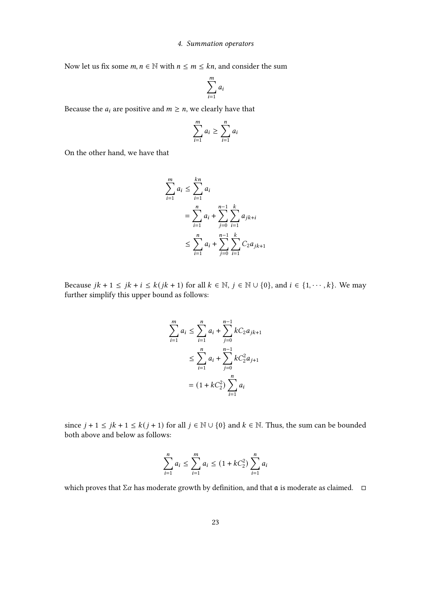Now let us fix some  $m, n \in \mathbb{N}$  with  $n \le m \le kn$ , and consider the sum

$$
\sum_{i=1}^m a_i
$$

Because the  $a_i$  are positive and  $m \ge n$ , we clearly have that

$$
\sum_{i=1}^{m} a_i \geq \sum_{i=1}^{n} a_i
$$

On the other hand, we have that

$$
\sum_{i=1}^{m} a_i \le \sum_{i=1}^{kn} a_i
$$
  
= 
$$
\sum_{i=1}^{n} a_i + \sum_{j=0}^{n-1} \sum_{i=1}^{k} a_{jk+i}
$$
  

$$
\le \sum_{i=1}^{n} a_i + \sum_{j=0}^{n-1} \sum_{i=1}^{k} C_2 a_{jk+1}
$$

Because  $jk + 1 \leq jk + i \leq k(jk + 1)$  for all  $k \in \mathbb{N}$ ,  $j \in \mathbb{N} \cup \{0\}$ , and  $i \in \{1, \dots, k\}$ . We may further simplify this upper bound as follows:

$$
\sum_{i=1}^{m} a_i \le \sum_{i=1}^{n} a_i + \sum_{j=0}^{n-1} kC_2 a_{jk+1}
$$
  

$$
\le \sum_{i=1}^{n} a_i + \sum_{j=0}^{n-1} kC_2^2 a_{j+1}
$$
  

$$
= (1 + kC_2^2) \sum_{i=1}^{n} a_i
$$

since  $j + 1 \leq jk + 1 \leq k(j + 1)$  for all  $j \in \mathbb{N} \cup \{0\}$  and  $k \in \mathbb{N}$ . Thus, the sum can be bounded both above and below as follows:

$$
\sum_{i=1}^{n} a_i \le \sum_{i=1}^{m} a_i \le (1 + kC_2^2) \sum_{i=1}^{n} a_i
$$

which proves that  $\Sigma \alpha$  has moderate growth by definition, and that  $\mathfrak a$  is moderate as claimed.  $\square$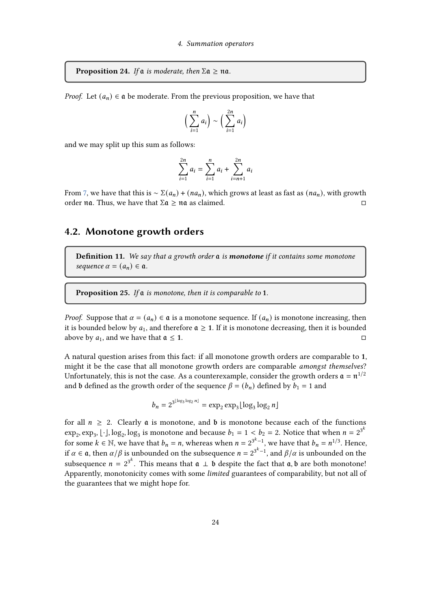<span id="page-23-1"></span>**Proposition 24.** If  $\alpha$  is moderate, then  $\Sigma \alpha \ge \alpha \alpha$ .

*Proof.* Let  $(a_n) \in \mathfrak{a}$  be moderate. From the previous proposition, we have that

$$
\left(\sum_{i=1}^n a_i\right) \sim \left(\sum_{i=1}^{2n} a_i\right)
$$

and we may split up this sum as follows:

$$
\sum_{i=1}^{2n} a_i = \sum_{i=1}^n a_i + \sum_{i=n+1}^{2n} a_i
$$

From [7,](#page-9-0) we have that this is  $\sim \Sigma(a_n) + (na_n)$ , which grows at least as fast as  $(na_n)$ , with growth order  $\pi a$ . Thus, we have that  $\Sigma a > \pi a$  as claimed.

## <span id="page-23-0"></span>4.2. Monotone growth orders

**Definition 11.** We say that a growth order  $a$  is **monotone** if it contains some monotone sequence  $\alpha = (a_n) \in \mathfrak{a}$ .

**Proposition 25.** If  $\alpha$  is monotone, then it is comparable to 1.

blog3

*Proof.* Suppose that  $\alpha = (a_n) \in \mathfrak{a}$  is a monotone sequence. If  $(a_n)$  is monotone increasing, then it is bounded below by  $a_1$ , and therefore  $\mathfrak{a} \geq 1$ . If it is monotone decreasing, then it is bounded above by  $a_1$ , and we have that  $a \le 1$ .

A natural question arises from this fact: if all monotone growth orders are comparable to 1, might it be the case that all monotone growth orders are comparable amongst themselves? Unfortunately, this is not the case. As a counterexample, consider the growth orders  $\mathfrak{a} = \mathfrak{n}^{1/2}$ and **b** defined as the growth order of the sequence  $\beta = (b_n)$  defined by  $b_1 = 1$  and

$$
b_n = 2^{3^{\lfloor \log_3 \log_2 n \rfloor}} = \exp_2 \exp_3 \lfloor \log_3 \log_2 n \rfloor
$$

for all  $n \geq 2$ . Clearly **a** is monotone, and **b** is monotone because each of the functions  $\exp_2, \exp_3, [\cdot]$ ,  $\log_2, \log_3$  is monotone and because  $b_1 = 1 < b_2 = 2$ . Notice that when  $n = 2^{3^k}$ for some  $k \in \mathbb{N}$ , we have that  $b_n = n$ , whereas when  $n = 2^{3^k - 1}$ , we have that  $b_n = n^{1/3}$ . Hence, if  $\alpha \in \mathfrak{a}$ , then  $\alpha/\beta$  is unbounded on the subsequence  $n = 2^{3^k-1}$ , and  $\beta/\alpha$  is unbounded on the subsequence  $n = 2^{3^k}$ . This means that  $\mathfrak{a} \perp \mathfrak{b}$  despite the fact that  $\mathfrak{a}, \mathfrak{b}$  are both monotone! Apparently, monotonicity comes with some limited guarantees of comparability, but not all of the guarantees that we might hope for.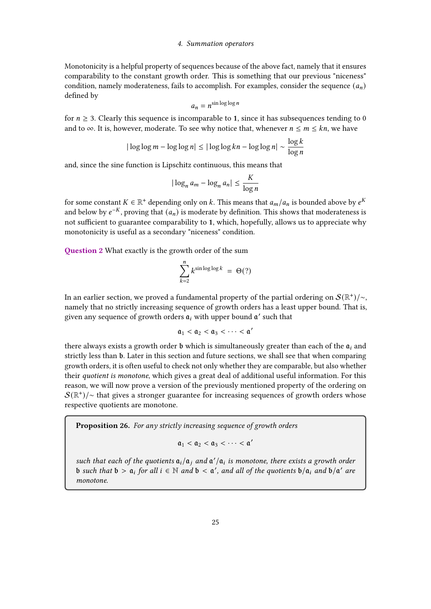Monotonicity is a helpful property of sequences because of the above fact, namely that it ensures comparability to the constant growth order. This is something that our previous "niceness" condition, namely moderateness, fails to accomplish. For examples, consider the sequence  $(a_n)$ defined by

$$
a_n = n^{\sin \log \log n}
$$

for  $n \geq 3$ . Clearly this sequence is incomparable to 1, since it has subsequences tending to 0 and to  $\infty$ . It is, however, moderate. To see why notice that, whenever  $n \le m \le kn$ , we have

$$
|\log\log m - \log\log n| \le |\log\log kn - \log\log n| \sim \frac{\log k}{\log n}
$$

and, since the sine function is Lipschitz continuous, this means that

$$
|\log_n a_m - \log_n a_n| \le \frac{K}{\log n}
$$

for some constant  $K \in \mathbb{R}^+$  depending only on  $k.$  This means that  $a_m/a_n$  is bounded above by  $e^K$ and below by  $e^{-K}$ , proving that  $(a_n)$  is moderate by definition. This shows that moderateness is not sufficient to guarantee comparability to 1, which, hopefully, allows us to appreciate why monotonicity is useful as a secondary "niceness" condition.

Question 2 What exactly is the growth order of the sum

$$
\sum_{k=2}^{n} k^{\sin \log \log k} = \Theta(?)
$$

In an earlier section, we proved a fundamental property of the partial ordering on  $\mathcal{S}(\mathbb{R}^+)/\sim$ , namely that no strictly increasing sequence of growth orders has a least upper bound. That is, given any sequence of growth orders  $a_i$  with upper bound  $a'$  such that

$$
\mathfrak{a}_1 < \mathfrak{a}_2 < \mathfrak{a}_3 < \cdots < \mathfrak{a}'
$$

there always exists a growth order  $\mathfrak b$  which is simultaneously greater than each of the  $\mathfrak a_i$  and strictly less than b. Later in this section and future sections, we shall see that when comparing growth orders, it is often useful to check not only whether they are comparable, but also whether their quotient is monotone, which gives a great deal of additional useful information. For this reason, we will now prove a version of the previously mentioned property of the ordering on  $\mathcal{S}(\mathbb{R}^+)/\sim$  that gives a stronger guarantee for increasing sequences of growth orders whose respective quotients are monotone.

Proposition 26. For any strictly increasing sequence of growth orders

$$
\mathfrak{a}_1 < \mathfrak{a}_2 < \mathfrak{a}_3 < \cdots < \mathfrak{a}'
$$

such that each of the quotients  $a_i/a_j$  and  $a'/a_i$  is monotone, there exists a growth order **b** such that  $\mathfrak{b} > \mathfrak{a}_i$  for all  $i \in \mathbb{N}$  and  $\mathfrak{b} < \mathfrak{a}'$ , and all of the quotients  $\mathfrak{b}/\mathfrak{a}_i$  and  $\mathfrak{b}/\mathfrak{a}'$  are monotone.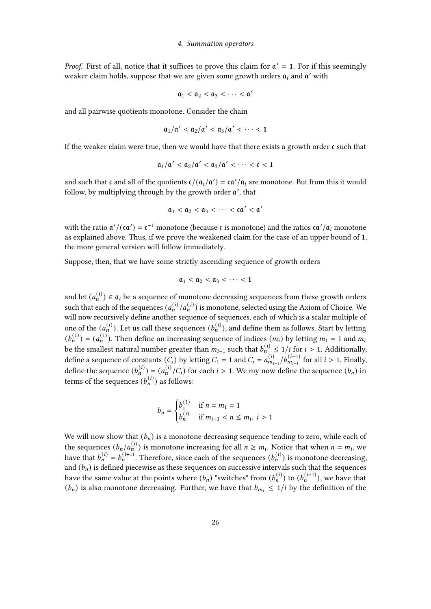*Proof.* First of all, notice that it suffices to prove this claim for  $a' = 1$ . For if this seemingly weaker claim holds, suppose that we are given some growth orders  $a_i$  and  $a'$  with

$$
\mathfrak{a}_1 < \mathfrak{a}_2 < \mathfrak{a}_3 < \cdots < \mathfrak{a}'
$$

and all pairwise quotients monotone. Consider the chain

$$
\mathfrak{a}_1/\mathfrak{a}' < \mathfrak{a}_2/\mathfrak{a}' < \mathfrak{a}_3/\mathfrak{a}' < \cdots < 1
$$

If the weaker claim were true, then we would have that there exists a growth order  $\mathfrak c$  such that

$$
\mathfrak{a}_1/\mathfrak{a}' < \mathfrak{a}_2/\mathfrak{a}' < \mathfrak{a}_3/\mathfrak{a}' < \cdots < \mathfrak{c} < 1
$$

and such that c and all of the quotients  $c/(\mathfrak{a}_i/\mathfrak{a}') = \frac{c\mathfrak{a}'}{a_i}$  are monotone. But from this it would follow, by multiplying through by the growth order  $\mathfrak{a}'$ , that

$$
\mathfrak{a}_1 < \mathfrak{a}_2 < \mathfrak{a}_3 < \cdots < \mathfrak{c} \mathfrak{a}' < \mathfrak{a}'
$$

with the ratio  $\mathfrak{a}'/(\mathfrak{c}\mathfrak{a}') = \mathfrak{c}^{-1}$  monotone (because  $\mathfrak{c}$  is monotone) and the ratios  $\mathfrak{c}\mathfrak{a}'/\mathfrak{a}_i$  monotone as explained above. Thus, if we prove the weakened claim for the case of an upper bound of 1, the more general version will follow immediately.

Suppose, then, that we have some strictly ascending sequence of growth orders

$$
\mathfrak{a}_1 < \mathfrak{a}_2 < \mathfrak{a}_3 < \cdots < 1
$$

and let  $(a_n^{(i)}) \in \mathfrak{a}_i$  be a sequence of monotone decreasing sequences from these growth orders such that each of the sequences  $(a_n^{(i)}/a_n^{(j)})$  is monotone, selected using the Axiom of Choice. We will now recursively define another sequence of sequences, each of which is a scalar multiple of one of the  $(a_n^{(i)})$ . Let us call these sequences  $(b_n^{(i)})$ , and define them as follows. Start by letting  $(b_n^{(1)}) = (a_n^{(1)})$ . Then define an increasing sequence of indices  $(m_i)$  by letting  $m_1 = 1$  and  $m_i$ be the smallest natural number greater than  $m_{i-1}$  such that  $b_n^{(i)} \leq 1/i$  for  $i > 1$ . Additionally, define a sequence of constants  $(C_i)$  by letting  $C_1 = 1$  and  $C_i = a_{m_{i-1}}^{(i)}/b_{m_{i-1}}^{(i-1)}$  for all  $i > 1$ . Finally, define the sequence  $(b_n^{(i)}) = (a_n^{(i)}/C_i)$  for each  $i > 1$ . We my now define the sequence  $(b_n)$  in terms of the sequences  $(b_n^{(i)})$  as follows:

$$
b_n = \begin{cases} b_1^{(1)} & \text{if } n = m_1 = 1\\ b_n^{(i)} & \text{if } m_{i-1} < n \le m_i, \ i > 1 \end{cases}
$$

We will now show that  $(b_n)$  is a monotone decreasing sequence tending to zero, while each of the sequences  $(b_n/a_n^{(i)})$  is monotone increasing for all  $n \ge m_i$ . Notice that when  $n = m_i$ , we have that  $b_n^{(i)} = b_n^{(i+1)}$ . Therefore, since each of the sequences  $(b_n^{(i)})$  is monotone decreasing, and  $(b_n)$  is defined piecewise as these sequences on successive intervals such that the sequences have the same value at the points where  $(b_n)$  "switches" from  $(b_n^{(i)})$  to  $(b_n^{(i+1)})$ , we have that  $(b_n)$  is also monotone decreasing. Further, we have that  $b_{m_i} \leq 1/i$  by the definition of the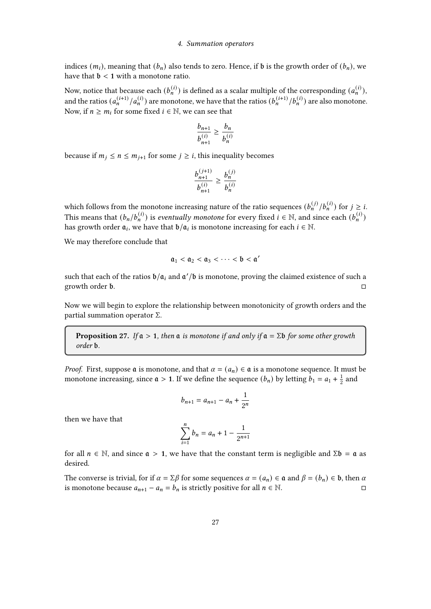indices  $(m_i)$ , meaning that  $(b_n)$  also tends to zero. Hence, if  $\mathfrak b$  is the growth order of  $(b_n)$ , we have that  $\mathfrak{b} < 1$  with a monotone ratio.

Now, notice that because each  $(b_n^{(i)})$  is defined as a scalar multiple of the corresponding  $(a_n^{(i)})$ , and the ratios  $(a_n^{(i+1)}/a_n^{(i)})$  are monotone, we have that the ratios  $(b_n^{(i+1)}/b_n^{(i)})$  are also monotone. Now, if  $n \geq m_i$  for some fixed  $i \in \mathbb{N}$ , we can see that

$$
\frac{b_{n+1}}{b_{n+1}^{(i)}} \ge \frac{b_n}{b_n^{(i)}}
$$

because if  $m_i \le n \le m_{i+1}$  for some  $j \ge i$ , this inequality becomes

$$
\frac{b_{n+1}^{(j+1)}}{b_{n+1}^{(i)}} \geq \frac{b_n^{(j)}}{b_n^{(i)}}
$$

which follows from the monotone increasing nature of the ratio sequences  $(b_n^{(j)}/b_n^{(i)})$  for  $j \geq i$ . This means that  $(b_n/b_n^{(i)})$  is *eventually monotone* for every fixed  $i \in \mathbb{N}$ , and since each  $(b_n^{(i)})$ has growth order  $a_i$ , we have that  $b/a_i$  is monotone increasing for each  $i \in \mathbb{N}$ .

We may therefore conclude that

$$
\mathfrak{a}_1 < \mathfrak{a}_2 < \mathfrak{a}_3 < \cdots < \mathfrak{b} < \mathfrak{a}'
$$

such that each of the ratios  $b/a_i$  and  $a'/b$  is monotone, proving the claimed existence of such a growth order  $\mathfrak{b}$ .

Now we will begin to explore the relationship between monotonicity of growth orders and the partial summation operator Σ.

**Proposition 27.** If  $a > 1$ , then  $a$  is monotone if and only if  $a = \Sigma b$  for some other growth order  $b$ .

*Proof.* First, suppose  $\alpha$  is monotone, and that  $\alpha = (a_n) \in \alpha$  is a monotone sequence. It must be monotone increasing, since  $\mathfrak{a} > 1$ . If we define the sequence  $(b_n)$  by letting  $b_1 = a_1 + \frac{1}{2}$  $rac{1}{2}$  and

$$
b_{n+1} = a_{n+1} - a_n + \frac{1}{2^n}
$$

then we have that

$$
\sum_{i=1}^{n} b_n = a_n + 1 - \frac{1}{2^{n+1}}
$$

for all  $n \in \mathbb{N}$ , and since  $\mathfrak{a} > 1$ , we have that the constant term is negligible and  $\Sigma \mathfrak{b} = \mathfrak{a}$  as desired.

The converse is trivial, for if  $\alpha = \sum \beta$  for some sequences  $\alpha = (a_n) \in \mathfrak{a}$  and  $\beta = (b_n) \in \mathfrak{b}$ , then  $\alpha$ is monotone because  $a_{n+1} - a_n = b_n$  is strictly positive for all  $n \in \mathbb{N}$ .  $\Box$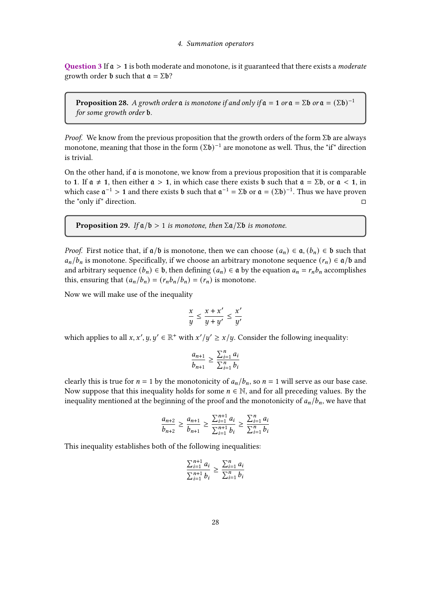Question 3 If  $a > 1$  is both moderate and monotone, is it guaranteed that there exists a *moderate* growth order **b** such that  $a = \Sigma b$ ?

**Proposition 28.** A growth order  $\mathfrak a$  is monotone if and only if  $\mathfrak a = \mathfrak 1$  or  $\mathfrak a = \Sigma \mathfrak b$  or  $\mathfrak a = (\Sigma \mathfrak b)^{-1}$ for some growth order b.

*Proof.* We know from the previous proposition that the growth orders of the form  $\Sigma$ b are always monotone, meaning that those in the form  $(\Sigma \mathfrak{b})^{-1}$  are monotone as well. Thus, the "if" direction is trivial.

On the other hand, if  $\alpha$  is monotone, we know from a previous proposition that it is comparable to 1. If  $a \neq 1$ , then either  $a > 1$ , in which case there exists b such that  $a = \Sigma b$ , or  $a < 1$ , in which case  $\mathfrak{a}^{-1} > 1$  and there exists **b** such that  $\mathfrak{a}^{-1} = \Sigma \mathfrak{b}$  or  $\mathfrak{a} = (\Sigma \mathfrak{b})^{-1}$ . Thus we have proven the "only if" direction.

**Proposition 29.** If  $a/b > 1$  is monotone, then  $\sum a/\sum b$  is monotone.

*Proof.* First notice that, if  $a/b$  is monotone, then we can choose  $(a_n) \in \mathfrak{a}, (b_n) \in \mathfrak{b}$  such that  $a_n/b_n$  is monotone. Specifically, if we choose an arbitrary monotone sequence  $(r_n) \in \mathfrak{a}/\mathfrak{b}$  and and arbitrary sequence  $(b_n) \in \mathfrak{b}$ , then defining  $(a_n) \in \mathfrak{a}$  by the equation  $a_n = r_n b_n$  accomplishes this, ensuring that  $(a_n/b_n) = (r_n b_n/b_n) = (r_n)$  is monotone.

Now we will make use of the inequality

$$
\frac{x}{y} \le \frac{x + x'}{y + y'} \le \frac{x'}{y'}
$$

which applies to all  $x, x', y, y' \in \mathbb{R}^+$  with  $x'/y' \ge x/y$ . Consider the following inequality:

$$
\frac{a_{n+1}}{b_{n+1}} \ge \frac{\sum_{i=1}^{n} a_i}{\sum_{i=1}^{n} b_i}
$$

clearly this is true for  $n = 1$  by the monotonicity of  $a_n/b_n$ , so  $n = 1$  will serve as our base case. Now suppose that this inequality holds for some  $n \in \mathbb{N}$ , and for all preceding values. By the inequality mentioned at the beginning of the proof and the monotonicity of  $a_n/b_n$ , we have that

$$
\frac{a_{n+2}}{b_{n+2}} \ge \frac{a_{n+1}}{b_{n+1}} \ge \frac{\sum_{i=1}^{n+1} a_i}{\sum_{i=1}^{n+1} b_i} \ge \frac{\sum_{i=1}^{n} a_i}{\sum_{i=1}^{n} b_i}
$$

This inequality establishes both of the following inequalities:

$$
\frac{\sum_{i=1}^{n+1} a_i}{\sum_{i=1}^{n+1} b_i} \ge \frac{\sum_{i=1}^{n} a_i}{\sum_{i=1}^{n} b_i}
$$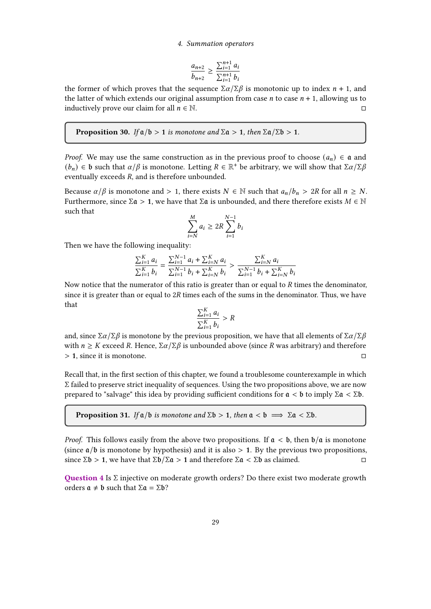$$
\frac{a_{n+2}}{b_{n+2}} \ge \frac{\sum_{i=1}^{n+1} a_i}{\sum_{i=1}^{n+1} b_i}
$$

the former of which proves that the sequence  $\Sigma\alpha/\Sigma\beta$  is monotonic up to index  $n + 1$ , and the latter of which extends our original assumption from case  $n$  to case  $n + 1$ , allowing us to inductively prove our claim for all  $n \in \mathbb{N}$ .

**Proposition 30.** If  $a/b > 1$  is monotone and  $\Sigma a > 1$ , then  $\Sigma a/\Sigma b > 1$ .

*Proof.* We may use the same construction as in the previous proof to choose  $(a_n) \in \mathfrak{a}$  and  $(b_n) \in \mathfrak{b}$  such that  $\alpha/\beta$  is monotone. Letting  $R \in \mathbb{R}^+$  be arbitrary, we will show that  $\Sigma \alpha/\Sigma \beta$ eventually exceeds  $R$ , and is therefore unbounded.

Because  $\alpha/\beta$  is monotone and > 1, there exists  $N \in \mathbb{N}$  such that  $a_n/b_n > 2R$  for all  $n \ge N$ . Furthermore, since  $\Sigma \mathfrak{a} > 1$ , we have that  $\Sigma \mathfrak{a}$  is unbounded, and there therefore exists  $M \in \mathbb{N}$ such that

$$
\sum_{i=N}^{M} a_i \ge 2R \sum_{i=1}^{N-1} b_i
$$

Then we have the following inequality:

$$
\frac{\sum_{i=1}^K a_i}{\sum_{i=1}^K b_i} = \frac{\sum_{i=1}^{N-1} a_i + \sum_{i=N}^K a_i}{\sum_{i=1}^{N-1} b_i + \sum_{i=N}^K b_i} > \frac{\sum_{i=N}^K a_i}{\sum_{i=1}^{N-1} b_i + \sum_{i=N}^K b_i}
$$

Now notice that the numerator of this ratio is greater than or equal to  $R$  times the denominator, since it is greater than or equal to  $2R$  times each of the sums in the denominator. Thus, we have that

$$
\frac{\sum_{i=1}^K a_i}{\sum_{i=1}^K b_i} > R
$$

and, since  $\Sigma\alpha/\Sigma\beta$  is monotone by the previous proposition, we have that all elements of  $\Sigma\alpha/\Sigma\beta$ with  $n \geq K$  exceed R. Hence,  $\Sigma \alpha / \Sigma \beta$  is unbounded above (since R was arbitrary) and therefore  $> 1$ , since it is monotone.

Recall that, in the first section of this chapter, we found a troublesome counterexample in which Σ failed to preserve strict inequality of sequences. Using the two propositions above, we are now prepared to "salvage" this idea by providing sufficient conditions for  $a < b$  to imply Σ $a < Σb$ .

**Proposition 31.** If  $\alpha/b$  is monotone and  $\Sigma$ **b** > 1, then  $\alpha < b$   $\implies \Sigma \alpha < \Sigma b$ .

*Proof.* This follows easily from the above two propositions. If  $a < b$ , then  $b/a$  is monotone (since  $a/b$  is monotone by hypothesis) and it is also  $> 1$ . By the previous two propositions, since  $\Sigma \mathfrak{b} > 1$ , we have that  $\Sigma \mathfrak{b}/\Sigma \mathfrak{a} > 1$  and therefore  $\Sigma \mathfrak{a} < \Sigma \mathfrak{b}$  as claimed.

Question 4 Is Σ injective on moderate growth orders? Do there exist two moderate growth orders  $a \neq b$  such that  $\Sigma a = \Sigma b$ ?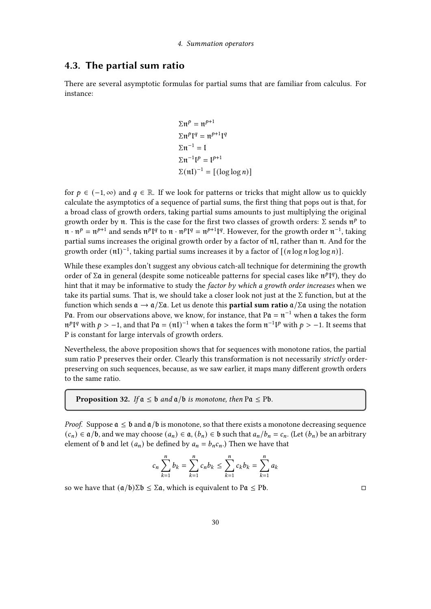## <span id="page-29-0"></span>4.3. The partial sum ratio

There are several asymptotic formulas for partial sums that are familiar from calculus. For instance:

$$
\Sigma \mathfrak{n}^p = \mathfrak{n}^{p+1}
$$
  
\n
$$
\Sigma \mathfrak{n}^p \mathfrak{l}^q = \mathfrak{n}^{p+1} \mathfrak{l}^q
$$
  
\n
$$
\Sigma \mathfrak{n}^{-1} = \mathfrak{l}
$$
  
\n
$$
\Sigma \mathfrak{n}^{-1} \mathfrak{l}^p = \mathfrak{l}^{p+1}
$$
  
\n
$$
\Sigma (\mathfrak{n} \mathfrak{l})^{-1} = [(\log \log n)]
$$

for  $p \in (-1, \infty)$  and  $q \in \mathbb{R}$ . If we look for patterns or tricks that might allow us to quickly calculate the asymptotics of a sequence of partial sums, the first thing that pops out is that, for a broad class of growth orders, taking partial sums amounts to just multiplying the original growth order by  $\pi$ . This is the case for the first two classes of growth orders:  $\Sigma$  sends  $\pi^p$  to  $\mathfrak{n} \cdot \mathfrak{n}^p = \mathfrak{n}^{p+1}$  and sends  $\mathfrak{n}^p \mathfrak{l}^q$  to  $\mathfrak{n} \cdot \mathfrak{n}^p \mathfrak{l}^q = \mathfrak{n}^{p+1} \mathfrak{l}^q$ . However, for the growth order  $\mathfrak{n}^{-1}$ , taking partial sums increases the original growth order by a factor of  $nI$ , rather than  $n$ . And for the growth order  $(\mathfrak{nl})^{-1}$ , taking partial sums increases it by a factor of  $[(n \log n \log \log n)]$ .

While these examples don't suggest any obvious catch-all technique for determining the growth order of Σα in general (despite some noticeable patterns for special cases like  $π<sup>p</sup>[<sup>q</sup>]$ ), they do hint that it may be informative to study the *factor by which a growth order increases* when we take its partial sums. That is, we should take a closer look not just at the Σ function, but at the function which sends  $\mathfrak{a} \to \mathfrak{a}/\Sigma \mathfrak{a}$ . Let us denote this **partial sum ratio**  $\mathfrak{a}/\Sigma \mathfrak{a}$  using the notation Pa. From our observations above, we know, for instance, that P $\mathfrak{a} = \mathfrak{n}^{-1}$  when  $\mathfrak{a}$  takes the form  $\mathfrak{m}^p$ I<sup>q</sup> with  $p > -1$ , and that P $\mathfrak{a} = (\mathfrak{m}I)^{-1}$  when  $\mathfrak{a}$  takes the form  $\mathfrak{n}^{-1}$ I<sup>p</sup> with  $p > -1$ . It seems that P is constant for large intervals of growth orders.

Nevertheless, the above proposition shows that for sequences with monotone ratios, the partial sum ratio P preserves their order. Clearly this transformation is not necessarily strictly orderpreserving on such sequences, because, as we saw earlier, it maps many different growth orders to the same ratio.

**Proposition 32.** If  $a \leq b$  and  $a/b$  is monotone, then Pa  $\leq$  Pb.

*Proof.* Suppose  $\mathfrak{a} \leq \mathfrak{b}$  and  $\mathfrak{a}/\mathfrak{b}$  is monotone, so that there exists a monotone decreasing sequence  $(c_n) \in \mathfrak{a}/\mathfrak{b}$ , and we may choose  $(a_n) \in \mathfrak{a}, (b_n) \in \mathfrak{b}$  such that  $a_n/b_n = c_n$ . (Let  $(b_n)$  be an arbitrary element of **b** and let  $(a_n)$  be defined by  $a_n = b_n c_n$ .) Then we have that

$$
c_n \sum_{k=1}^n b_k = \sum_{k=1}^n c_n b_k \le \sum_{k=1}^n c_k b_k = \sum_{k=1}^n a_k
$$

so we have that  $(a/b)\Sigma b \leq \Sigma a$ , which is equivalent to Pa  $\leq$  Pb.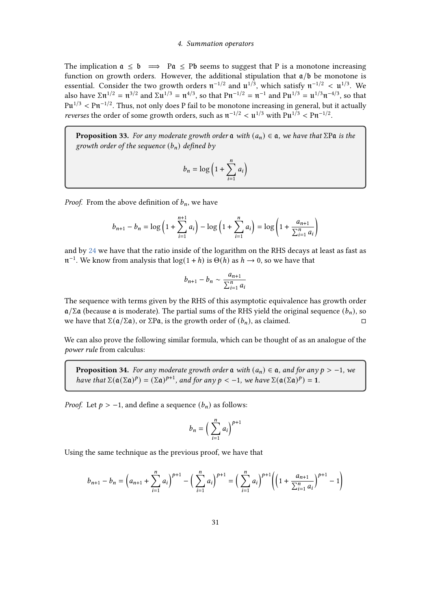The implication  $a \leq b \implies Pa \leq Pb$  seems to suggest that P is a monotone increasing function on growth orders. However, the additional stipulation that  $a/b$  be monotone is essential. Consider the two growth orders  $\mathfrak{n}^{-1/2}$  and  $\mathfrak{u}^{1/3}$ , which satisfy  $\mathfrak{n}^{-1/2} < \mathfrak{u}^{1/3}$ . We also have  $\Sigma \mathfrak{n}^{1/2} = \mathfrak{n}^{3/2}$  and  $\Sigma \mathfrak{u}^{1/3} = \mathfrak{n}^{4/3}$ , so that  $P\mathfrak{n}^{-1/2} = \mathfrak{n}^{-1}$  and  $P\mathfrak{u}^{1/3} = \mathfrak{u}^{1/3} \mathfrak{n}^{-4/3}$ , so that  ${\rm P}\mathfrak{u}^{1/3}<{\rm P}\mathfrak{n}^{-1/2}.$  Thus, not only does P fail to be monotone increasing in general, but it actually *reverses* the order of some growth orders, such as  $\pi^{-1/2} < \mu^{1/3}$  with  $Pu^{1/3} < Pu^{-1/2}$ .

**Proposition 33.** For any moderate growth order  $\alpha$  with  $(a_n) \in \alpha$ , we have that  $\Sigma$ P $\alpha$  is the growth order of the sequence  $(b_n)$  defined by

$$
b_n = \log\left(1 + \sum_{i=1}^n a_i\right)
$$

*Proof.* From the above definition of  $b_n$ , we have

$$
b_{n+1} - b_n = \log\left(1 + \sum_{i=1}^{n+1} a_i\right) - \log\left(1 + \sum_{i=1}^{n} a_i\right) = \log\left(1 + \frac{a_{n+1}}{\sum_{i=1}^{n} a_i}\right)
$$

and by [24](#page-23-1) we have that the ratio inside of the logarithm on the RHS decays at least as fast as  $\mathfrak{n}^{-1}$ . We know from analysis that  $\log(1 + h)$  is  $\Theta(h)$  as  $h \to 0$ , so we have that

$$
b_{n+1} - b_n \sim \frac{a_{n+1}}{\sum_{i=1}^n a_i}
$$

The sequence with terms given by the RHS of this asymptotic equivalence has growth order  $\alpha/\Sigma\alpha$  (because  $\alpha$  is moderate). The partial sums of the RHS yield the original sequence  $(b_n)$ , so we have that  $\Sigma$ ( $\alpha/\Sigma$  $\alpha$ ), or  $\Sigma$ P $\alpha$ , is the growth order of  $(b_n)$ , as claimed.

We can also prove the following similar formula, which can be thought of as an analogue of the power rule from calculus:

**Proposition 34.** For any moderate growth order  $\mathfrak{a}$  with  $(a_n) \in \mathfrak{a}$ , and for any  $p > -1$ , we have that  $\Sigma(\mathfrak{a}(\Sigma \mathfrak{a})^p) = (\Sigma \mathfrak{a})^{p+1}$ , and for any  $p < -1$ , we have  $\Sigma(\mathfrak{a}(\Sigma \mathfrak{a})^p) = 1$ .

*Proof.* Let  $p > -1$ , and define a sequence  $(b_n)$  as follows:

$$
b_n = \left(\sum_{i=1}^n a_i\right)^{p+1}
$$

Using the same technique as the previous proof, we have that

$$
b_{n+1} - b_n = \left(a_{n+1} + \sum_{i=1}^n a_i\right)^{p+1} - \left(\sum_{i=1}^n a_i\right)^{p+1} = \left(\sum_{i=1}^n a_i\right)^{p+1} \left(\left(1 + \frac{a_{n+1}}{\sum_{i=1}^n a_i}\right)^{p+1} - 1\right)
$$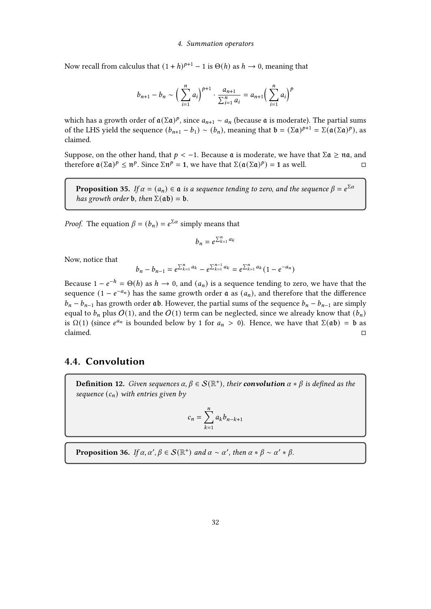Now recall from calculus that  $(1 + h)^{p+1} - 1$  is  $\Theta(h)$  as  $h \to 0$ , meaning that

$$
b_{n+1} - b_n \sim \left(\sum_{i=1}^n a_i\right)^{p+1} \cdot \frac{a_{n+1}}{\sum_{i=1}^n a_i} = a_{n+1} \left(\sum_{i=1}^n a_i\right)^p
$$

which has a growth order of  $\mathfrak{a}(\Sigma \mathfrak{a})^p$ , since  $a_{n+1} \sim a_n$  (because  $\mathfrak{a}$  is moderate). The partial sums of the LHS yield the sequence  $(b_{n+1} - b_1) \sim (b_n)$ , meaning that  $\mathfrak{b} = (\Sigma \mathfrak{a})^{p+1} = \Sigma (\mathfrak{a}(\Sigma \mathfrak{a})^p)$ , as claimed.

Suppose, on the other hand, that  $p < -1$ . Because  $\mathfrak a$  is moderate, we have that  $\Sigma \mathfrak a \geq \mathfrak n \mathfrak a$ , and therefore  $\mathfrak{a}(\Sigma \mathfrak{a})^p \leq \mathfrak{n}^p$ . Since  $\Sigma \mathfrak{n}^p = 1$ , we have that  $\Sigma(\mathfrak{a}(\Sigma \mathfrak{a})^p) = 1$  as well.

**Proposition 35.** If  $\alpha = (a_n) \in \mathfrak{a}$  is a sequence tending to zero, and the sequence  $\beta = e^{\sum \alpha}$ has growth order **b**, then  $\Sigma$ ( $\alpha$ **b**) = **b**.

*Proof.* The equation  $\beta = (b_n) = e^{\sum \alpha}$  simply means that

$$
b_n = e^{\sum_{k=1}^n a_k}
$$

Now, notice that

$$
b_n - b_{n-1} = e^{\sum_{k=1}^{n} a_k} - e^{\sum_{k=1}^{n-1} a_k} = e^{\sum_{k=1}^{n} a_k} (1 - e^{-a_n})
$$

Because  $1 - e^{-h} = \Theta(h)$  as  $h \to 0$ , and  $(a_n)$  is a sequence tending to zero, we have that the sequence  $(1 - e^{-a_n})$  has the same growth order  $\alpha$  as  $(a_n)$ , and therefore that the difference  $b_n - b_{n-1}$  has growth order ab. However, the partial sums of the sequence  $b_n - b_{n-1}$  are simply equal to  $b_n$  plus  $O(1)$ , and the  $O(1)$  term can be neglected, since we already know that  $(b_n)$ is  $\Omega(1)$  (since  $e^{a_n}$  is bounded below by 1 for  $a_n > 0$ ). Hence, we have that  $\Sigma(\mathfrak{a}\mathfrak{b}) = \mathfrak{b}$  as  $\Box$ claimed.

## <span id="page-31-0"></span>4.4. Convolution

**Definition 12.** Given sequences  $\alpha, \beta \in \mathcal{S}(\mathbb{R}^+)$ , their **convolution**  $\alpha * \beta$  is defined as the sequence  $(c_n)$  with entries given by

$$
c_n = \sum_{k=1}^n a_k b_{n-k+1}
$$

**Proposition 36.** If  $\alpha$ ,  $\alpha'$ ,  $\beta \in S(\mathbb{R}^+)$  and  $\alpha \sim \alpha'$ , then  $\alpha * \beta \sim \alpha' * \beta$ .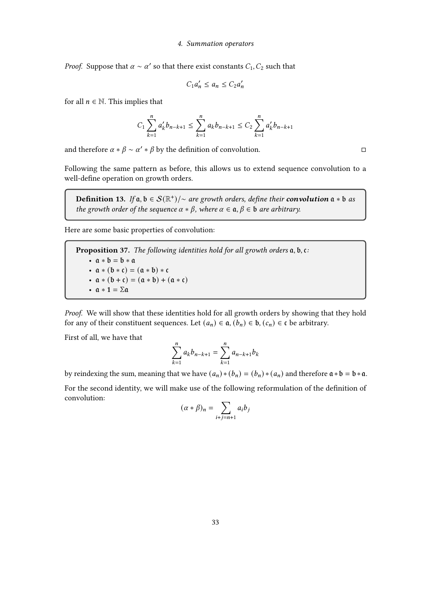*Proof.* Suppose that  $\alpha \sim \alpha'$  so that there exist constants  $C_1, C_2$  such that

$$
C_1 a'_n \le a_n \le C_2 a'_n
$$

for all  $n \in \mathbb{N}$ . This implies that

$$
C_1 \sum_{k=1}^n a'_k b_{n-k+1} \le \sum_{k=1}^n a_k b_{n-k+1} \le C_2 \sum_{k=1}^n a'_k b_{n-k+1}
$$

and therefore  $\alpha * \beta \sim \alpha' * \beta$  by the definition of convolution.  $□$ 

Following the same pattern as before, this allows us to extend sequence convolution to a well-define operation on growth orders.

**Definition 13.** If  $a, b \in S(\mathbb{R}^+)$ /~ are growth orders, define their **convolution**  $a * b$  as the growth order of the sequence  $\alpha * \beta$ , where  $\alpha \in \mathfrak{a}, \beta \in \mathfrak{b}$  are arbitrary.

Here are some basic properties of convolution:

**Proposition 37.** The following identities hold for all growth orders  $a, b, c$ : •  $a * b = b * a$ •  $a * (b * c) = (a * b) * c$ •  $a * (b + c) = (a * b) + (a * c)$ •  $\alpha * 1 = \Sigma \alpha$ 

Proof. We will show that these identities hold for all growth orders by showing that they hold for any of their constituent sequences. Let  $(a_n) \in \mathfrak{a}$ ,  $(b_n) \in \mathfrak{b}$ ,  $(c_n) \in \mathfrak{c}$  be arbitrary.

First of all, we have that

$$
\sum_{k=1}^{n} a_k b_{n-k+1} = \sum_{k=1}^{n} a_{n-k+1} b_k
$$

by reindexing the sum, meaning that we have  $(a_n) * (b_n) = (b_n) * (a_n)$  and therefore  $a * b = b * a$ .

For the second identity, we will make use of the following reformulation of the definition of convolution:

$$
(\alpha * \beta)_n = \sum_{i+j=n+1} a_i b_j
$$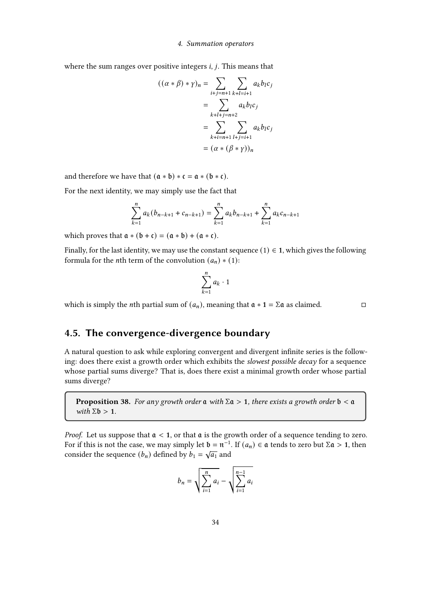where the sum ranges over positive integers  $i$ ,  $j$ . This means that

$$
((\alpha * \beta) * \gamma)_n = \sum_{i+j=n+1} \sum_{k+l=i+1} a_k b_l c_j
$$

$$
= \sum_{k+l+j=n+2} a_k b_l c_j
$$

$$
= \sum_{k+i=n+1} \sum_{l+j=i+1} a_k b_l c_j
$$

$$
= (\alpha * (\beta * \gamma))_n
$$

and therefore we have that  $(a * b) * c = a * (b * c)$ .

For the next identity, we may simply use the fact that

$$
\sum_{k=1}^{n} a_k (b_{n-k+1} + c_{n-k+1}) = \sum_{k=1}^{n} a_k b_{n-k+1} + \sum_{k=1}^{n} a_k c_{n-k+1}
$$

which proves that  $\mathfrak{a} * (\mathfrak{b} + \mathfrak{c}) = (\mathfrak{a} * \mathfrak{b}) + (\mathfrak{a} * \mathfrak{c}).$ 

Finally, for the last identity, we may use the constant sequence (1)  $\in$  1, which gives the following formula for the *n*th term of the convolution  $(a_n) * (1)$ :

$$
\sum_{k=1}^n a_k \cdot 1
$$

which is simply the *n*th partial sum of  $(a_n)$ , meaning that  $a * 1 = \Sigma a$  as claimed.

## <span id="page-33-0"></span>4.5. The convergence-divergence boundary

A natural question to ask while exploring convergent and divergent infinite series is the following: does there exist a growth order which exhibits the slowest possible decay for a sequence whose partial sums diverge? That is, does there exist a minimal growth order whose partial sums diverge?

**Proposition 38.** For any growth order  $\mathfrak a$  with  $\Sigma \mathfrak a > 1$ , there exists a growth order  $\mathfrak b < \mathfrak a$ with  $\Sigma$ **b** > 1.

*Proof.* Let us suppose that  $a < 1$ , or that  $a$  is the growth order of a sequence tending to zero. For if this is not the case, we may simply let  $\mathfrak{b} = \mathfrak{n}^{-1}$ . If  $(a_n) \in \mathfrak{a}$  tends to zero but  $\Sigma \mathfrak{a} > 1$ , then consider the sequence  $(b_n)$  defined by  $b_1 = \sqrt{a_1}$  and

$$
b_n = \sqrt{\sum_{i=1}^n a_i} - \sqrt{\sum_{i=1}^{n-1} a_i}
$$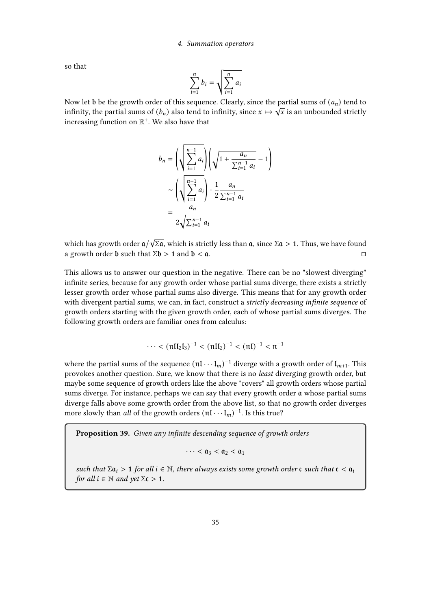so that

$$
\sum_{i=1}^{n} b_i = \sqrt{\sum_{i=1}^{n} a_i}
$$

Now let b be the growth order of this sequence. Clearly, since the partial sums of  $(a_n)$  tend to infinity, the partial sums of  $(b_n)$  also tend to infinity, since  $x \mapsto \sqrt{x}$  is an unbounded strictly increasing function on  $\mathbb{R}^+$ . We also have that

$$
b_n = \left(\sqrt{\sum_{i=1}^{n-1} a_i}\right) \left(\sqrt{1 + \frac{a_n}{\sum_{i=1}^{n-1} a_i}} - 1\right)
$$
  

$$
\sim \left(\sqrt{\sum_{i=1}^{n-1} a_i}\right) \cdot \frac{1}{2} \frac{a_n}{\sum_{i=1}^{n-1} a_i}
$$
  

$$
= \frac{a_n}{2\sqrt{\sum_{i=1}^{n-1} a_i}}
$$

which has growth order  $a/$  $\sqrt{\sum a}$ , which is strictly less than  $a$ , since  $\Sigma a > 1$ . Thus, we have found a growth order **b** such that  $\Sigma \mathfrak{b} > 1$  and  $\mathfrak{b} < \mathfrak{a}$ .

This allows us to answer our question in the negative. There can be no "slowest diverging" infinite series, because for any growth order whose partial sums diverge, there exists a strictly lesser growth order whose partial sums also diverge. This means that for any growth order with divergent partial sums, we can, in fact, construct a *strictly decreasing infinite sequence* of growth orders starting with the given growth order, each of whose partial sums diverges. The following growth orders are familiar ones from calculus:

$$
\cdots < (\pi II_2 I_3)^{-1} < (\pi II_2)^{-1} < (\pi I)^{-1} < \pi^{-1}
$$

where the partial sums of the sequence  $(\mathfrak{n} \mathfrak{l} \cdots \mathfrak{l}_m)^{-1}$  diverge with a growth order of  $\mathfrak{l}_{m+1}$ . This provokes another question. Sure, we know that there is no least diverging growth order, but maybe some sequence of growth orders like the above "covers" all growth orders whose partial sums diverge. For instance, perhaps we can say that every growth order  $\alpha$  whose partial sums diverge falls above some growth order from the above list, so that no growth order diverges more slowly than *all* of the growth orders  $(\mathfrak{n} \mathfrak{l} \cdots \mathfrak{l}_m)^{-1}$ . Is this true?

Proposition 39. Given any infinite descending sequence of growth orders

$$
\cdots < \mathfrak{a}_3 < \mathfrak{a}_2 < \mathfrak{a}_1
$$

such that  $\Sigma \mathfrak{a}_i > 1$  for all  $i \in \mathbb{N}$ , there always exists some growth order  $\mathfrak{c}$  such that  $\mathfrak{c} < \mathfrak{a}_i$ for all  $i \in \mathbb{N}$  and  $\gamma$ et  $\Sigma \mathfrak{c} > 1$ .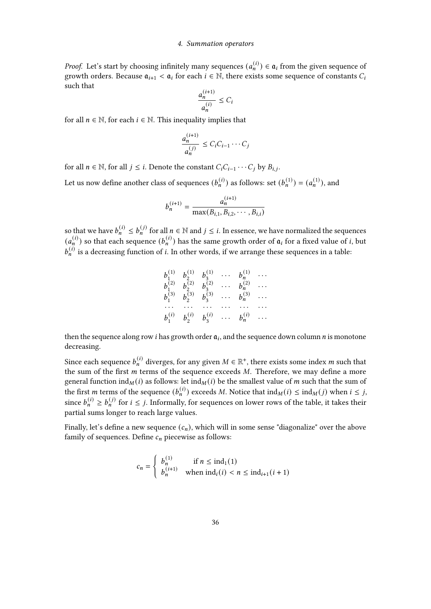*Proof.* Let's start by choosing infinitely many sequences  $(a_n^{(i)}) \in \mathfrak{a}_i$  from the given sequence of growth orders. Because  $a_{i+1} < a_i$  for each  $i \in \mathbb{N}$ , there exists some sequence of constants  $C_i$ such that

$$
\frac{a_n^{(i+1)}}{a_n^{(i)}} \le C_i
$$

for all  $n \in \mathbb{N}$ , for each  $i \in \mathbb{N}$ . This inequality implies that

$$
\frac{a_n^{(i+1)}}{a_n^{(j)}} \le C_i C_{i-1} \cdots C_j
$$

for all  $n \in \mathbb{N}$ , for all  $j \leq i$ . Denote the constant  $C_i C_{i-1} \cdots C_j$  by  $B_{i,j}$ .

Let us now define another class of sequences  $(b_n^{(i)})$  as follows: set  $(b_n^{(1)}) = (a_n^{(1)})$ , and

$$
b_n^{(i+1)} = \frac{a_n^{(i+1)}}{\max(B_{i,1}, B_{i,2}, \cdots, B_{i,i})}
$$

so that we have  $b_n^{(i)} \leq b_n^{(j)}$  for all  $n \in \mathbb{N}$  and  $j \leq i$ . In essence, we have normalized the sequences  $(a_n^{(i)})$  so that each sequence  $(b_n^{(i)})$  has the same growth order of  $a_i$  for a fixed value of *i*, but  $b_n^{(i)}$  is a decreasing function of *i*. In other words, if we arrange these sequences in a table:

$$
\begin{matrix}\nb_1^{(1)} & b_2^{(1)} & b_3^{(1)} & \cdots & b_n^{(1)} & \cdots \\
b_1^{(2)} & b_2^{(2)} & b_3^{(2)} & \cdots & b_n^{(2)} & \cdots \\
b_1^{(3)} & b_2^{(3)} & b_3^{(3)} & \cdots & b_n^{(3)} & \cdots \\
\cdots & \cdots & \cdots & \cdots & \cdots & \cdots \\
b_1^{(i)} & b_2^{(i)} & b_3^{(i)} & \cdots & b_n^{(i)} & \cdots\n\end{matrix}
$$

then the sequence along row *i* has growth order  $a_i$ , and the sequence down column *n* is monotone decreasing.

Since each sequence  $b_n^{(i)}$  diverges, for any given  $M \in \mathbb{R}^+$ , there exists some index  $m$  such that the sum of the first  $m$  terms of the sequence exceeds  $M$ . Therefore, we may define a more general function ind<sub>M</sub>(*i*) as follows: let ind<sub>M</sub>(*i*) be the smallest value of *m* such that the sum of the first *m* terms of the sequence  $(b_n^{(i)})$  exceeds *M*. Notice that  $\text{ind}_M(i) \leq \text{ind}_M(j)$  when  $i \leq j$ , since  $b_n^{(i)} \ge b_n^{(j)}$  for  $i \le j$ . Informally, for sequences on lower rows of the table, it takes their partial sums longer to reach large values.

Finally, let's define a new sequence  $(c_n)$ , which will in some sense "diagonalize" over the above family of sequences. Define  $c_n$  piecewise as follows:

$$
c_n = \begin{cases} b_n^{(1)} & \text{if } n \le \text{ind}_1(1) \\ b_n^{(i+1)} & \text{when } \text{ind}_i(i) < n \le \text{ind}_{i+1}(i+1) \end{cases}
$$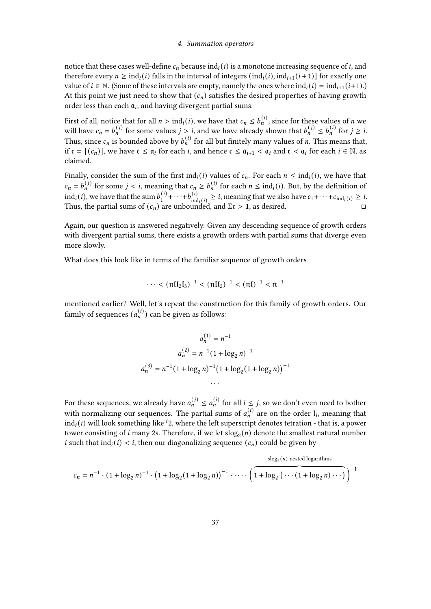#### 4. Summation operators

notice that these cases well-define  $c_n$  because ind<sub>i</sub>(i) is a monotone increasing sequence of *i*, and therefore every  $n \geq \text{ind}_i(i)$  falls in the interval of integers  $(\text{ind}_i(i), \text{ind}_{i+1}(i+1))$  for exactly one value of  $i \in \mathbb{N}$ . (Some of these intervals are empty, namely the ones where  $ind_i(i) = ind_{i+1}(i+1)$ .) At this point we just need to show that  $(c_n)$  satisfies the desired properties of having growth order less than each  $a_i$ , and having divergent partial sums.

First of all, notice that for all  $n > \text{ind}_i(i)$ , we have that  $c_n \leq b_n^{(i)}$ , since for these values of n we will have  $c_n = b_n^{(j)}$  for some values  $j > i$ , and we have already shown that  $b_n^{(j)} \le b_n^{(i)}$  for  $j \ge i$ . Thus, since  $c_n$  is bounded above by  $b_n^{(i)}$  for all but finitely many values of *n*. This means that, if  $\mathfrak{c} = [(c_n)]$ , we have  $\mathfrak{c} \leq \mathfrak{a}_i$  for each *i*, and hence  $\mathfrak{c} \leq \mathfrak{a}_{i+1} < \mathfrak{a}_i$  and  $\mathfrak{c} < \mathfrak{a}_i$  for each  $i \in \mathbb{N}$ , as claimed.

Finally, consider the sum of the first ind<sub>i</sub>(i) values of  $c_n$ . For each  $n \leq \text{ind}_i(i)$ , we have that  $c_n = b_n^{(j)}$  for some  $j < i$ , meaning that  $c_n \ge b_n^{(i)}$  for each  $n \le \text{ind}_i(i)$ . But, by the definition of  $ind_i(i)$ , we have that the sum  $b_1^{(i)}$  $1^{(i)} + \cdots + b_{\text{inc}}^{(i)}$  $\lim_{\text{ind}_i(i)} \geq i$ , meaning that we also have  $c_1 + \cdots + c_{\text{ind}_i(i)} \geq i$ . Thus, the partial sums of  $(c_n)$  are unbounded, and  $\Sigma \mathfrak{c} > 1$ , as desired.

Again, our question is answered negatively. Given any descending sequence of growth orders with divergent partial sums, there exists a growth orders with partial sums that diverge even more slowly.

What does this look like in terms of the familiar sequence of growth orders

$$
\cdots < (\pi II_2 I_3)^{-1} < (\pi II_2)^{-1} < (\pi I)^{-1} < \pi^{-1}
$$

mentioned earlier? Well, let's repeat the construction for this family of growth orders. Our family of sequences  $(a_n^{(i)})$  can be given as follows:

$$
a_n^{(1)} = n^{-1}
$$
  
\n
$$
a_n^{(2)} = n^{-1} (1 + \log_2 n)^{-1}
$$
  
\n
$$
a_n^{(3)} = n^{-1} (1 + \log_2 n)^{-1} (1 + \log_2 (1 + \log_2 n))^{-1}
$$
  
\n...

For these sequences, we already have  $a_n^{(j)} \le a_n^{(i)}$  for all  $i \le j$ , so we don't even need to bother with normalizing our sequences. The partial sums of  $a_n^{(i)}$  are on the order  $I_i$ , meaning that  $ind_i(i)$  will look something like <sup>*i*</sup>2, where the left superscript denotes tetration - that is, a power tower consisting of *i* many 2s. Therefore, if we let  $\text{slog}_2(n)$  denote the smallest natural number i such that  $\text{ind}_i(i) < i$ , then our diagonalizing sequence  $(c_n)$  could be given by

$$
c_n = n^{-1} \cdot (1 + \log_2 n)^{-1} \cdot (1 + \log_2 (1 + \log_2 n))^{-1} \cdot \dots \cdot \left( \overbrace{1 + \log_2 \left( \dots (1 + \log_2 n) \dots \right)}^{s \log_2(n) \text{ nested logarithms}} \right)^{-1}
$$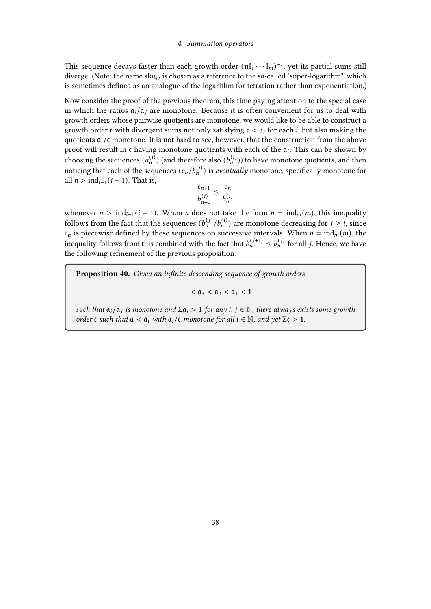#### 4. Summation operators

This sequence decays faster than each growth order  $(\mathfrak{n} \mathfrak{l}_1 \cdots \mathfrak{l}_m)^{-1}$ , yet its partial sums still diverge. (Note: the name  $\mathrm{slog}_2$  is chosen as a reference to the so-called "super-logarithm", which is sometimes defined as an analogue of the logarithm for tetration rather than exponentiation.)

Now consider the proof of the previous theorem, this time paying attention to the special case in which the ratios  $a_i/a_i$  are monotone. Because it is often convenient for us to deal with growth orders whose pairwise quotients are monotone, we would like to be able to construct a growth order  $\epsilon$  with divergent sums not only satisfying  $\epsilon < \mathfrak{a}_i$  for each *i*, but also making the quotients  $a_i/c$  monotone. It is not hard to see, however, that the construction from the above proof will result in  $\mathfrak c$  having monotone quotients with each of the  $\mathfrak a_i$ . This can be shown by choosing the sequences  $(a_n^{(i)})$  (and therefore also  $(b_n^{(i)})$ ) to have monotone quotients, and then noticing that each of the sequences  $(c_n/b_n^{(i)})$  is *eventually* monotone, specifically monotone for all  $n > \text{ind}_{i-1}(i-1)$ . That is,

$$
\frac{c_{n+1}}{b_{n+1}^{(i)}} \le \frac{c_n}{b_n^{(i)}}
$$

whenever  $n > \text{ind}_{i-1}(i-1)$ . When *n* does not take the form  $n = \text{ind}_m(m)$ , this inequality follows from the fact that the sequences  $(b_n^{(j)}/b_n^{(i)})$  are monotone decreasing for  $j \ge i$ , since  $c_n$  is piecewise defined by these sequences on successive intervals. When  $n = ind_m(m)$ , the inequality follows from this combined with the fact that  $b_n^{(j+1)} \le b_n^{(j)}$  for all j. Hence, we have the following refinement of the previous proposition:

Proposition 40. Given an infinite descending sequence of growth orders

 $\cdots < \mathfrak{a}_3 < \mathfrak{a}_2 < \mathfrak{a}_1 < 1$ 

such that  $a_i/a_j$  is monotone and  $\Sigma a_i > 1$  for any  $i, j \in \mathbb{N}$ , there always exists some growth order  $\mathfrak c$  such that  $\mathfrak a < \mathfrak a_i$  with  $\mathfrak a_i/\mathfrak c$  monotone for all  $i \in \mathbb N$ , and yet  $\Sigma \mathfrak c > 1$ .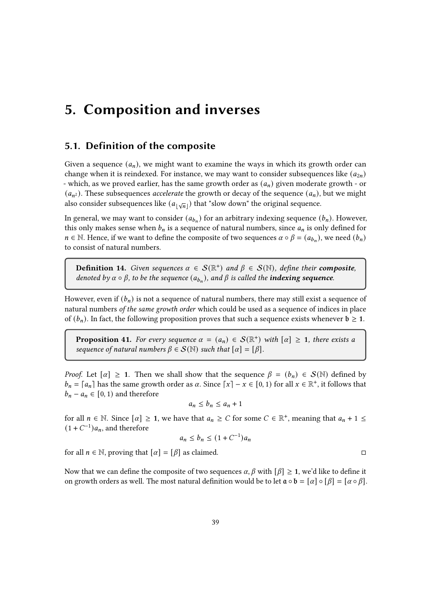# 5. Composition and inverses

# 5.1. Definition of the composite

Given a sequence  $(a_n)$ , we might want to examine the ways in which its growth order can change when it is reindexed. For instance, we may want to consider subsequences like  $(a_{2n})$ - which, as we proved earlier, has the same growth order as  $(a_n)$  given moderate growth - or  $(a_{n^2})$ . These subsequences *accelerate* the growth or decay of the sequence  $(a_n)$ , but we might also consider subsequences like  $(a_{\lfloor \sqrt{n} \rfloor})$  that "slow down" the original sequence.

In general, we may want to consider  $(a_{b_n})$  for an arbitrary indexing sequence  $(b_n)$ . However, this only makes sense when  $b_n$  is a sequence of natural numbers, since  $a_n$  is only defined for  $n \in \mathbb{N}$ . Hence, if we want to define the composite of two sequences  $\alpha \circ \beta = (a_{b_n})$ , we need  $(b_n)$ to consist of natural numbers.

**Definition 14.** Given sequences  $\alpha \in S(\mathbb{R}^+)$  and  $\beta \in S(\mathbb{N})$ , define their **composite**, denoted by  $\alpha \circ \beta$ , to be the sequence  $(a_{b_n})$ , and  $\beta$  is called the **indexing sequence**.

However, even if  $(b_n)$  is not a sequence of natural numbers, there may still exist a sequence of natural numbers of the same growth order which could be used as a sequence of indices in place of  $(b_n)$ . In fact, the following proposition proves that such a sequence exists whenever  $b \ge 1$ .

**Proposition 41.** For every sequence  $\alpha = (a_n) \in S(\mathbb{R}^+)$  with  $[\alpha] \geq 1$ , there exists a sequence of natural numbers  $\beta \in \mathcal{S}(\mathbb{N})$  such that  $[\alpha] = [\beta]$ .

*Proof.* Let  $[\alpha] \geq 1$ . Then we shall show that the sequence  $\beta = (b_n) \in S(\mathbb{N})$  defined by  $b_n = [a_n]$  has the same growth order as  $\alpha$ . Since  $\lceil x \rceil - x \in [0, 1)$  for all  $x \in \mathbb{R}^+$ , it follows that  $b_n - a_n \in [0, 1)$  and therefore

$$
a_n \le b_n \le a_n + 1
$$

for all  $n \in \mathbb{N}$ . Since  $[\alpha] \geq 1$ , we have that  $a_n \geq C$  for some  $C \in \mathbb{R}^+$ , meaning that  $a_n + 1 \leq$  $(1 + C^{-1})a_n$ , and therefore

$$
a_n \le b_n \le (1 + C^{-1})a_n
$$

for all  $n \in \mathbb{N}$ , proving that  $[\alpha] = [\beta]$  as claimed.

Now that we can define the composite of two sequences  $\alpha$ ,  $\beta$  with  $[\beta] \geq 1$ , we'd like to define it on growth orders as well. The most natural definition would be to let  $\mathfrak{a} \circ \mathfrak{b} = [\alpha] \circ [\beta] = [\alpha \circ \beta]$ .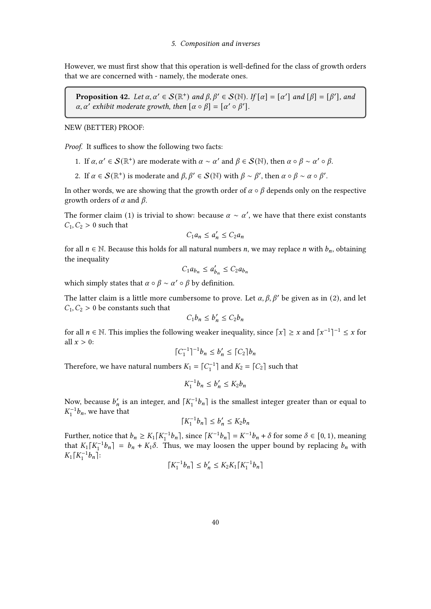However, we must first show that this operation is well-defined for the class of growth orders that we are concerned with - namely, the moderate ones.

**Proposition 42.** Let  $\alpha, \alpha' \in \mathcal{S}(\mathbb{R}^+)$  and  $\beta, \beta' \in \mathcal{S}(\mathbb{N})$ . If  $[\alpha] = [\alpha']$  and  $[\beta] = [\beta']$ , and  $\alpha$ ,  $\alpha'$  exhibit moderate growth, then  $[\alpha \circ \beta] = [\alpha' \circ \beta'].$ 

NEW (BETTER) PROOF:

Proof. It suffices to show the following two facts:

- 1. If  $\alpha, \alpha' \in \mathcal{S}(\mathbb{R}^+)$  are moderate with  $\alpha \sim \alpha'$  and  $\beta \in \mathcal{S}(\mathbb{N})$ , then  $\alpha \circ \beta \sim \alpha' \circ \beta$ .
- 2. If  $\alpha \in \mathcal{S}(\mathbb{R}^+)$  is moderate and  $\beta, \beta' \in \mathcal{S}(\mathbb{N})$  with  $\beta \sim \beta'$ , then  $\alpha \circ \beta \sim \alpha \circ \beta'$ .

In other words, we are showing that the growth order of  $\alpha \circ \beta$  depends only on the respective growth orders of  $\alpha$  and  $\beta$ .

The former claim (1) is trivial to show: because  $\alpha \sim \alpha'$ , we have that there exist constants  $C_1, C_2 > 0$  such that

$$
C_1 a_n \le a'_n \le C_2 a_n
$$

for all  $n \in \mathbb{N}$ . Because this holds for all natural numbers *n*, we may replace *n* with  $b_n$ , obtaining the inequality

$$
C_1 a_{b_n} \le a'_{b_n} \le C_2 a_{b_n}
$$

which simply states that  $\alpha \circ \beta \sim \alpha' \circ \beta$  by definition.

The latter claim is a little more cumbersome to prove. Let  $\alpha$ ,  $\beta$ ,  $\beta'$  be given as in (2), and let  $C_1, C_2 > 0$  be constants such that

$$
C_1 b_n \le b'_n \le C_2 b_n
$$

for all  $n \in \mathbb{N}$ . This implies the following weaker inequality, since  $\lceil x \rceil \geq x$  and  $\lceil x^{-1} \rceil^{-1} \leq x$  for all  $x > 0$ :

$$
\lceil C_1^{-1} \rceil^{-1} b_n \le b'_n \le \lceil C_2 \rceil b_n
$$

Therefore, we have natural numbers  $K_1 = \lceil C_1^{-1} \rceil$  and  $K_2 = \lceil C_2 \rceil$  such that

$$
K_1^{-1}b_n \le b'_n \le K_2b_n
$$

Now, because  $b'_n$  is an integer, and  $\lceil K_1^{-1}b_n \rceil$  is the smallest integer greater than or equal to  $K_1^{-1}b_n$ , we have that

$$
\lceil K_1^{-1}b_n\rceil\leq b'_n\leq K_2b_n
$$

Further, notice that  $b_n \ge K_1[K_1^{-1}b_n]$ , since  $\lceil K^{-1}b_n \rceil = K^{-1}b_n + \delta$  for some  $\delta \in [0, 1)$ , meaning that  $K_1[K_1^{-1}b_n] = b_n + K_1\delta$ . Thus, we may loosen the upper bound by replacing  $b_n$  with  $K_1[K_1^{-1}b_n]$ :

$$
\lceil K_1^{-1}b_n \rceil \le b'_n \le K_2K_1 \lceil K_1^{-1}b_n \rceil
$$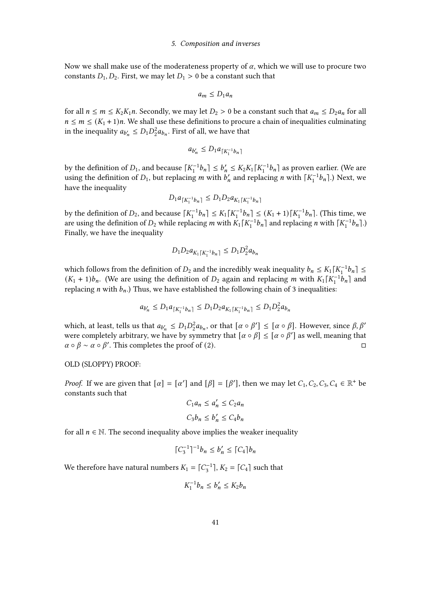#### 5. Composition and inverses

Now we shall make use of the moderateness property of  $\alpha$ , which we will use to procure two constants  $D_1, D_2$ . First, we may let  $D_1 > 0$  be a constant such that

$$
a_m \le D_1 a_n
$$

for all  $n \le m \le K_2K_1n$ . Secondly, we may let  $D_2 > 0$  be a constant such that  $a_m \le D_2a_n$  for all  $n \leq m \leq (K_1 + 1)n$ . We shall use these definitions to procure a chain of inequalities culminating in the inequality  $a_{b'_n} \le D_1 D_2^2 a_{b_n}$ . First of all, we have that

$$
a_{b'_n} \leq D_1 a_{\lceil K_1^{-1} b_n \rceil}
$$

by the definition of  $D_1$ , and because  $\lceil K_1^{-1}b_n \rceil \le b'_n \le K_2K_1 \lceil K_1^{-1}b_n \rceil$  as proven earlier. (We are using the definition of  $D_1$ , but replacing *m* with  $b'_n$  and replacing *n* with  $\lceil K_1^{-1}b_n \rceil$ .) Next, we have the inequality

$$
D_1 a_{\lceil K_1^{-1} b_n \rceil} \le D_1 D_2 a_{K_1 \lceil K_1^{-1} b_n \rceil}
$$

by the definition of  $D_2$ , and because  $\lceil K_1^{-1}b_n \rceil \le K_1 \lceil K_1^{-1}b_n \rceil \le (K_1 + 1) \lceil K_1^{-1}b_n \rceil$ . (This time, we are using the definition of  $D_2$  while replacing m with  $K_1[K_1^{-1}b_n]$  and replacing n with  $\lceil K_1^{-1}b_n \rceil$ .) Finally, we have the inequality

$$
D_1 D_2 a_{K_1 \lceil K_1^{-1} b_n \rceil} \le D_1 D_2^2 a_{b_n}
$$

which follows from the definition of  $D_2$  and the incredibly weak inequality  $b_n \leq K_1[K_1^{-1}b_n] \leq$  $(K_1 + 1)b_n$ . (We are using the definition of  $D_2$  again and replacing m with  $K_1[K_1^{-1}b_n]$  and replacing *n* with  $b_n$ .) Thus, we have established the following chain of 3 inequalities:

$$
a_{b'_n} \le D_1 a_{\lceil K_1^{-1} b_n \rceil} \le D_1 D_2 a_{K_1 \lceil K_1^{-1} b_n \rceil} \le D_1 D_2^2 a_{b_n}
$$

which, at least, tells us that  $a_{b'_n} \le D_1 D_2^2 a_{b_n}$ , or that  $[\alpha \circ \beta'] \le [\alpha \circ \beta]$ . However, since  $\beta, \beta'$ were completely arbitrary, we have by symmetry that  $[\alpha \circ \beta] \leq [\alpha \circ \beta']$  as well, meaning that  $\alpha \circ \beta \sim \alpha \circ \beta'$ . This completes the proof of (2).

## OLD (SLOPPY) PROOF:

*Proof.* If we are given that  $[\alpha] = [\alpha']$  and  $[\beta] = [\beta']$ , then we may let  $C_1, C_2, C_3, C_4 \in \mathbb{R}^+$  be constants such that

$$
C_1 a_n \le a'_n \le C_2 a_n
$$
  

$$
C_3 b_n \le b'_n \le C_4 b_n
$$

for all  $n \in \mathbb{N}$ . The second inequality above implies the weaker inequality

$$
\lceil C_3^{-1} \rceil^{-1} b_n \le b'_n \le \lceil C_4 \rceil b_n
$$

We therefore have natural numbers  $K_1 = \lceil C_3^{-1} \rceil$ ,  $K_2 = \lceil C_4 \rceil$  such that

$$
K_1^{-1}b_n \le b'_n \le K_2b_n
$$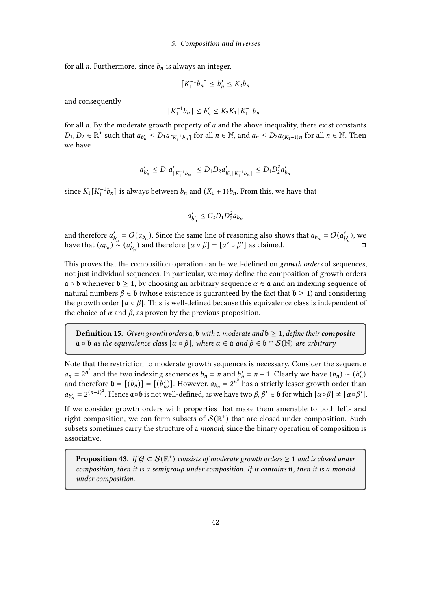#### 5. Composition and inverses

for all  $n$ . Furthermore, since  $b_n$  is always an integer,

$$
\lceil K_1^{-1}b_n\rceil\leq b'_n\leq K_2b_n
$$

and consequently

$$
\lceil K_1^{-1}b_n \rceil \le b'_n \le K_2K_1 \lceil K_1^{-1}b_n \rceil
$$

for all  $n$ . By the moderate growth property of  $a$  and the above inequality, there exist constants  $D_1, D_2 \in \mathbb{R}^+$  such that  $a_{b'_n} \le D_1 a_{\lceil K_1^{-1}b_n \rceil}$  for all  $n \in \mathbb{N}$ , and  $a_n \le D_2 a_{\lceil K_1 + 1 \rceil n}$  for all  $n \in \mathbb{N}$ . Then we have

$$
a_{b_n'}' \le D_1 a_{\lceil K_1^{-1}b_n \rceil}' \le D_1 D_2 a_{K_1 \lceil K_1^{-1}b_n \rceil}' \le D_1 D_2^2 a_{b_n}'
$$

since  $K_1[K_1^{-1}b_n]$  is always between  $b_n$  and  $(K_1 + 1)b_n$ . From this, we have that

$$
a'_{b'_n} \le C_2 D_1 D_2^2 a_{b_n}
$$

and therefore  $a'_{b'_n} = O(a_{b_n})$ . Since the same line of reasoning also shows that  $a_{b_n} = O(a'_{b'_n})$ , we have that  $(a_{b_n})^{\infty}$   $(a'_{b'_n})$  and therefore  $[\alpha \circ \beta] = [\alpha' \circ \beta']$  as claimed.

This proves that the composition operation can be well-defined on *growth orders* of sequences, not just individual sequences. In particular, we may define the composition of growth orders  $\mathfrak{a} \circ \mathfrak{b}$  whenever  $\mathfrak{b} \geq 1$ , by choosing an arbitrary sequence  $\alpha \in \mathfrak{a}$  and an indexing sequence of natural numbers  $\beta \in \mathfrak{b}$  (whose existence is guaranteed by the fact that  $\mathfrak{b} \geq 1$ ) and considering the growth order  $[\alpha \circ \beta]$ . This is well-defined because this equivalence class is independent of the choice of  $\alpha$  and  $\beta$ , as proven by the previous proposition.

**Definition 15.** Given growth orders  $a$ ,  $b$  with  $a$  moderate and  $b \ge 1$ , define their **composite**  $\mathfrak{a} \circ \mathfrak{b}$  as the equivalence class  $[\alpha \circ \beta]$ , where  $\alpha \in \mathfrak{a}$  and  $\beta \in \mathfrak{b} \cap S(\mathbb{N})$  are arbitrary.

Note that the restriction to moderate growth sequences is necessary. Consider the sequence  $a_n = 2^{n^2}$  and the two indexing sequences  $b_n = n$  and  $b'_n = n + 1$ . Clearly we have  $(b_n) \sim (b'_n)$ and therefore  $\mathbf{b} = [(b_n)] = [(b'_n)]$ . However,  $a_{b_n} = 2^{n^2}$  has a strictly lesser growth order than  $a_{b'_n} = 2^{(n+1)^2}$ . Hence  $\mathfrak{a} \circ \mathfrak{b}$  is not well-defined, as we have two  $\beta, \beta' \in \mathfrak{b}$  for which  $[\alpha \circ \beta] \neq [\alpha \circ \beta']$ .

If we consider growth orders with properties that make them amenable to both left- and right-composition, we can form subsets of  $\mathcal{S}(\mathbb{R}^+)$  that are closed under composition. Such subsets sometimes carry the structure of a *monoid*, since the binary operation of composition is associative.

**Proposition 43.** If  $G \subset \mathcal{S}(\mathbb{R}^+)$  consists of moderate growth orders  $\geq 1$  and is closed under composition, then it is a semigroup under composition. If it contains  $n$ , then it is a monoid under composition.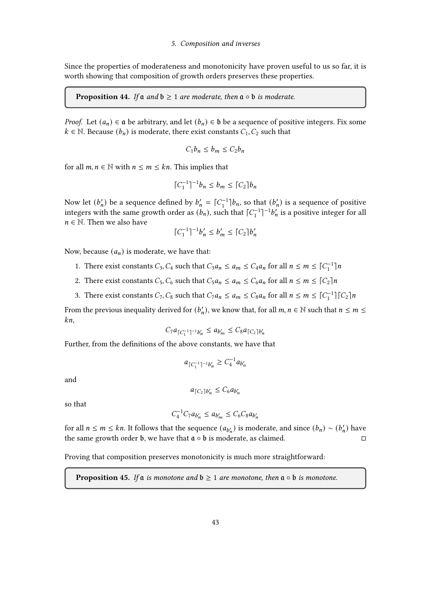Since the properties of moderateness and monotonicity have proven useful to us so far, it is worth showing that composition of growth orders preserves these properties.

**Proposition 44.** If  $\mathfrak{a}$  and  $\mathfrak{b} \geq 1$  are moderate, then  $\mathfrak{a} \circ \mathfrak{b}$  is moderate.

*Proof.* Let  $(a_n) \in \mathfrak{a}$  be arbitrary, and let  $(b_n) \in \mathfrak{b}$  be a sequence of positive integers. Fix some  $k \in \mathbb{N}$ . Because  $(b_n)$  is moderate, there exist constants  $C_1, C_2$  such that

$$
C_1b_n \le b_m \le C_2b_n
$$

for all  $m, n \in \mathbb{N}$  with  $n \leq m \leq kn$ . This implies that

$$
\lceil C_1^{-1} \rceil^{-1} b_n \le b_m \le \lceil C_2 \rceil b_n
$$

Now let  $(b'_n)$  be a sequence defined by  $b'_n = \lceil C_1^{-1} \rceil b_n$ , so that  $(b'_n)$  is a sequence of positive integers with the same growth order as  $(b_n)$ , such that  $\lceil C_1^{-1} \rceil^{-1} b_n'$  is a positive integer for all  $n \in \mathbb{N}$ . Then we also have

$$
\lceil C_1^{-1} \rceil^{-1} b'_n \le b'_m \le \lceil C_2 \rceil b'_n
$$

Now, because  $(a_n)$  is moderate, we have that:

- 1. There exist constants  $C_3$ ,  $C_4$  such that  $C_3 a_n \le a_m \le C_4 a_n$  for all  $n \le m \le \lceil C_1^{-1} \rceil n$
- 2. There exist constants  $C_5$ ,  $C_6$  such that  $C_5 a_n \le a_m \le C_6 a_n$  for all  $n \le m \le [C_2]n$
- 3. There exist constants  $C_7$ ,  $C_8$  such that  $C_7 a_n \le a_m \le C_8 a_n$  for all  $n \le m \le \lceil C_1^{-1} \rceil \lceil C_2 \rceil n$

From the previous inequality derived for  $(b'_n)$ , we know that, for all  $m, n \in \mathbb{N}$  such that  $n \leq m \leq n$  $kn,$ 

$$
C_7a_{\lceil C_1^{-1}\rceil^{-1}b'_n} \leq a_{b'_m} \leq C_8a_{\lceil C_2\rceil b'_n}
$$

Further, from the definitions of the above constants, we have that

$$
a_{\lceil C_1^{-1}\rceil^{-1}b'_n} \geq C_4^{-1}a_{b'_n}
$$

and

$$
a_{\lceil C_2 \rceil b'_n} \leq C_6 a_{b'_n}
$$

so that

$$
C_4^{-1}C_7a_{b'_n} \le a_{b'_m} \le C_6C_8a_{b'_n}
$$

for all  $n \le m \le kn$ . It follows that the sequence  $(a_{b'_n})$  is moderate, and since  $(b_n) \sim (b'_n)$  have the same growth order **b**, we have that  $\mathfrak{a} \circ \mathfrak{b}$  is moderate, as claimed.

Proving that composition preserves monotonicity is much more straightforward:

**Proposition 45.** If  $\alpha$  is monotone and  $\mathfrak{b} \geq 1$  are monotone, then  $\alpha \circ \mathfrak{b}$  is monotone.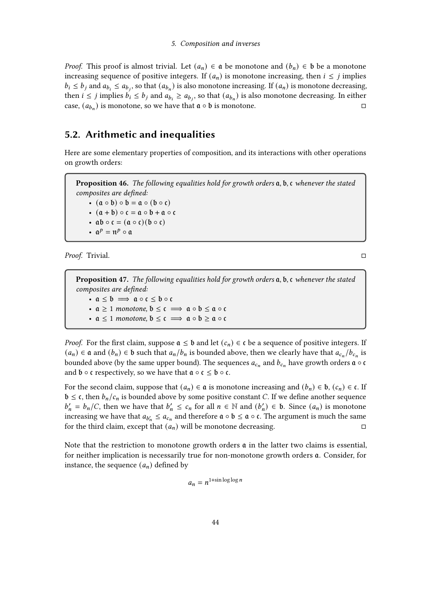*Proof.* This proof is almost trivial. Let  $(a_n) \in \mathfrak{a}$  be monotone and  $(b_n) \in \mathfrak{b}$  be a monotone increasing sequence of positive integers. If  $(a_n)$  is monotone increasing, then  $i \leq j$  implies  $b_i \le b_j$  and  $a_{b_i} \le a_{b_j}$ , so that  $(a_{b_n})$  is also monotone increasing. If  $(a_n)$  is monotone decreasing, then  $i \leq j$  implies  $b_i \leq b_j$  and  $a_{b_i} \geq a_{b_j}$ , so that  $(a_{b_n})$  is also monotone decreasing. In either case,  $(a_{b_n})$  is monotone, so we have that  $\mathfrak{a} \circ \mathfrak{b}$  is monotone.

# 5.2. Arithmetic and inequalities

Here are some elementary properties of composition, and its interactions with other operations on growth orders:

**Proposition 46.** The following equalities hold for growth orders  $a, b, c$  whenever the stated composites are defined: •  $(a \circ b) \circ b = a \circ (b \circ c)$ •  $(a + b) \circ c = a \circ b + a \circ c$ •  $ab \circ c = (a \circ c)(b \circ c)$ •  $\mathfrak{a}^p = \mathfrak{n}^p \circ \mathfrak{a}$ 

Proof. Trivial.

**Proposition 47.** The following equalities hold for growth orders  $a, b, c$  whenever the stated composites are defined: •  $a \leq b \implies a \circ c \leq b \circ c$ •  $a \ge 1$  monotone,  $b \le c \implies a \circ b \le a \circ c$ •  $a \le 1$  monotone,  $b \le c \implies a \circ b \ge a \circ c$ 

*Proof.* For the first claim, suppose  $a \leq b$  and let  $(c_n) \in c$  be a sequence of positive integers. If  $(a_n) \in \mathfrak{a}$  and  $(b_n) \in \mathfrak{b}$  such that  $a_n/b_n$  is bounded above, then we clearly have that  $a_{c_n}/b_{c_n}$  is bounded above (by the same upper bound). The sequences  $a_{c_n}$  and  $b_{c_n}$  have growth orders  $\mathfrak{a} \circ \mathfrak{c}$ and  $\mathfrak b \circ \mathfrak c$  respectively, so we have that  $\mathfrak a \circ \mathfrak c \leq \mathfrak b \circ \mathfrak c$ .

For the second claim, suppose that  $(a_n) \in \mathfrak{a}$  is monotone increasing and  $(b_n) \in \mathfrak{b}$ ,  $(c_n) \in \mathfrak{c}$ . If  $\mathfrak{b} \leq \mathfrak{c}$ , then  $b_n/c_n$  is bounded above by some positive constant C. If we define another sequence  $b'_n = b_n/C$ , then we have that  $b'_n \leq c_n$  for all  $n \in \mathbb{N}$  and  $(b'_n) \in b$ . Since  $(a_n)$  is monotone increasing we have that  $a_{b'_n} \le a_{c_n}$  and therefore  $\mathfrak{a} \circ \mathfrak{b} \le \mathfrak{a} \circ \mathfrak{c}$ . The argument is much the same for the third claim, except that  $(a_n)$  will be monotone decreasing.

Note that the restriction to monotone growth orders  $a$  in the latter two claims is essential, for neither implication is necessarily true for non-monotone growth orders  $a$ . Consider, for instance, the sequence  $(a_n)$  defined by

$$
a_n = n^{1+\sin\log\log n}
$$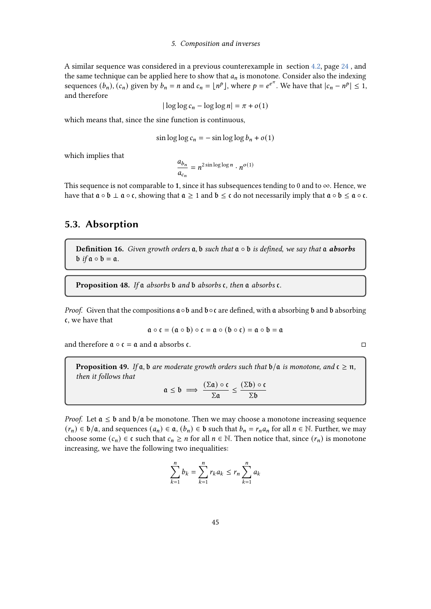## 5. Composition and inverses

A similar sequence was considered in a previous counterexample in section [4.2,](#page-23-0) page [24](#page-23-0) , and the same technique can be applied here to show that  $a_n$  is monotone. Consider also the indexing sequences  $(b_n)$ ,  $(c_n)$  given by  $b_n = n$  and  $c_n = \lfloor n^p \rfloor$ , where  $p = e^{e^{\pi}}$ . We have that  $|c_n - n^p| \leq 1$ , and therefore

$$
|\log\log c_n - \log\log n| = \pi + o(1)
$$

which means that, since the sine function is continuous,

$$
\sin \log \log c_n = -\sin \log \log b_n + o(1)
$$

which implies that

$$
\frac{a_{b_n}}{a_{c_n}} = n^{2 \sin \log \log n} \cdot n^{o(1)}
$$

This sequence is not comparable to 1, since it has subsequences tending to 0 and to  $\infty$ . Hence, we have that  $a \circ b \perp a \circ c$ , showing that  $a \ge 1$  and  $b \le c$  do not necessarily imply that  $a \circ b \le a \circ c$ .

# 5.3. Absorption

Definition 16. Given growth orders  $a, b$  such that  $a \circ b$  is defined, we say that  $a$  absorbs  $\mathfrak{b}$  if  $\mathfrak{a} \circ \mathfrak{b} = \mathfrak{a}$ .

**Proposition 48.** If a absorbs  $\mathfrak b$  and  $\mathfrak b$  absorbs  $\mathfrak c$ , then a absorbs  $\mathfrak c$ .

*Proof.* Given that the compositions  $\mathfrak{a} \circ \mathfrak{b}$  and  $\mathfrak{b} \circ \mathfrak{c}$  are defined, with  $\mathfrak{a}$  absorbing  $\mathfrak{b}$  and  $\mathfrak{b}$  absorbing , we have that

$$
\mathfrak{a}\circ\mathfrak{c}=(\mathfrak{a}\circ\mathfrak{b})\circ\mathfrak{c}=\mathfrak{a}\circ(\mathfrak{b}\circ\mathfrak{c})=\mathfrak{a}\circ\mathfrak{b}=\mathfrak{a}
$$

and therefore  $\mathfrak{a} \circ \mathfrak{c} = \mathfrak{a}$  and  $\mathfrak{a}$  absorbs  $\mathfrak{c}$ .

**Proposition 49.** If  $a, b$  are moderate growth orders such that  $b/a$  is monotone, and  $c \geq n$ , then it follows that  $(\nabla \cdot)$ 

$$
\mathfrak{a} \leq \mathfrak{b} \implies \frac{(\Sigma \mathfrak{a}) \circ \mathfrak{c}}{\Sigma \mathfrak{a}} \leq \frac{(\Sigma \mathfrak{b}) \circ \mathfrak{c}}{\Sigma \mathfrak{b}}
$$

*Proof.* Let  $a \leq b$  and  $b/a$  be monotone. Then we may choose a monotone increasing sequence  $(r_n) \in \mathfrak{b}/\mathfrak{a}$ , and sequences  $(a_n) \in \mathfrak{a}$ ,  $(b_n) \in \mathfrak{b}$  such that  $b_n = r_n a_n$  for all  $n \in \mathbb{N}$ . Further, we may choose some  $(c_n) \in \mathfrak{c}$  such that  $c_n \geq n$  for all  $n \in \mathbb{N}$ . Then notice that, since  $(r_n)$  is monotone increasing, we have the following two inequalities:

$$
\sum_{k=1}^{n} b_k = \sum_{k=1}^{n} r_k a_k \le r_n \sum_{k=1}^{n} a_k
$$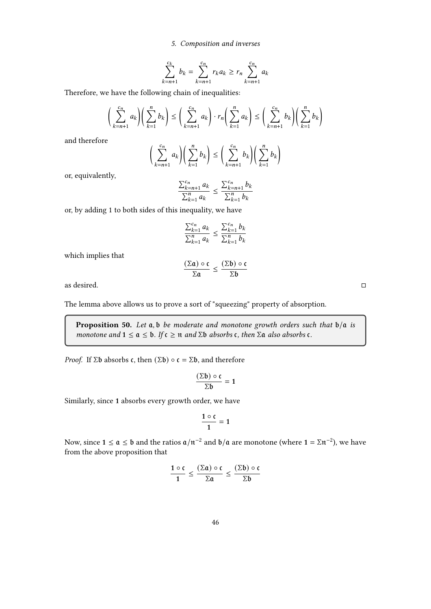## 5. Composition and inverses

$$
\sum_{k=n+1}^{c_k} b_k = \sum_{k=n+1}^{c_n} r_k a_k \ge r_n \sum_{k=n+1}^{c_n} a_k
$$

Therefore, we have the following chain of inequalities:

$$
\left(\sum_{k=n+1}^{c_n} a_k\right)\left(\sum_{k=1}^n b_k\right) \le \left(\sum_{k=n+1}^{c_n} a_k\right) \cdot r_n\left(\sum_{k=1}^n a_k\right) \le \left(\sum_{k=n+1}^{c_n} b_k\right)\left(\sum_{k=1}^n b_k\right)
$$

and therefore

$$
\bigg(\sum_{k=n+1}^{c_n} a_k\bigg)\bigg(\sum_{k=1}^n b_k\bigg) \le \bigg(\sum_{k=n+1}^{c_n} b_k\bigg)\bigg(\sum_{k=1}^n b_k\bigg)
$$

or, equivalently,

$$
\frac{\sum_{k=n+1}^{c_n} a_k}{\sum_{k=1}^n a_k} \le \frac{\sum_{k=n+1}^{c_n} b_k}{\sum_{k=1}^n b_k}
$$

or, by adding 1 to both sides of this inequality, we have

$$
\frac{\sum_{k=1}^{c_n} a_k}{\sum_{k=1}^{n} a_k} \le \frac{\sum_{k=1}^{c_n} b_k}{\sum_{k=1}^{n} b_k}
$$

which implies that

$$
\frac{(\Sigma\mathfrak{a})\circ\mathfrak{c}}{\Sigma\mathfrak{a}}\leq\frac{(\Sigma\mathfrak{b})\circ\mathfrak{c}}{\Sigma\mathfrak{b}}
$$

as desired.

The lemma above allows us to prove a sort of "squeezing" property of absorption.

**Proposition 50.** Let  $a, b$  be moderate and monotone growth orders such that  $b/a$  is monotone and  $1 \le a \le b$ . If  $c \ge n$  and  $\Sigma b$  absorbs  $c$ , then  $\Sigma a$  also absorbs  $c$ .

*Proof.* If  $\Sigma$ b absorbs c, then  $(\Sigma$ b)  $\circ$  c =  $\Sigma$ b, and therefore

$$
\frac{(\Sigma \mathfrak{b}) \circ \mathfrak{c}}{\Sigma \mathfrak{b}} = 1
$$

Similarly, since 1 absorbs every growth order, we have

$$
\frac{1\circ\mathfrak{c}}{1}=1
$$

Now, since  $1 \le a \le b$  and the ratios  $a/n^{-2}$  and  $b/a$  are monotone (where  $1 = \Sigma n^{-2}$ ), we have from the above proposition that

$$
\frac{1\circ \mathfrak{c}}{1}\leq \frac{(\Sigma\mathfrak{a})\circ \mathfrak{c}}{\Sigma\mathfrak{a}}\leq \frac{(\Sigma\mathfrak{b})\circ \mathfrak{c}}{\Sigma\mathfrak{b}}
$$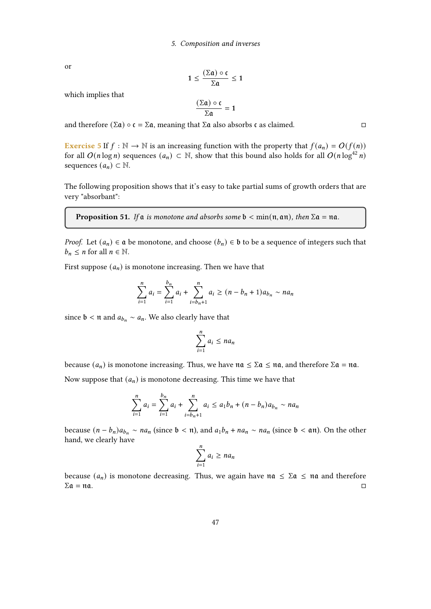or

$$
1 \leq \frac{(\Sigma \mathfrak{a}) \circ \mathfrak{c}}{\Sigma \mathfrak{a}} \leq 1
$$

which implies that

$$
\frac{(\Sigma \mathfrak{a}) \circ \mathfrak{c}}{\Sigma \mathfrak{a}} = 1
$$

and therefore  $(\Sigma \mathfrak{a}) \circ \mathfrak{c} = \Sigma \mathfrak{a}$ , meaning that  $\Sigma \mathfrak{a}$  also absorbs  $\mathfrak{c}$  as claimed.

**Exercise 5** If  $f : \mathbb{N} \to \mathbb{N}$  is an increasing function with the property that  $f(a_n) = O(f(n))$ for all  $O(n \log n)$  sequences  $(a_n) \subset \mathbb{N}$ , show that this bound also holds for all  $O(n \log^{42} n)$ sequences  $(a_n) \subset \mathbb{N}$ .

The following proposition shows that it's easy to take partial sums of growth orders that are very "absorbant":

<span id="page-46-0"></span>**Proposition 51.** If a is monotone and absorbs some  $b < min(n, an)$ , then  $\Sigma a = na$ .

*Proof.* Let  $(a_n) \in \mathfrak{a}$  be monotone, and choose  $(b_n) \in \mathfrak{b}$  to be a sequence of integers such that  $b_n \leq n$  for all  $n \in \mathbb{N}$ .

First suppose  $(a_n)$  is monotone increasing. Then we have that

$$
\sum_{i=1}^{n} a_i = \sum_{i=1}^{b_n} a_i + \sum_{i=b_n+1}^{n} a_i \ge (n - b_n + 1)a_{b_n} \sim na_n
$$

since  $\mathfrak{b} < \mathfrak{n}$  and  $a_{b_n} \sim a_n$ . We also clearly have that

$$
\sum_{i=1}^n a_i \le na_n
$$

because  $(a_n)$  is monotone increasing. Thus, we have  $na \leq \sum a \leq na$ , and therefore  $\sum a = na$ .

Now suppose that  $(a_n)$  is monotone decreasing. This time we have that

$$
\sum_{i=1}^{n} a_i = \sum_{i=1}^{b_n} a_i + \sum_{i=b_n+1}^{n} a_i \le a_1 b_n + (n - b_n) a_{b_n} \sim n a_n
$$

because  $(n - b_n)a_{b_n} \sim na_n$  (since  $b < n$ ), and  $a_1b_n + na_n \sim na_n$  (since  $b < \alpha n$ ). On the other hand, we clearly have

$$
\sum_{i=1}^{n} a_i \ge na_n
$$

because  $(a_n)$  is monotone decreasing. Thus, we again have  $na \leq \sum a \leq na$  and therefore  $\Sigma \mathfrak{a} = \mathfrak{n} \mathfrak{a}.$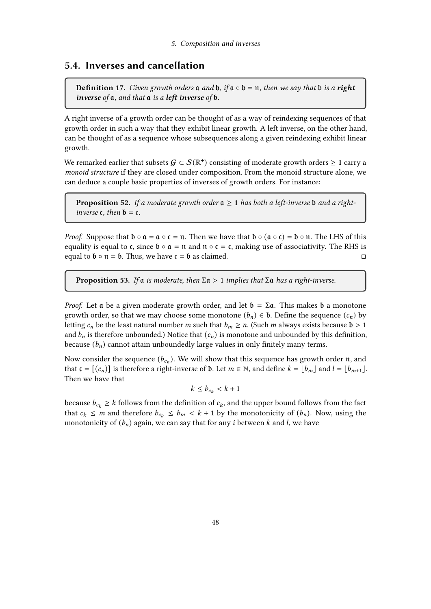# 5.4. Inverses and cancellation

**Definition 17.** Given growth orders  $\alpha$  and  $\beta$ , if  $\alpha \circ \beta = \pi$ , then we say that  $\beta$  is a **right** inverse of  $a$ , and that  $a$  is a left inverse of  $b$ .

A right inverse of a growth order can be thought of as a way of reindexing sequences of that growth order in such a way that they exhibit linear growth. A left inverse, on the other hand, can be thought of as a sequence whose subsequences along a given reindexing exhibit linear growth.

We remarked earlier that subsets  $\mathcal{G} \subset \mathcal{S}(\mathbb{R}^+)$  consisting of moderate growth orders  $\geq 1$  carry a monoid structure if they are closed under composition. From the monoid structure alone, we can deduce a couple basic properties of inverses of growth orders. For instance:

**Proposition 52.** If a moderate growth order  $a \ge 1$  has both a left-inverse b and a rightinverse  $\mathfrak c$ , then  $\mathfrak b = \mathfrak c$ .

*Proof.* Suppose that  $\mathfrak{b} \circ \mathfrak{a} = \mathfrak{a} \circ \mathfrak{c} = \mathfrak{n}$ . Then we have that  $\mathfrak{b} \circ (\mathfrak{a} \circ \mathfrak{c}) = \mathfrak{b} \circ \mathfrak{n}$ . The LHS of this equality is equal to  $\mathfrak{c}$ , since  $\mathfrak{b} \circ \mathfrak{a} = \mathfrak{n}$  and  $\mathfrak{n} \circ \mathfrak{c} = \mathfrak{c}$ , making use of associativity. The RHS is equal to  $\mathfrak{b} \circ \mathfrak{n} = \mathfrak{b}$ . Thus, we have  $\mathfrak{c} = \mathfrak{b}$  as claimed.

**Proposition 53.** If  $\alpha$  is moderate, then  $\Sigma \alpha > 1$  implies that  $\Sigma \alpha$  has a right-inverse.

*Proof.* Let  $\bf{a}$  be a given moderate growth order, and let  $\bf{b} = \Sigma \bf{a}$ . This makes  $\bf{b}$  a monotone growth order, so that we may choose some monotone  $(b_n) \in \mathfrak{b}$ . Define the sequence  $(c_n)$  by letting  $c_n$  be the least natural number *m* such that  $b_m \ge n$ . (Such *m* always exists because  $\mathfrak{b} > 1$ and  $b_n$  is therefore unbounded.) Notice that  $(c_n)$  is monotone and unbounded by this definition, because  $(b_n)$  cannot attain unboundedly large values in only finitely many terms.

Now consider the sequence  $(b_{c_n})$ . We will show that this sequence has growth order  $\mathfrak n$ , and that  $\mathfrak{c} = [(c_n)]$  is therefore a right-inverse of **b**. Let  $m \in \mathbb{N}$ , and define  $k = \lfloor b_m \rfloor$  and  $l = \lfloor b_{m+1} \rfloor$ . Then we have that

 $k \le b_{c_k} < k+1$ 

because  $b_{c_k} \ge k$  follows from the definition of  $c_k$ , and the upper bound follows from the fact that  $c_k \le m$  and therefore  $b_{c_k} \le b_m < k + 1$  by the monotonicity of  $(b_n)$ . Now, using the monotonicity of  $(b_n)$  again, we can say that for any *i* between *k* and *l*, we have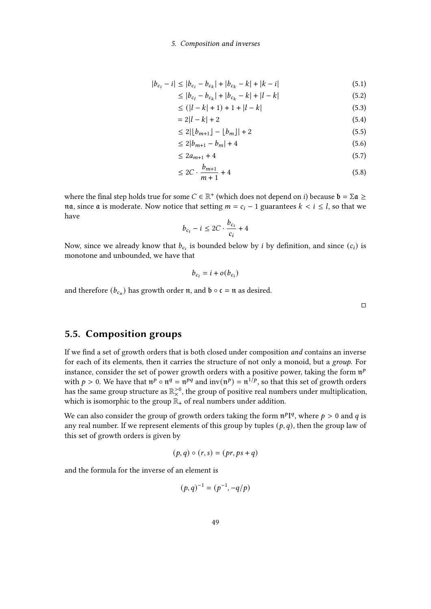## 5. Composition and inverses

$$
|b_{c_i} - i| \le |b_{c_i} - b_{c_k}| + |b_{c_k} - k| + |k - i| \tag{5.1}
$$

$$
\leq |b_{c_l} - b_{c_k}| + |b_{c_k} - k| + |l - k| \tag{5.2}
$$

$$
\leq (|l - k| + 1) + 1 + |l - k| \tag{5.3}
$$

$$
= 2|l - k| + 2 \tag{5.4}
$$

$$
\leq 2|\lfloor b_{m+1}\rfloor - \lfloor b_m\rfloor| + 2\tag{5.5}
$$

$$
\leq 2|b_{m+1} - b_m| + 4 \tag{5.6}
$$

$$
\leq 2a_{m+1} + 4\tag{5.7}
$$

$$
\leq 2C \cdot \frac{b_{m+1}}{m+1} + 4 \tag{5.8}
$$

where the final step holds true for some  $C \in \mathbb{R}^+$  (which does not depend on *i*) because  $\mathfrak{b} = \Sigma \mathfrak{a} \geq$ na, since a is moderate. Now notice that setting  $m = c_i - 1$  guarantees  $k < i \leq l$ , so that we have

$$
b_{c_i} - i \le 2C \cdot \frac{b_{c_i}}{c_i} + 4
$$

Now, since we already know that  $b_{c_i}$  is bounded below by *i* by definition, and since  $(c_i)$  is monotone and unbounded, we have that

$$
b_{c_i} = i + o(b_{c_i})
$$

and therefore  $(b_{c_n})$  has growth order  $\mathfrak n$ , and  $\mathfrak b \circ \mathfrak c = \mathfrak n$  as desired.

 $\Box$ 

# 5.5. Composition groups

If we find a set of growth orders that is both closed under composition and contains an inverse for each of its elements, then it carries the structure of not only a monoid, but a group. For instance, consider the set of power growth orders with a positive power, taking the form  $\mathfrak{n}^p$ with  $p > 0$ . We have that  $\mathfrak{n}^p \circ \mathfrak{n}^q = \mathfrak{n}^{pq}$  and  $\text{inv}(\mathfrak{n}^p) = \mathfrak{n}^{1/p}$ , so that this set of growth orders has the same group structure as  $\mathbb{R}_{\times}^{>0}$ , the group of positive real numbers under multiplication, which is isomorphic to the group  $\mathbb{R}_+$  of real numbers under addition.

We can also consider the group of growth orders taking the form  $\mathfrak{n}^pI^q$ , where  $p > 0$  and  $q$  is any real number. If we represent elements of this group by tuples  $(p, q)$ , then the group law of this set of growth orders is given by

$$
(p,q)\circ (r,s)=(pr,ps+q)
$$

and the formula for the inverse of an element is

$$
(p,q)^{-1} = (p^{-1}, -q/p)
$$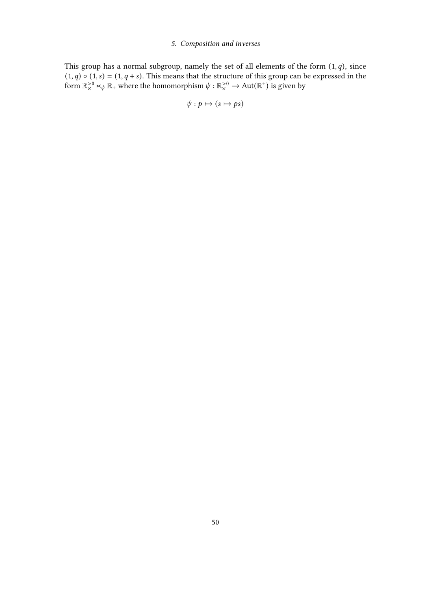## 5. Composition and inverses

This group has a normal subgroup, namely the set of all elements of the form  $(1, q)$ , since  $(1, q) \circ (1, s) = (1, q + s)$ . This means that the structure of this group can be expressed in the form  $\mathbb{R}_{\times}^{>0} \ltimes_{\psi} \mathbb{R}_{+}$  where the homomorphism  $\psi : \mathbb{R}_{\times}^{>0} \to \text{Aut}(\mathbb{R}^{+})$  is given by

$$
\psi: p \mapsto (s \mapsto ps)
$$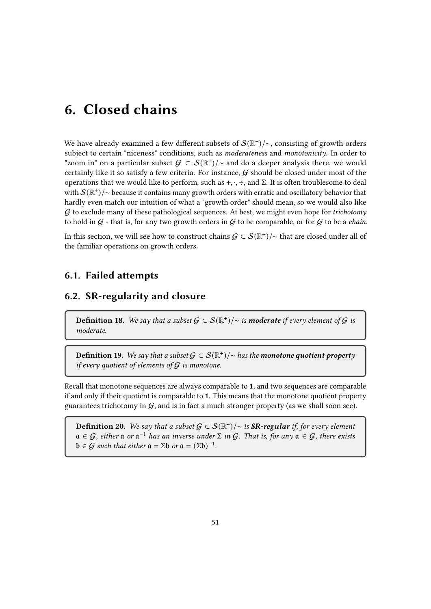We have already examined a few different subsets of  $\mathcal{S}(\mathbb{R}^{\mathbf{+}})/\sim$ , consisting of growth orders subject to certain "niceness" conditions, such as moderateness and monotonicity. In order to "zoom in" on a particular subset  $\mathcal{G} \subset \mathcal{S}(\mathbb{R}^*)/\sim$  and do a deeper analysis there, we would certainly like it so satisfy a few criteria. For instance,  $G$  should be closed under most of the operations that we would like to perform, such as  $+$ ,  $\cdot$ ,  $\div$ , and Σ. It is often troublesome to deal with  $\mathcal{S}(\mathbb{R}^+)/\sim$  because it contains many growth orders with erratic and oscillatory behavior that hardly even match our intuition of what a "growth order" should mean, so we would also like  $G$  to exclude many of these pathological sequences. At best, we might even hope for *trichotomy* to hold in  $G$  - that is, for any two growth orders in  $G$  to be comparable, or for  $G$  to be a *chain*.

In this section, we will see how to construct chains  $\mathcal{G}\subset \mathcal{S}(\mathbb{R}^+) / \sim$  that are closed under all of the familiar operations on growth orders.

# 6.1. Failed attempts

# 6.2. SR-regularity and closure

**Definition 18.** We say that a subset  $\mathcal{G} \subset \mathcal{S}(\mathbb{R}^+)$  is **moderate** if every element of  $\mathcal{G}$  is moderate.

Definition 19. We say that a subset  $\mathcal{G} \subset \mathcal{S}(\mathbb{R}^+)/\sim$  has the monotone quotient property if every quotient of elements of  $G$  is monotone.

Recall that monotone sequences are always comparable to 1, and two sequences are comparable if and only if their quotient is comparable to 1. This means that the monotone quotient property guarantees trichotomy in  $G$ , and is in fact a much stronger property (as we shall soon see).

**Definition 20.** We say that a subset  $\mathcal{G} \subset \mathcal{S}(\mathbb{R}^+)$ /∼ is **SR-regular** if, for every element  $a \in \mathcal{G}$ , either  $a$  or  $a^{-1}$  has an inverse under  $\Sigma$  in  $\mathcal{G}$ . That is, for any  $a \in \mathcal{G}$ , there exists  $\mathfrak{b} \in \mathcal{G}$  such that either  $\mathfrak{a} = \Sigma \mathfrak{b}$  or  $\mathfrak{a} = (\Sigma \mathfrak{b})^{-1}$ .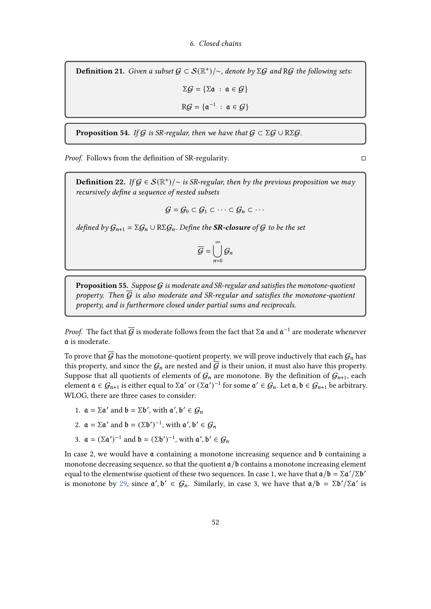**Definition 21.** Given a subset  $G \subset \mathcal{S}(\mathbb{R}^+)$ /~, denote by ∑G and RG the following sets.

 $\Sigma \mathcal{G} = {\Sigma \mathfrak{a} : \mathfrak{a} \in \mathcal{G}}$ 

 $\mathsf{R}\mathcal{G} = \{ \mathfrak{a}^{-1} : \mathfrak{a} \in \mathcal{G} \}$ 

**Proposition 54.** If G is SR-regular, then we have that  $G \subset \Sigma G \cup R \Sigma G$ .

*Proof.* Follows from the definition of SR-regularity.  $\square$ 

**Definition 22.** If  $G \in \mathcal{S}(\mathbb{R}^+)$  /  $\sim$  is SR-regular, then by the previous proposition we may recursively define a sequence of nested subsets

$$
\mathcal{G} = \mathcal{G}_0 \subset \mathcal{G}_1 \subset \cdots \subset \mathcal{G}_n \subset \cdots
$$

defined by  $G_{n+1} = \Sigma G_n \cup R\Sigma G_n$ . Define the **SR-closure** of G to be the set

$$
\overline{G} = \bigcup_{n=0}^{\infty} G_n
$$

**Proposition 55.** Suppose  $G$  is moderate and SR-regular and satisfies the monotone-quotient property. Then  $\overline{G}$  is also moderate and SR-regular and satisfies the monotone-quotient property, and is furthermore closed under partial sums and reciprocals.

*Proof.* The fact that  $\overline{G}$  is moderate follows from the fact that  $\Sigma \mathfrak{a}$  and  $\mathfrak{a}^{-1}$  are moderate whenever is moderate.

To prove that  $\overline{G}$  has the monotone-quotient property, we will prove inductively that each  $\mathcal{G}_n$  has this property, and since the  $G_n$  are nested and  $G$  is their union, it must also have this property. Suppose that all quotients of elements of  $\mathcal{G}_n$  are monotone. By the definition of  $\mathcal{G}_{n+1}$ , each element  $a \in G_{n+1}$  is either equal to  $\Sigma a'$  or  $(\Sigma a')^{-1}$  for some  $a' \in G_n$ . Let  $a, b \in G_{n+1}$  be arbitrary. WLOG, there are three cases to consider:

- 1.  $\mathfrak{a} = \Sigma \mathfrak{a}'$  and  $\mathfrak{b} = \Sigma \mathfrak{b}'$ , with  $\mathfrak{a}'$ ,  $\mathfrak{b}' \in \mathcal{G}_n$
- 2.  $\mathfrak{a} = \Sigma \mathfrak{a}'$  and  $\mathfrak{b} = (\Sigma \mathfrak{b}')^{-1}$ , with  $\mathfrak{a}', \mathfrak{b}' \in \mathcal{G}_n$
- 3.  $\mathfrak{a} = (\Sigma \mathfrak{a}')^{-1}$  and  $\mathfrak{b} = (\Sigma \mathfrak{b}')^{-1}$ , with  $\mathfrak{a}', \mathfrak{b}' \in \mathcal{G}_n$

In case 2, we would have  $\mathfrak a$  containing a monotone increasing sequence and  $\mathfrak b$  containing a monotone decreasing sequence, so that the quotient  $a/b$  contains a monotone increasing element equal to the elementwise quotient of these two sequences. In case 1, we have that  $a/b = \Sigma a'/\Sigma b'$ is monotone by [29,](#page-27-0) since  $\alpha', \mathfrak{b}' \in \mathcal{G}_n$ . Similarly, in case 3, we have that  $\alpha/\mathfrak{b} = \Sigma \mathfrak{b}' / \Sigma \mathfrak{a}'$  is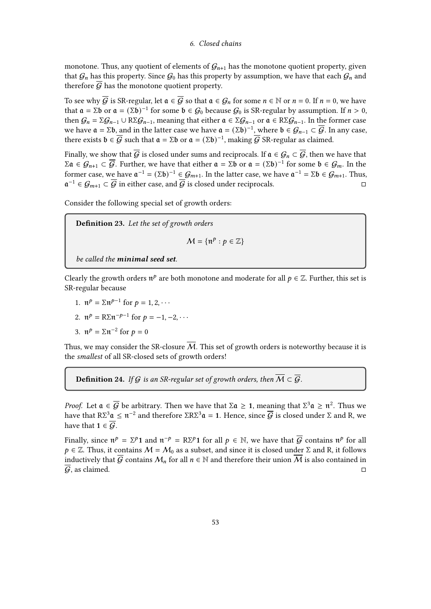monotone. Thus, any quotient of elements of  $G_{n+1}$  has the monotone quotient property, given that  $G_n$  has this property. Since  $G_0$  has this property by assumption, we have that each  $G_n$  and therefore  $\overline{G}$  has the monotone quotient property.

To see why  $\overline{G}$  is SR-regular, let  $\mathfrak{a} \in \overline{G}$  so that  $\mathfrak{a} \in G_n$  for some  $n \in \mathbb{N}$  or  $n = 0$ . If  $n = 0$ , we have that  $\mathfrak{a} = \Sigma \mathfrak{b}$  or  $\mathfrak{a} = (\Sigma \mathfrak{b})^{-1}$  for some  $\mathfrak{b} \in \mathcal{G}_0$  because  $\mathcal{G}_0$  is SR-regular by assumption. If  $n > 0$ , then  $G_n = \sum G_{n-1} \cup R \sum G_{n-1}$ , meaning that either  $\mathfrak{a} \in \sum G_{n-1}$  or  $\mathfrak{a} \in R \sum G_{n-1}$ . In the former case we have  $\mathfrak{a} = \Sigma \mathfrak{b}$ , and in the latter case we have  $\mathfrak{a} = (\Sigma \mathfrak{b})^{-1}$ , where  $\mathfrak{b} \in \mathcal{G}_{n-1} \subset \overline{\mathcal{G}}$ . In any case, there exists  $\mathfrak{b} \in \overline{\mathcal{G}}$  such that  $\mathfrak{a} = \Sigma \mathfrak{b}$  or  $\mathfrak{a} = (\Sigma \mathfrak{b})^{-1}$ , making  $\overline{\mathcal{G}}$  SR-regular as claimed.

Finally, we show that  $\overline{G}$  is closed under sums and reciprocals. If  $\mathfrak{a} \in \mathcal{G}_n \subset \overline{\mathcal{G}}$ , then we have that  $\Sigma \mathfrak{a} \in \mathcal{G}_{n+1} \subset \overline{\mathcal{G}}$ . Further, we have that either  $\mathfrak{a} = \Sigma \mathfrak{b}$  or  $\mathfrak{a} = (\Sigma \mathfrak{b})^{-1}$  for some  $\mathfrak{b} \in \mathcal{G}_m$ . In the former case, we have  $\mathfrak{a}^{-1} = (\Sigma \mathfrak{b})^{-1} \in \mathcal{G}_{m+1}$ . In the latter case, we have  $\mathfrak{a}^{-1} = \Sigma \mathfrak{b} \in \mathcal{G}_{m+1}$ . Thus,  $\mathfrak{a}^{-1} \in \mathcal{G}_{m+1} \subset \overline{\mathcal{G}}$  in either case, and  $\overline{\mathcal{G}}$  is closed under reciprocals.

Consider the following special set of growth orders:

Definition 23. Let the set of growth orders

$$
\mathcal{M} = \{ \mathfrak{n}^p : p \in \mathbb{Z} \}
$$

be called the minimal seed set.

Clearly the growth orders  $\mathfrak{n}^p$  are both monotone and moderate for all  $p \in \mathbb{Z}$ . Further, this set is SR-regular because

1. 
$$
\mathfrak{n}^p = \Sigma \mathfrak{n}^{p-1} \text{ for } p = 1, 2, \cdots
$$

2. 
$$
\mathfrak{n}^p = R \Sigma \mathfrak{n}^{-p-1}
$$
 for  $p = -1, -2, \cdots$ 

3.  $\mathfrak{n}^p = \Sigma \mathfrak{n}^{-2}$  for  $p = 0$ 

Thus, we may consider the SR-closure  $\overline{M}$ . This set of growth orders is noteworthy because it is the smallest of all SR-closed sets of growth orders!

**Definition 24.** If G is an SR-regular set of growth orders, then  $\overline{M} \subset \overline{G}$ .

*Proof.* Let  $\mathfrak{a} \in \overline{\mathcal{G}}$  be arbitrary. Then we have that  $\Sigma \mathfrak{a} \geq 1$ , meaning that  $\Sigma^3 \mathfrak{a} \geq \mathfrak{n}^2$ . Thus we have that RΣ $^3$ α  $\leq$   $\frak{n}^{-2}$  and therefore ΣRΣ $^3$ α = 1. Hence, since  $\overline{\cal{G}}$  is closed under Σ and R, we have that  $1 \in \overline{G}$ .

Finally, since  $\mathfrak{n}^p = \Sigma^p 1$  and  $\mathfrak{n}^{-p} = R\Sigma^p 1$  for all  $p \in \mathbb{N}$ , we have that  $\overline{\mathcal{G}}$  contains  $\mathfrak{n}^p$  for all  $p \in \mathbb{Z}$ . Thus, it contains  $M = M_0$  as a subset, and since it is closed under  $\Sigma$  and R, it follows inductively that  $\overline{G}$  contains  $\mathcal{M}_n$  for all  $n \in \mathbb{N}$  and therefore their union  $\overline{\mathcal{M}}$  is also contained in  $G$ , as claimed.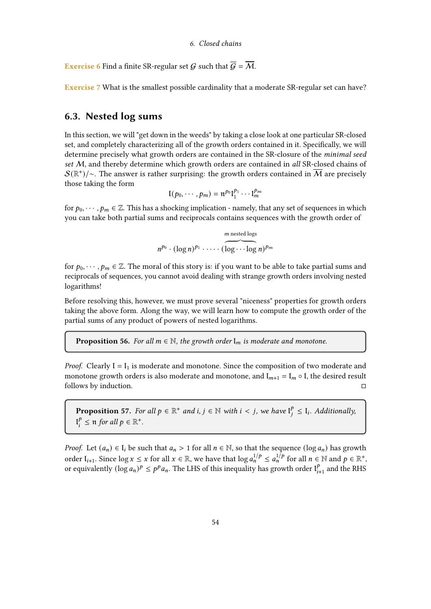**Exercise 6** Find a finite SR-regular set G such that  $\overline{G} = \overline{M}$ .

Exercise 7 What is the smallest possible cardinality that a moderate SR-regular set can have?

# 6.3. Nested log sums

In this section, we will "get down in the weeds" by taking a close look at one particular SR-closed set, and completely characterizing all of the growth orders contained in it. Specifically, we will determine precisely what growth orders are contained in the SR-closure of the minimal seed set M, and thereby determine which growth orders are contained in all SR-closed chains of  ${\cal S}(\mathbb{R}^+) / \sim$ . The answer is rather surprising: the growth orders contained in  $\overline{\cal M}$  are precisely those taking the form

$$
\mathfrak{l}(p_0,\cdots,p_m)=\mathfrak{n}^{p_0}\mathfrak{l}_1^{p_1}\cdots\mathfrak{l}_m^{p_m}
$$

for  $p_0, \dots, p_m \in \mathbb{Z}$ . This has a shocking implication - namely, that any set of sequences in which you can take both partial sums and reciprocals contains sequences with the growth order of

$$
m^{\text{p}_0} \cdot (\log n)^{p_1} \cdot \cdots \cdot (\overbrace{\log \cdots \log n}^{m \text{ nested logs}})^{p_m}
$$

for  $p_0, \dots, p_m \in \mathbb{Z}$ . The moral of this story is: if you want to be able to take partial sums and reciprocals of sequences, you cannot avoid dealing with strange growth orders involving nested logarithms!

Before resolving this, however, we must prove several "niceness" properties for growth orders taking the above form. Along the way, we will learn how to compute the growth order of the partial sums of any product of powers of nested logarithms.

**Proposition 56.** For all  $m \in \mathbb{N}$ , the growth order  $I_m$  is moderate and monotone.

*Proof.* Clearly  $I = I_1$  is moderate and monotone. Since the composition of two moderate and monotone growth orders is also moderate and monotone, and  $I_{m+1} = I_m \circ I$ , the desired result follows by induction.

<span id="page-53-0"></span>**Proposition 57.** For all  $p \in \mathbb{R}^+$  and  $i, j \in \mathbb{N}$  with  $i < j$ , we have  $I_j^{\ell}$  $\frac{p}{i} \leq I_i$ . Additionally,  $\mathbf{l}_i^p$  $S_i^p \leq \mathfrak{n}$  for all  $p \in \mathbb{R}^+$ .

*Proof.* Let  $(a_n) \in I_i$  be such that  $a_n > 1$  for all  $n \in \mathbb{N}$ , so that the sequence  $(\log a_n)$  has growth order  $I_{i+1}$ . Since  $\log x \leq x$  for all  $x \in \mathbb{R}$ , we have that  $\log a_n^{1/p} \leq a_n^{1/p}$  for all  $n \in \mathbb{N}$  and  $p \in \mathbb{R}^+$ , or equivalently  $(\log a_n)^p \leq p^p a_n$ . The LHS of this inequality has growth order  $I_i^p$ .  $t_{i+1}^p$  and the RHS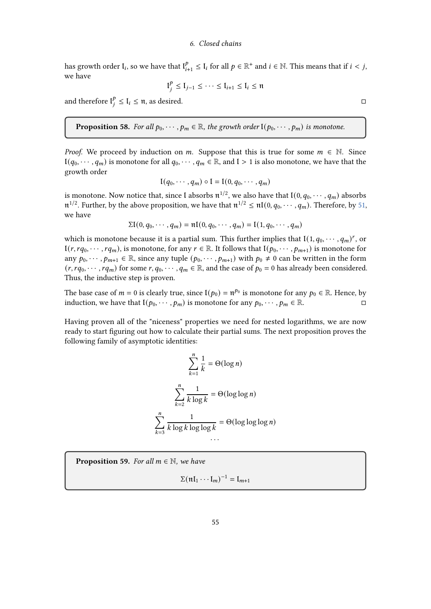has growth order  $\mathfrak{l}_i$ , so we have that  $\mathfrak{l}_i^p$  $_{i+1}^{p} \leq I_i$  for all  $p \in \mathbb{R}^+$  and  $i \in \mathbb{N}$ . This means that if  $i < j$ , we have

$$
\mathfrak{l}_{i}^{p} \leq \mathfrak{l}_{j-1} \leq \cdots \leq \mathfrak{l}_{i+1} \leq \mathfrak{l}_{i} \leq \mathfrak{n}
$$

and therefore  $I_i^p$  $\frac{p}{i} \leq I_i \leq \pi$ , as desired.

<span id="page-54-1"></span>**Proposition 58.** For all  $p_0, \dots, p_m \in \mathbb{R}$ , the growth order  $I(p_0, \dots, p_m)$  is monotone.

*Proof.* We proceed by induction on m. Suppose that this is true for some  $m \in \mathbb{N}$ . Since  $I(q_0, \dots, q_m)$  is monotone for all  $q_0, \dots, q_m \in \mathbb{R}$ , and  $I > 1$  is also monotone, we have that the growth order

$$
I(q_0,\cdots,q_m)\circ I=I(0,q_0,\cdots,q_m)
$$

is monotone. Now notice that, since I absorbs  $\mathfrak{n}^{1/2}$ , we also have that  $\mathfrak{l}(0, q_0, \cdots, q_m)$  absorbs  $\mathfrak{n}^{1/2}$ . Further, by the above proposition, we have that  $\mathfrak{n}^{1/2} \leq \mathfrak{n} I(0, q_0, \cdots, q_m)$ . Therefore, by [51,](#page-46-0) we have

$$
\Sigma I(0, q_0, \cdots, q_m) = \mathfrak{nl}(0, q_0, \cdots, q_m) = I(1, q_0, \cdots, q_m)
$$

which is monotone because it is a partial sum. This further implies that  $\mathfrak{l}(1, q_0, \cdots, q_m)^r$ , or  $I(r, rq_0, \dots, rq_m)$ , is monotone, for any  $r \in \mathbb{R}$ . It follows that  $I(p_0, \dots, p_{m+1})$  is monotone for any  $p_0, \dots, p_{m+1} \in \mathbb{R}$ , since any tuple  $(p_0, \dots, p_{m+1})$  with  $p_0 \neq 0$  can be written in the form  $(r, r q_0, \dots, r q_m)$  for some  $r, q_0, \dots, q_m \in \mathbb{R}$ , and the case of  $p_0 = 0$  has already been considered. Thus, the inductive step is proven.

The base case of  $m = 0$  is clearly true, since  $I(p_0) = \mathfrak{n}^{p_0}$  is monotone for any  $p_0 \in \mathbb{R}$ . Hence, by induction, we have that  $I(p_0, \dots, p_m)$  is monotone for any  $p_0, \dots, p_m \in \mathbb{R}$ .

Having proven all of the "niceness" properties we need for nested logarithms, we are now ready to start figuring out how to calculate their partial sums. The next proposition proves the following family of asymptotic identities:

$$
\sum_{k=1}^{n} \frac{1}{k} = \Theta(\log n)
$$

$$
\sum_{k=2}^{n} \frac{1}{k \log k} = \Theta(\log \log n)
$$

$$
\sum_{k=3}^{n} \frac{1}{k \log k \log \log k} = \Theta(\log \log \log n)
$$

<span id="page-54-0"></span>**Proposition 59.** For all  $m \in \mathbb{N}$ , we have

 $\Sigma(\mathfrak{nl}_1 \cdots \mathfrak{l}_m)^{-1} = \mathfrak{l}_{m+1}$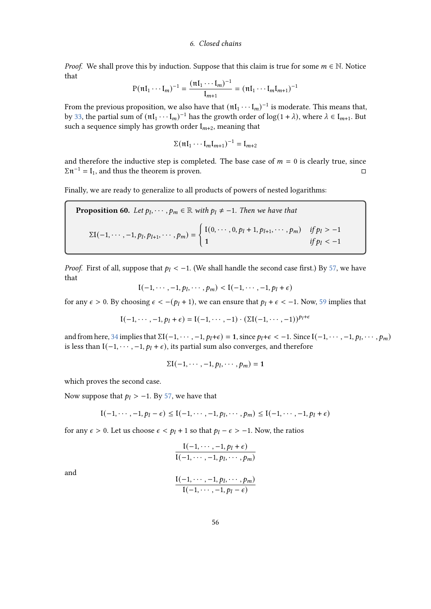*Proof.* We shall prove this by induction. Suppose that this claim is true for some  $m \in \mathbb{N}$ . Notice that

$$
P(\mathfrak{n}I_1\cdots I_m)^{-1} = \frac{(\mathfrak{n}I_1\cdots I_m)^{-1}}{I_{m+1}} = (\mathfrak{n}I_1\cdots I_mI_{m+1})^{-1}
$$

From the previous proposition, we also have that  $(\mathfrak{nl}_1 \cdots \mathfrak{l}_m)^{-1}$  is moderate. This means that, by [33,](#page-30-0) the partial sum of  $(\text{nl}_1 \cdots \text{l}_m)^{-1}$  has the growth order of  $\log(1 + \lambda)$ , where  $\lambda \in \text{I}_{m+1}$ . But such a sequence simply has growth order  $I_{m+2}$ , meaning that

$$
\Sigma(\mathfrak{n}\mathfrak{l}_1\cdots\mathfrak{l}_m\mathfrak{l}_{m+1})^{-1}=\mathfrak{l}_{m+2}
$$

and therefore the inductive step is completed. The base case of  $m = 0$  is clearly true, since  $\Sigma$  $\mathfrak{n}^{-1} = I_1$ , and thus the theorem is proven.

Finally, we are ready to generalize to all products of powers of nested logarithms:

<span id="page-55-0"></span>**Proposition 60.** Let 
$$
p_l, \dots, p_m \in \mathbb{R}
$$
 with  $p_l \neq -1$ . Then we have that  
\n
$$
\Sigma I(-1, \dots, -1, p_l, p_{l+1}, \dots, p_m) = \begin{cases} I(0, \dots, 0, p_l + 1, p_{l+1}, \dots, p_m) & \text{if } p_l > -1 \\ 1 & \text{if } p_l < -1 \end{cases}
$$

*Proof.* First of all, suppose that  $p_1 < -1$ . (We shall handle the second case first.) By [57,](#page-53-0) we have that

 $I(-1, \dots, -1, p_l, \dots, p_m) < I(-1, \dots, -1, p_l + \epsilon)$ 

for any  $\epsilon > 0$ . By choosing  $\epsilon < -(p_l + 1)$ , we can ensure that  $p_l + \epsilon < -1$ . Now, [59](#page-54-0) implies that

$$
I(-1,\cdots,-1,p_l+\epsilon) = I(-1,\cdots,-1) \cdot (\Sigma I(-1,\cdots,-1))^{p_l+\epsilon}
$$

and from here, [34](#page-30-1) implies that  $\Sigma$ I(-1, · · · , -1,  $p_l + \epsilon$ ) = 1, since  $p_l + \epsilon < -1$ . Since I(-1, · · · , -1,  $p_l$ , · · · ,  $p_m$ ) is less than  $[(-1, \cdots, -1, p_l + \epsilon)]$ , its partial sum also converges, and therefore

$$
\Sigma \mathfrak{l}(-1,\cdots,-1,p_l,\cdots,p_m)=1
$$

which proves the second case.

Now suppose that  $p_l$  > −1. By [57,](#page-53-0) we have that

$$
\mathfrak{l}(-1,\cdots,-1,p_l-\epsilon)\leq \mathfrak{l}(-1,\cdots,-1,p_l,\cdots,p_m)\leq \mathfrak{l}(-1,\cdots,-1,p_l+\epsilon)
$$

for any  $\epsilon > 0$ . Let us choose  $\epsilon < p_l + 1$  so that  $p_l - \epsilon > -1$ . Now, the ratios

$$
\frac{\mathfrak{l}(-1,\cdots,-1,p_l+\epsilon)}{\mathfrak{l}(-1,\cdots,-1,p_l,\cdots,p_m)}
$$

and

$$
\frac{\mathfrak{l}(-1,\cdots,-1,p_l,\cdots,p_m)}{\mathfrak{l}(-1,\cdots,-1,p_l-\epsilon)}
$$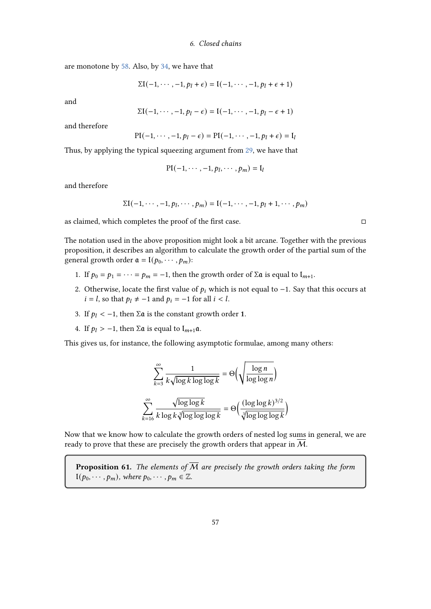are monotone by [58.](#page-54-1) Also, by [34,](#page-30-1) we have that

$$
\Sigma I(-1,\cdots,-1,p_l+\epsilon)=I(-1,\cdots,-1,p_l+\epsilon+1)
$$

and

$$
\Sigma I(-1,\cdots,-1,p_l-\epsilon)=I(-1,\cdots,-1,p_l-\epsilon+1)
$$

and therefore

$$
PI(-1,\cdots,-1,p_l-\epsilon)=PI(-1,\cdots,-1,p_l+\epsilon)=I_l
$$

Thus, by applying the typical squeezing argument from [29,](#page-27-0) we have that

$$
\mathrm{PI}(-1,\cdots,-1,p_l,\cdots,p_m)=\mathrm{I}_l
$$

and therefore

$$
\Sigma I(-1,\dots,-1,p_1,\dots,p_m) = I(-1,\dots,-1,p_1+1,\dots,p_m)
$$

as claimed, which completes the proof of the first case.  $\Box$ 

The notation used in the above proposition might look a bit arcane. Together with the previous proposition, it describes an algorithm to calculate the growth order of the partial sum of the general growth order  $\mathfrak{a} = \mathfrak{l}(p_0, \dots, p_m)$ :

- 1. If  $p_0 = p_1 = \cdots = p_m = -1$ , then the growth order of  $\Sigma \mathfrak{a}$  is equal to  $I_{m+1}$ .
- 2. Otherwise, locate the first value of  $p_i$  which is not equal to −1. Say that this occurs at  $i = l$ , so that  $p_l \neq -1$  and  $p_i = -1$  for all  $i < l$ .
- 3. If  $p_1 < -1$ , then  $\Sigma \mathfrak{a}$  is the constant growth order 1.
- 4. If  $p_l > -1$ , then  $\Sigma \mathfrak{a}$  is equal to  $I_{m+1} \mathfrak{a}$ .

This gives us, for instance, the following asymptotic formulae, among many others:

$$
\sum_{k=3}^{\infty} \frac{1}{k \sqrt{\log k \log \log k}} = \Theta\left(\sqrt{\frac{\log n}{\log \log n}}\right)
$$

$$
\sum_{k=16}^{\infty} \frac{\sqrt{\log \log k}}{k \log k \sqrt[3]{\log \log \log k}} = \Theta\left(\frac{(\log \log k)^{3/2}}{\sqrt[3]{\log \log \log k}}\right)
$$

Now that we know how to calculate the growth orders of nested log sums in general, we are ready to prove that these are precisely the growth orders that appear in M.

**Proposition 61.** The elements of  $\overline{M}$  are precisely the growth orders taking the form  $I(p_0, \dots, p_m)$ , where  $p_0, \dots, p_m \in \mathbb{Z}$ .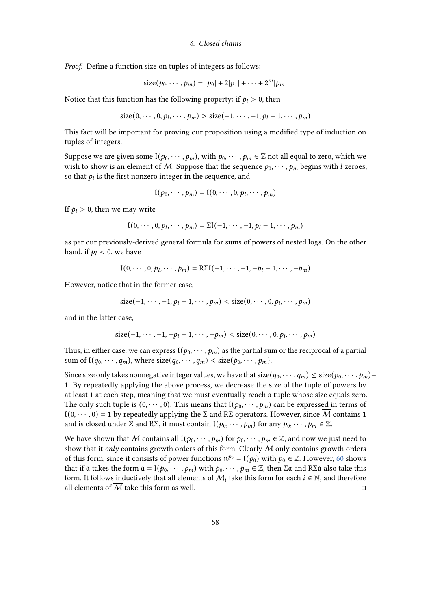Proof. Define a function size on tuples of integers as follows:

size
$$
(p_0, \cdots, p_m) = |p_0| + 2|p_1| + \cdots + 2^m|p_m|
$$

Notice that this function has the following property: if  $p_l > 0$ , then

$$
size(0, \cdots, 0, p_l, \cdots, p_m) > size(-1, \cdots, -1, p_l - 1, \cdots, p_m)
$$

This fact will be important for proving our proposition using a modified type of induction on tuples of integers.

Suppose we are given some  $I(p_0, \dots, p_m)$ , with  $p_0, \dots, p_m \in \mathbb{Z}$  not all equal to zero, which we wish to show is an element of M. Suppose that the sequence  $p_0, \dots, p_m$  begins with *l* zeroes, so that  $p_l$  is the first nonzero integer in the sequence, and

$$
I(p_0,\cdots,p_m)=I(0,\cdots,0,p_l,\cdots,p_m)
$$

If  $p_l > 0$ , then we may write

$$
I(0, \dots, 0, p_l, \dots, p_m) = \Sigma I(-1, \dots, -1, p_l - 1, \dots, p_m)
$$

as per our previously-derived general formula for sums of powers of nested logs. On the other hand, if  $p_l < 0$ , we have

$$
I(0, \cdots, 0, p_l, \cdots, p_m) = R\Sigma I(-1, \cdots, -1, -p_l - 1, \cdots, -p_m)
$$

However, notice that in the former case,

$$
size(-1,\cdots,-1,p_l-1,\cdots,p_m) < size(0,\cdots,0,p_l,\cdots,p_m)
$$

and in the latter case,

$$
size(-1,\cdots,-1,-p_l-1,\cdots,-p_m) < size(0,\cdots,0,p_l,\cdots,p_m)
$$

Thus, in either case, we can express  $(1/p_0, \dots, p_m)$  as the partial sum or the reciprocal of a partial sum of  $\mathfrak{l}(q_0, \dots, q_m)$ , where  $\text{size}(q_0, \dots, q_m) < \text{size}(p_0, \dots, p_m)$ .

Since size only takes nonnegative integer values, we have that  $size(q_0, \dots, q_m) \leq size(p_0, \dots, p_m)$ 1. By repeatedly applying the above process, we decrease the size of the tuple of powers by at least 1 at each step, meaning that we must eventually reach a tuple whose size equals zero. The only such tuple is  $(0, \dots, 0)$ . This means that  $I(p_0, \dots, p_m)$  can be expressed in terms of  $I(0, \dots, 0) = 1$  by repeatedly applying the  $\Sigma$  and  $R\Sigma$  operators. However, since M contains 1 and is closed under  $\Sigma$  and  $R\Sigma$ , it must contain  $I(p_0, \dots, p_m)$  for any  $p_0, \dots, p_m \in \mathbb{Z}$ .

We have shown that M contains all  $I(p_0, \dots, p_m)$  for  $p_0, \dots, p_m \in \mathbb{Z}$ , and now we just need to show that it only contains growth orders of this form. Clearly  $M$  only contains growth orders of this form, since it consists of power functions  $\mathfrak{n}^{p_0} = \mathfrak{l}(p_0)$  with  $p_0 \in \mathbb{Z}$ . However, [60](#page-55-0) shows that if a takes the form  $a = 1(p_0, \dots, p_m)$  with  $p_0, \dots, p_m \in \mathbb{Z}$ , then  $\Sigma a$  and  $R\Sigma a$  also take this form. It follows inductively that all elements of  $M_i$  take this form for each  $i \in \mathbb{N}$ , and therefore all elements of  $\overline{M}$  take this form as well.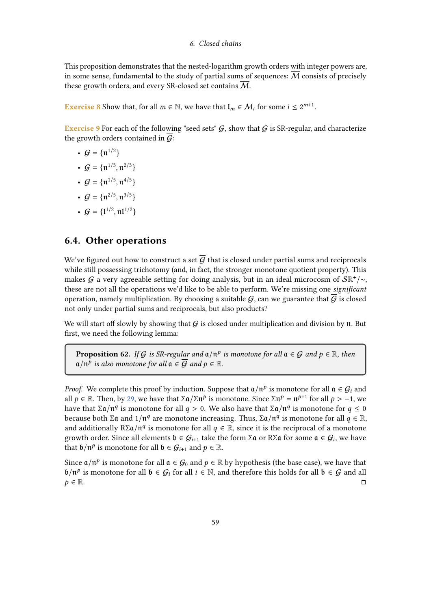This proposition demonstrates that the nested-logarithm growth orders with integer powers are, in some sense, fundamental to the study of partial sums of sequences:  $\overline{M}$  consists of precisely these growth orders, and every SR-closed set contains M.

**Exercise 8** Show that, for all  $m \in \mathbb{N}$ , we have that  $I_m \in \mathcal{M}_i$  for some  $i \leq 2^{m+1}$ .

Exercise 9 For each of the following "seed sets"  $G$ , show that  $G$  is SR-regular, and characterize the growth orders contained in  $\overline{G}$ :

- $G = {\pi^{1/2}}$
- $G = {\mathfrak{n}^{1/3}, \mathfrak{n}^{2/3}}$
- $G = {\pi^{1/5}, \pi^{4/5}}$
- $G = {\mathfrak{n}^{2/5}, \mathfrak{n}^{3/5}}$
- $G = \{1^{1/2}, \text{nt}^{1/2}\}\$

# 6.4. Other operations

We've figured out how to construct a set  $\overline{G}$  that is closed under partial sums and reciprocals while still possessing trichotomy (and, in fact, the stronger monotone quotient property). This makes G a very agreeable setting for doing analysis, but in an ideal microcosm of  $\mathcal{S} \mathbb{R}^+/\sim$ , these are not all the operations we'd like to be able to perform. We're missing one significant operation, namely multiplication. By choosing a suitable  $G$ , can we guarantee that  $\overline{G}$  is closed not only under partial sums and reciprocals, but also products?

We will start off slowly by showing that  $G$  is closed under multiplication and division by  $\mathfrak n$ . But first, we need the following lemma:

**Proposition 62.** If G is SR-regular and  $\mathfrak{a}/\mathfrak{n}^p$  is monotone for all  $\mathfrak{a} \in G$  and  $p \in \mathbb{R}$ , then  $\mathfrak{a}/\mathfrak{n}^p$  is also monotone for all  $\mathfrak{a} \in \overline{\mathcal{G}}$  and  $p \in \mathbb{R}$ .

*Proof.* We complete this proof by induction. Suppose that  $\mathfrak{a}/\mathfrak{n}^p$  is monotone for all  $\mathfrak{a} \in \mathcal{G}_i$  and all  $p \in \mathbb{R}$ . Then, by [29,](#page-27-0) we have that  $\Sigma \mathfrak{a}/\Sigma \mathfrak{n}^p$  is monotone. Since  $\Sigma \mathfrak{n}^p = \mathfrak{n}^{p+1}$  for all  $p > -1$ , we have that Σα/ $\pi^q$  is monotone for all  $q > 0$ . We also have that Σα/ $\pi^q$  is monotone for  $q \leq 0$ because both Σα and 1/ $\pi^q$  are monotone increasing. Thus, Σα/ $\pi^q$  is monotone for all  $q \in \mathbb{R}$ , and additionally  $R\Sigma\mathfrak{a}/\mathfrak{n}^q$  is monotone for all  $q\in\mathbb{R}$ , since it is the reciprocal of a monotone growth order. Since all elements  $\mathfrak{b} \in \mathcal{G}_{i+1}$  take the form Σα or RΣα for some  $\mathfrak{a} \in \mathcal{G}_i$ , we have that  $\mathfrak{b}/\mathfrak{n}^p$  is monotone for all  $\mathfrak{b} \in \mathcal{G}_{i+1}$  and  $p \in \mathbb{R}$ .

Since  $\mathfrak{a}/\mathfrak{n}^p$  is monotone for all  $\mathfrak{a} \in \mathcal{G}_0$  and  $p \in \mathbb{R}$  by hypothesis (the base case), we have that  $\mathfrak{b}/\mathfrak{n}^p$  is monotone for all  $\mathfrak{b} \in \mathcal{G}_i$  for all  $i \in \mathbb{N}$ , and therefore this holds for all  $\mathfrak{b} \in \overline{\mathcal{G}}$  and all  $p \in \mathbb{R}$ .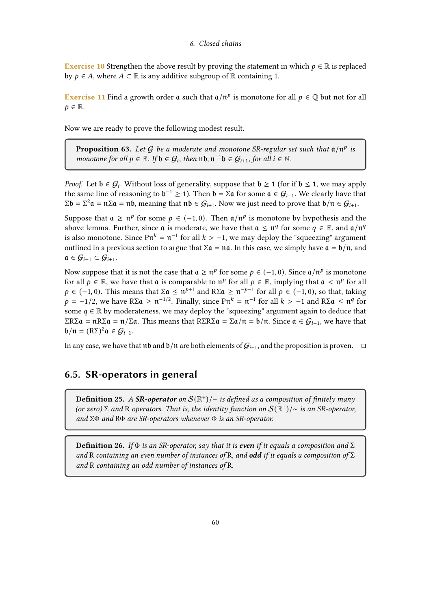**Exercise 10** Strengthen the above result by proving the statement in which  $p \in \mathbb{R}$  is replaced by  $p \in A$ , where  $A \subset \mathbb{R}$  is any additive subgroup of  $\mathbb{R}$  containing 1.

**Exercise 11** Find a growth order  $\mathfrak a$  such that  $\mathfrak a/\mathfrak n^p$  is monotone for all  $p \in \mathbb Q$  but not for all  $p \in \mathbb{R}$ .

Now we are ready to prove the following modest result.

**Proposition 63.** Let G be a moderate and monotone SR-regular set such that  $a/n^p$  is monotone for all  $p \in \mathbb{R}$ . If  $\mathfrak{b} \in \mathcal{G}_i$ , then  $\mathfrak{nb}$ ,  $\mathfrak{n}^{-1}\mathfrak{b} \in \mathcal{G}_{i+1}$ , for all  $i \in \mathbb{N}$ .

*Proof.* Let  $b \in G_i$ . Without loss of generality, suppose that  $b \ge 1$  (for if  $b \le 1$ , we may apply the same line of reasoning to  $\mathfrak{b}^{-1} \geq 1$ ). Then  $\mathfrak{b} = \Sigma \mathfrak{a}$  for some  $\mathfrak{a} \in \mathcal{G}_{i-1}$ . We clearly have that  $\Sigma$ b = Σ<sup>2</sup>α = πΣα = πb, meaning that πb ∈  $\mathcal{G}_{i+1}$ . Now we just need to prove that b/ $π ∈ \mathcal{G}_{i+1}$ .

Suppose that  $\mathfrak{a} \geq \mathfrak{n}^p$  for some  $p \in (-1, 0)$ . Then  $\mathfrak{a}/\mathfrak{n}^p$  is monotone by hypothesis and the above lemma. Further, since  $\mathfrak a$  is moderate, we have that  $\mathfrak a \leq \mathfrak n^q$  for some  $q \in \mathbb R$ , and  $\mathfrak a/\mathfrak n^q$ is also monotone. Since  $\text{Pr}^k = \text{ft}^{-1}$  for all  $k > -1$ , we may deploy the "squeezing" argument outlined in a previous section to argue that  $\Sigma \mathfrak{a} = \mathfrak{n} \mathfrak{a}$ . In this case, we simply have  $\mathfrak{a} = \mathfrak{b}/\mathfrak{n}$ , and  $a \in \mathcal{G}_{i-1} \subset \mathcal{G}_{i+1}.$ 

Now suppose that it is not the case that  $\mathfrak{a} \geq \mathfrak{n}^p$  for some  $p \in (-1,0)$ . Since  $\mathfrak{a}/\mathfrak{n}^p$  is monotone for all  $p \in \mathbb{R}$ , we have that  $\mathfrak a$  is comparable to  $\mathfrak n^p$  for all  $p \in \mathbb{R}$ , implying that  $\mathfrak a < \mathfrak n^p$  for all  $p \in (-1, 0)$ . This means that  $\Sigma \mathfrak{a} \leq \mathfrak{n}^{p+1}$  and  $R\Sigma \mathfrak{a} \geq \mathfrak{n}^{-p-1}$  for all  $p \in (-1, 0)$ , so that, taking  $p = -1/2$ , we have  $R\Sigma \mathfrak{a} \ge \mathfrak{n}^{-1/2}$ . Finally, since  $\text{Pr}^k = \mathfrak{n}^{-1}$  for all  $k > -1$  and  $R\Sigma \mathfrak{a} \le \mathfrak{n}^q$  for some  $q \in \mathbb{R}$  by moderateness, we may deploy the "squeezing" argument again to deduce that  $\sum R\sum \alpha = nR\sum \alpha = n/\sum \alpha$ . This means that  $R\sum R\sum \alpha = \sum \alpha/n = \frac{b}{n}$ . Since  $\alpha \in G_{i-1}$ , we have that  $\mathfrak{b}/\mathfrak{n} = (\mathbb{R}\Sigma)^2 \mathfrak{a} \in \mathcal{G}_{i+1}.$ 

In any case, we have that  $\pi$  and  $\frac{b}{\pi}$  are both elements of  $G_{i+1}$ , and the proposition is proven.  $\Box$ 

# 6.5. SR-operators in general

**Definition 25.** A **SR-operator** on  $\mathcal{S}(\mathbb{R}^+)$ /∼ is defined as a composition of finitely many (or zero)  $\Sigma$  and R operators. That is, the identity function on  $\mathcal{S}(\mathbb{R}^+)$ /~ is an SR-operator, and  $\Sigma\Phi$  and  $R\Phi$  are SR-operators whenever  $\Phi$  is an SR-operator.

**Definition 26.** If  $\Phi$  is an SR-operator, say that it is **even** if it equals a composition and  $\Sigma$ and R containing an even number of instances of R, and **odd** if it equals a composition of  $\Sigma$ and R containing an odd number of instances of R.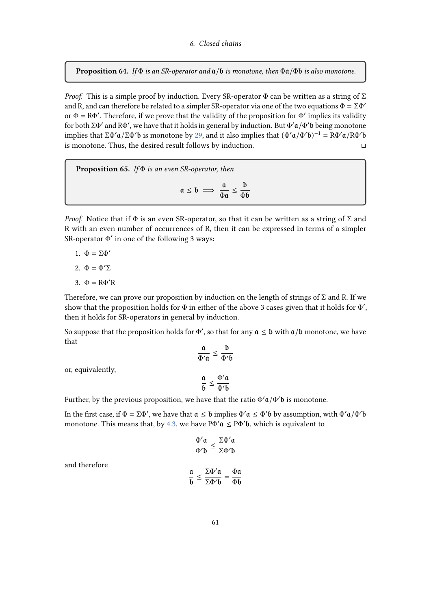<span id="page-60-0"></span>**Proposition 64.** If  $\Phi$  is an SR-operator and  $\alpha/b$  is monotone, then  $\Phi \alpha/\Phi b$  is also monotone.

*Proof.* This is a simple proof by induction. Every SR-operator  $\Phi$  can be written as a string of  $\Sigma$ and R, and can therefore be related to a simpler SR-operator via one of the two equations  $\Phi = \Sigma \Phi'$ or  $\Phi = R\Phi'$ . Therefore, if we prove that the validity of the proposition for  $\Phi'$  implies its validity for both  $\Sigma\Phi'$  and  $R\Phi'$ , we have that it holds in general by induction. But  $\Phi'\mathfrak{a}/\Phi'$ b being monotone implies that ΣΦ' $\alpha$ /ΣΦ' $\beta$  is monotone by [29,](#page-27-0) and it also implies that  $(\Phi'\alpha/\Phi'\delta)^{-1} = R\Phi'\alpha/R\Phi'\delta$ is monotone. Thus, the desired result follows by induction.

**Proposition 65.** If  $\Phi$  is an even SR-operator, then  $a \leq b \implies \frac{a}{b}$  $\frac{\mathfrak{a}}{\Phi \mathfrak{a}} \leq \frac{\mathfrak{b}}{\Phi}$ 

Proof. Notice that if  $\Phi$  is an even SR-operator, so that it can be written as a string of  $\Sigma$  and R with an even number of occurrences of R, then it can be expressed in terms of a simpler SR-operator  $Φ'$  in one of the following 3 ways:

Φ

- 1.  $\Phi = \Sigma \Phi'$
- 2.  $\Phi = \Phi' \Sigma$
- 3.  $\Phi = R\Phi'R$

Therefore, we can prove our proposition by induction on the length of strings of  $\Sigma$  and R. If we show that the proposition holds for  $\Phi$  in either of the above 3 cases given that it holds for  $\Phi'$ , then it holds for SR-operators in general by induction.

So suppose that the proposition holds for  $\Phi'$ , so that for any  $\mathfrak{a} \leq \mathfrak{b}$  with  $\mathfrak{a}/\mathfrak{b}$  monotone, we have that

$$
\frac{\mathfrak{a}}{\Phi'\mathfrak{a}} \le \frac{\mathfrak{b}}{\Phi'\mathfrak{b}}
$$

$$
\frac{\mathfrak{a}}{\mathfrak{b}} \le \frac{\Phi'\mathfrak{a}}{\Phi'\mathfrak{b}}
$$

or, equivalently,

Further, by the previous proposition, we have that the ratio  $\Phi' \mathfrak{a}/\Phi' \mathfrak{b}$  is monotone.

In the first case, if  $\Phi = \Sigma \Phi'$ , we have that  $\mathfrak{a} \leq \mathfrak{b}$  implies  $\Phi' \mathfrak{a} \leq \Phi' \mathfrak{b}$  by assumption, with  $\Phi' \mathfrak{a} / \Phi' \mathfrak{b}$ monotone. This means that, by [4.3,](#page-29-0) we have  $P\Phi' \mathfrak{a} \leq P\Phi' \mathfrak{b}$ , which is equivalent to

$$
\frac{\Phi'\mathfrak{a}}{\Phi'\mathfrak{b}} \leq \frac{\Sigma\Phi'\mathfrak{a}}{\Sigma\Phi'\mathfrak{b}}
$$

and therefore

$$
\frac{\mathfrak{a}}{\mathfrak{b}} \leq \frac{\Sigma \Phi' \mathfrak{a}}{\Sigma \Phi' \mathfrak{b}} = \frac{\Phi \mathfrak{a}}{\Phi \mathfrak{b}}
$$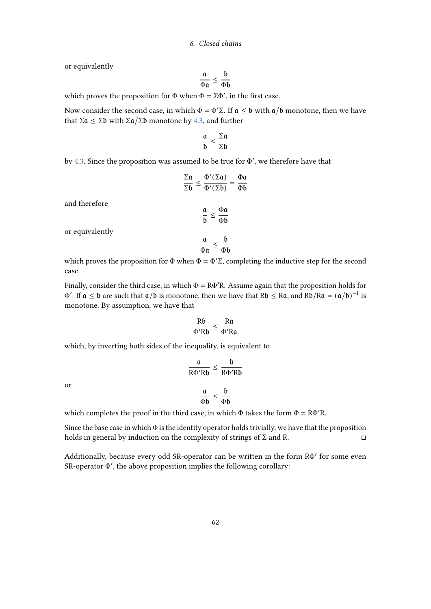or equivalently

$$
\frac{\mathfrak{a}}{\Phi\mathfrak{a}} \leq \frac{\mathfrak{b}}{\Phi\mathfrak{b}}
$$

which proves the proposition for  $\Phi$  when  $\Phi = \Sigma \Phi'$ , in the first case.

Now consider the second case, in which  $\Phi = \Phi' \Sigma$ . If  $\mathfrak{a} \leq \mathfrak{b}$  with  $\mathfrak{a}/\mathfrak{b}$  monotone, then we have that Σα  $\leq$  Σb with Σα/Σb monotone by [4.3,](#page-29-0) and further

$$
\frac{\mathfrak{a}}{\mathfrak{b}} \leq \frac{\Sigma \mathfrak{a}}{\Sigma \mathfrak{b}}
$$

by [4.3.](#page-29-0) Since the proposition was assumed to be true for  $\Phi'$ , we therefore have that

$$
\frac{\Sigma a}{\Sigma b} \le \frac{\Phi'(\Sigma a)}{\Phi'(\Sigma b)} = \frac{\Phi a}{\Phi b}
$$

$$
\frac{a}{b} \le \frac{\Phi a}{\Phi b}
$$

or equivalently

and therefore

$$
\frac{\mathfrak{a}}{\Phi \mathfrak{a}} \leq \frac{\mathfrak{b}}{\Phi \mathfrak{b}}
$$

which proves the proposition for  $\Phi$  when  $\Phi = \Phi' \Sigma$ , completing the inductive step for the second case.

Finally, consider the third case, in which  $\Phi = R\Phi'R$ . Assume again that the proposition holds for  $\Phi'$ . If  $\mathfrak{a} \leq \mathfrak{b}$  are such that  $\mathfrak{a}/\mathfrak{b}$  is monotone, then we have that R $\mathfrak{b} \leq R\mathfrak{a}$ , and R $\mathfrak{b}/R\mathfrak{a} = (\mathfrak{a}/\mathfrak{b})^{-1}$  is monotone. By assumption, we have that

$$
\frac{Rb}{\Phi'Rb} \leq \frac{Ra}{\Phi'Ra}
$$

which, by inverting both sides of the inequality, is equivalent to

$$
\frac{a}{R\Phi'Rb} \le \frac{b}{R\Phi'Rb}
$$

$$
\frac{a}{\Phi b} \le \frac{b}{\Phi b}
$$

or

which completes the proof in the third case, in which  $\Phi$  takes the form  $\Phi = R\Phi'R$ .

Since the base case in which  $\Phi$  is the identity operator holds trivially, we have that the proposition holds in general by induction on the complexity of strings of  $\Sigma$  and R.

Additionally, because every odd SR-operator can be written in the form RΦ' for some even SR-operator Φ', the above proposition implies the following corollary: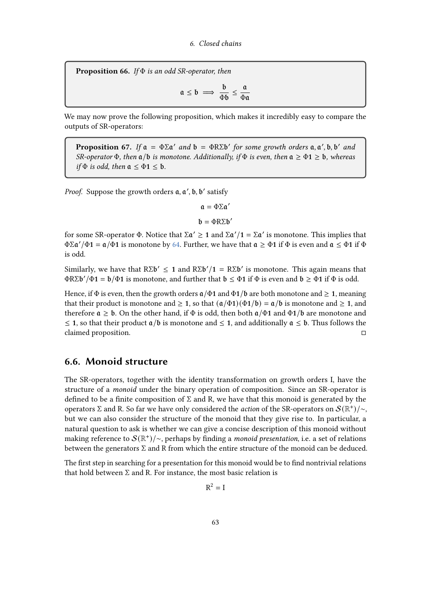**Proposition 66.** If  $\Phi$  is an odd SR-operator, then

$$
\mathfrak{a}\,\leq\,\mathfrak{b}\implies\,\frac{\mathfrak{b}}{\Phi\mathfrak{b}}\,\leq\,\frac{\mathfrak{a}}{\Phi\mathfrak{a}}
$$

We may now prove the following proposition, which makes it incredibly easy to compare the outputs of SR-operators:

**Proposition 67.** If  $a = \Phi \Sigma a'$  and  $b = \Phi R \Sigma b'$  for some growth orders  $a, a', b, b'$  and SR-operator  $\Phi$ , then  $\mathfrak{a}/\mathfrak{b}$  is monotone. Additionally, if  $\Phi$  is even, then  $\mathfrak{a} \geq \Phi$ 1  $\geq$   $\mathfrak{b}$ , whereas if  $\Phi$  is odd, then  $\mathfrak{a} \leq \Phi \mathbf{1} \leq \mathfrak{b}$ .

Proof. Suppose the growth orders  $a, a', b, b'$  satisfy

$$
\mathfrak{a}=\Phi\Sigma\mathfrak{a}'
$$

$$
\mathfrak{b}=\Phi R\Sigma \mathfrak{b}'
$$

for some SR-operator Φ. Notice that  $\Sigma \alpha' \geq 1$  and  $\Sigma \alpha'/1 = \Sigma \alpha'$  is monotone. This implies that  $\Phi \Sigma \mathfrak{a}'/\Phi \mathbf{1} = \mathfrak{a}/\Phi \mathbf{1}$  is monotone by [64.](#page-60-0) Further, we have that  $\mathfrak{a} \geq \Phi \mathbf{1}$  if  $\Phi$  is even and  $\mathfrak{a} \leq \Phi \mathbf{1}$  if  $\Phi$ is odd.

Similarly, we have that  $R\Sigma b' \leq 1$  and  $R\Sigma b'/1 = R\Sigma b'$  is monotone. This again means that  $\Phi R\Sigma \mathfrak{b}'/\Phi \mathbf{1} = \mathfrak{b}/\Phi \mathbf{1}$  is monotone, and further that  $\mathfrak{b} \leq \Phi \mathbf{1}$  if  $\Phi$  is even and  $\mathfrak{b} \geq \Phi \mathbf{1}$  if  $\Phi$  is odd.

Hence, if  $\Phi$  is even, then the growth orders  $\mathfrak{a}/\Phi$  and  $\Phi$ 1/ $\mathfrak{b}$  are both monotone and  $\geq$  1, meaning that their product is monotone and  $\geq 1$ , so that  $(a/\Phi 1)(\Phi 1/b) = a/b$  is monotone and  $\geq 1$ , and therefore  $a \geq b$ . On the other hand, if  $\Phi$  is odd, then both  $a/\Phi 1$  and  $\Phi 1/b$  are monotone and  $\leq$  1, so that their product  $a/b$  is monotone and  $\leq$  1, and additionally  $a \leq b$ . Thus follows the claimed proposition.

# 6.6. Monoid structure

The SR-operators, together with the identity transformation on growth orders I, have the structure of a monoid under the binary operation of composition. Since an SR-operator is defined to be a finite composition of  $\Sigma$  and R, we have that this monoid is generated by the operators Σ and R. So far we have only considered the *action* of the SR-operators on  $\mathcal{S}(\mathbb{R}^+)$ /~, but we can also consider the structure of the monoid that they give rise to. In particular, a natural question to ask is whether we can give a concise description of this monoid without making reference to  $\mathcal S(\mathbb R^+) / \sim$ , perhaps by finding a *monoid presentation*, i.e. a set of relations between the generators  $\Sigma$  and R from which the entire structure of the monoid can be deduced.

The first step in searching for a presentation for this monoid would be to find nontrivial relations that hold between  $\Sigma$  and R. For instance, the most basic relation is

$$
R^2 = I
$$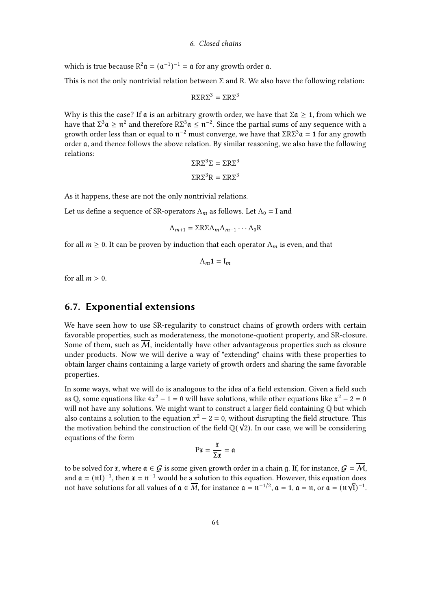which is true because  $R^2 \mathfrak{a} = (\mathfrak{a}^{-1})^{-1} = \mathfrak{a}$  for any growth order  $\mathfrak{a}$ .

This is not the only nontrivial relation between  $\Sigma$  and R. We also have the following relation:

$$
R\Sigma R\Sigma^3 = \Sigma R\Sigma^3
$$

Why is this the case? If  $\mathfrak a$  is an arbitrary growth order, we have that  $\Sigma \mathfrak a \ge 1$ , from which we have that  $\Sigma^3\mathfrak{a} \geq \mathfrak{n}^2$  and therefore  $R\Sigma^3\mathfrak{a} \leq \mathfrak{n}^{-2}$ . Since the partial sums of any sequence with a growth order less than or equal to  $π^{-2}$  must converge, we have that ΣRΣ<sup>3</sup> $α = 1$  for any growth order  $\mathfrak a$ , and thence follows the above relation. By similar reasoning, we also have the following relations:

$$
\Sigma R \Sigma^3 \Sigma = \Sigma R \Sigma^3
$$

$$
\Sigma R \Sigma^3 R = \Sigma R \Sigma^3
$$

As it happens, these are not the only nontrivial relations.

Let us define a sequence of SR-operators  $\Lambda_m$  as follows. Let  $\Lambda_0 = I$  and

$$
\Lambda_{m+1} = \Sigma R \Sigma \Lambda_m \Lambda_{m-1} \cdots \Lambda_0 R
$$

for all  $m \ge 0$ . It can be proven by induction that each operator  $\Lambda_m$  is even, and that

$$
\Lambda_m\mathbf{1}=\mathbf{I}_m
$$

for all  $m > 0$ .

# 6.7. Exponential extensions

We have seen how to use SR-regularity to construct chains of growth orders with certain favorable properties, such as moderateness, the monotone-quotient property, and SR-closure. Some of them, such as  $\overline{M}$ , incidentally have other advantageous properties such as closure under products. Now we will derive a way of "extending" chains with these properties to obtain larger chains containing a large variety of growth orders and sharing the same favorable properties.

In some ways, what we will do is analogous to the idea of a field extension. Given a field such as Q, some equations like  $4x^2 - 1 = 0$  will have solutions, while other equations like  $x^2 - 2 = 0$ will not have any solutions. We might want to construct a larger field containing  $\mathbb Q$  but which also contains a solution to the equation  $x^2 - 2 = 0$ , without disrupting the field structure. This the motivation behind the construction of the field  $\mathbb{Q}(\sqrt{2})$ . In our case, we will be considering equations of the form

$$
\mathrm{P}\mathfrak{x} = \frac{\mathfrak{x}}{\Sigma \mathfrak{x}} = \mathfrak{a}
$$

to be solved for **x**, where  $a \in G$  is some given growth order in a chain g. If, for instance,  $G = \overline{M}$ , and  $\mathfrak{a} = (\mathfrak{n} \mathfrak{l})^{-1}$ , then  $\mathfrak{x} = \mathfrak{n}^{-1}$  would be a solution to this equation. However, this equation does not have solutions for all values of  $\mathfrak{a} \in \overline{M}$ , for instance  $\mathfrak{a} = \mathfrak{n}^{-1/2}$ ,  $\mathfrak{a} = 1$ ,  $\mathfrak{a} = \mathfrak{n}$ , or  $\mathfrak{a} = (\mathfrak{n}\sqrt{\mathfrak{l}})^{-1}$ .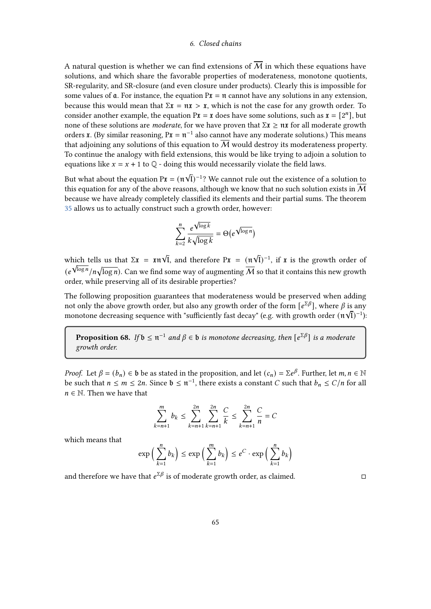A natural question is whether we can find extensions of  $\overline{M}$  in which these equations have solutions, and which share the favorable properties of moderateness, monotone quotients, SR-regularity, and SR-closure (and even closure under products). Clearly this is impossible for some values of  $\bf{a}$ . For instance, the equation  $\bf{P} \bf{x} = \bf{\hat{n}}$  cannot have any solutions in any extension, because this would mean that  $\Sigma \mathbf{x} = \mathbf{n} \mathbf{x} > \mathbf{x}$ , which is not the case for any growth order. To consider another example, the equation  $Px = \mathbf{x}$  does have some solutions, such as  $\mathbf{x} = [2^n]$ , but none of these solutions are *moderate*, for we have proven that  $\Sigma \mathbf{\tilde{x}} \geq \mathbf{n} \mathbf{\tilde{x}}$  for all moderate growth orders **x**. (By similar reasoning,  $P\mathbf{x} = \mathfrak{n}^{-1}$  also cannot have any moderate solutions.) This means that adjoining any solutions of this equation to M would destroy its moderateness property. To continue the analogy with field extensions, this would be like trying to adjoin a solution to equations like  $x = x + 1$  to  $\mathbb{Q}$  - doing this would necessarily violate the field laws. √

But what about the equation  $P\mathbf{\tilde{x}} = (\mathbf{\tilde{n}})$  $\tilde{I})^{-1}$ ? We cannot rule out the existence of a solution to this equation for any of the above reasons, although we know that no such solution exists in  $\overline{\mathcal{M}}$ because we have already completely classified its elements and their partial sums. The theorem [35](#page-31-0) allows us to actually construct such a growth order, however:

$$
\sum_{k=2}^{n} \frac{e^{\sqrt{\log k}}}{k\sqrt{\log k}} = \Theta\left(e^{\sqrt{\log n}}\right)
$$

which tells us that  $\Sigma \mathbf{x} = \mathbf{x} \mathbf{n} \sqrt{\mathbf{l}}$ , and therefore  $\mathbf{P} \mathbf{x} = (\mathbf{n} \times \mathbf{n})^T$ √ hich tells us that  $\Sigma \mathbf{x} = \mathbf{x} \cdot \mathbf{v} \cdot \mathbf{I}$ , and therefore  $P\mathbf{x} = (\mathbf{n} \cdot \mathbf{V} \cdot \mathbf{I})^{-1}$ , if  $\mathbf{x}$  is the growth order of  $(e^{\sqrt{\log n}}/n\sqrt{\log n})$ . Can we find some way of augmenting  $\overline{\mathcal M}$  so that it contains this new growth order, while preserving all of its desirable properties?

The following proposition guarantees that moderateness would be preserved when adding not only the above growth order, but also any growth order of the form  $[e^{\Sigma \beta}]$ , where  $\beta$  is any monotone decreasing sequence with "sufficiently fast decay" (e.g. with growth order  $(\mathfrak{n}\sqrt{\mathfrak{l}})^{-1}$ ):

<span id="page-64-0"></span>**Proposition 68.** If  $\mathfrak{b} \leq \mathfrak{n}^{-1}$  and  $\beta \in \mathfrak{b}$  is monotone decreasing, then  $[e^{\Sigma \beta}]$  is a moderate growth order.

*Proof.* Let  $\beta = (b_n) \in \mathfrak{b}$  be as stated in the proposition, and let  $(c_n) = \sum e^{\beta}$ . Further, let  $m, n \in \mathbb{N}$ be such that  $n \le m \le 2n$ . Since  $\mathfrak{b} \le \mathfrak{n}^{-1}$ , there exists a constant C such that  $b_n \le C/n$  for all  $n \in \mathbb{N}$ . Then we have that

$$
\sum_{k=n+1}^{m} b_k \le \sum_{k=n+1}^{2n} \sum_{k=n+1}^{2n} \frac{C}{k} \le \sum_{k=n+1}^{2n} \frac{C}{n} = C
$$

which means that

$$
\exp\left(\sum_{k=1}^n b_k\right) \le \exp\left(\sum_{k=1}^m b_k\right) \le e^C \cdot \exp\left(\sum_{k=1}^n b_k\right)
$$

and therefore we have that  $e^{\Sigma \beta}$  is of moderate growth order, as claimed.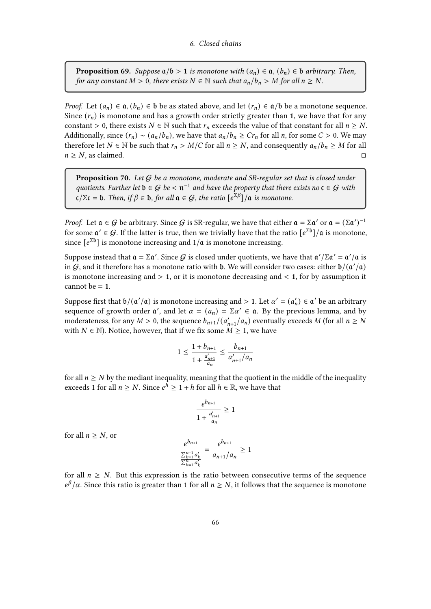**Proposition 69.** Suppose  $a/b > 1$  is monotone with  $(a_n) \in \mathfrak{a}$ ,  $(b_n) \in \mathfrak{b}$  arbitrary. Then, for any constant  $M > 0$ , there exists  $N \in \mathbb{N}$  such that  $a_n/b_n > M$  for all  $n \ge N$ .

*Proof.* Let  $(a_n) \in \mathfrak{a}, (b_n) \in \mathfrak{b}$  be as stated above, and let  $(r_n) \in \mathfrak{a}/\mathfrak{b}$  be a monotone sequence. Since  $(r_n)$  is monotone and has a growth order strictly greater than 1, we have that for any constant > 0, there exists  $N \in \mathbb{N}$  such that  $r_n$  exceeds the value of that constant for all  $n \geq N$ . Additionally, since  $(r_n) \sim (a_n/b_n)$ , we have that  $a_n/b_n \ge Cr_n$  for all *n*, for some  $C > 0$ . We may therefore let  $N \in \mathbb{N}$  be such that  $r_n > M/C$  for all  $n \ge N$ , and consequently  $a_n/b_n \ge M$  for all  $n \geq N$ , as claimed.

**Proposition 70.** Let  $G$  be a monotone, moderate and SR-regular set that is closed under quotients. Further let  $\mathfrak{b} \in \mathcal{G}$  be  $< \mathfrak{n}^{-1}$  and have the property that there exists no  $\mathfrak{c} \in \mathcal{G}$  with  $\mathfrak{c}/\Sigma \mathfrak{c} = \mathfrak{b}$ . Then, if  $\beta \in \mathfrak{b}$ , for all  $\mathfrak{a} \in \mathcal{G}$ , the ratio  $\big[\mathfrak{e}^{\Sigma \beta}\big] / \mathfrak{a}$  is monotone.

*Proof.* Let  $a \in G$  be arbitrary. Since G is SR-regular, we have that either  $a = \Sigma a'$  or  $a = (\Sigma a')^{-1}$ for some  $\mathfrak{a}' \in \mathcal{G}.$  If the latter is true, then we trivially have that the ratio  $\lbrack e^{\Sigma \mathfrak{b}}\rbrack/\mathfrak{a}$  is monotone, since  $[e^{\Sigma b}]$  is monotone increasing and  $1/a$  is monotone increasing.

Suppose instead that  $\mathfrak{a} = \Sigma \mathfrak{a}'$ . Since  $G$  is closed under quotients, we have that  $\mathfrak{a}'/\Sigma \mathfrak{a}' = \mathfrak{a}'/\mathfrak{a}$  is in  $G$ , and it therefore has a monotone ratio with b. We will consider two cases: either  $\frac{b}{(\mathfrak{a}'/ \mathfrak{a})}$ is monotone increasing and  $> 1$ , or it is monotone decreasing and  $< 1$ , for by assumption it cannot be  $= 1$ .

Suppose first that  $\mathfrak{b}/(\mathfrak{a}'/\mathfrak{a})$  is monotone increasing and > 1. Let  $\alpha' = (a'_n) \in \mathfrak{a}'$  be an arbitrary sequence of growth order  $\alpha'$ , and let  $\alpha = (a_n) = \sum \alpha' \in \mathfrak{a}$ . By the previous lemma, and by moderateness, for any  $M > 0$ , the sequence  $b_{n+1}/(a'_{n+1}/a_n)$  eventually exceeds M (for all  $n \ge N$ with  $N \in \mathbb{N}$ ). Notice, however, that if we fix some  $M \geq 1$ , we have

$$
1 \le \frac{1 + b_{n+1}}{1 + \frac{a'_{n+1}}{a_n}} \le \frac{b_{n+1}}{a'_{n+1}/a_n}
$$

for all  $n \geq N$  by the mediant inequality, meaning that the quotient in the middle of the inequality exceeds 1 for all  $n \ge N$ . Since  $e^{\hat{h}} \ge 1 + h$  for all  $h \in \mathbb{R}$ , we have that

$$
\frac{e^{b_{n+1}}}{1 + \frac{a'_{n+1}}{a_n}} \ge 1
$$

for all  $n \geq N$ , or

$$
\frac{e^{b_{n+1}}}{\frac{\sum_{k=1}^{n+1} a'_k}{\sum_{k=1}^n a'_k}} = \frac{e^{b_{n+1}}}{a_{n+1}/a_n} \ge 1
$$

for all  $n \geq N$ . But this expression is the ratio between consecutive terms of the sequence  $e^{\beta}/\alpha$ . Since this ratio is greater than 1 for all  $n \ge N$ , it follows that the sequence is monotone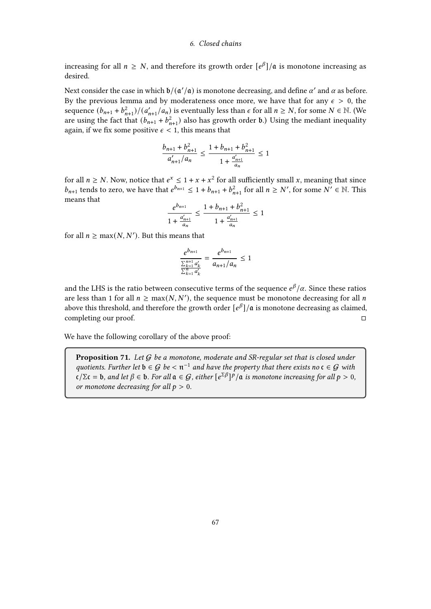increasing for all  $n \geq N$ , and therefore its growth order  $[e^{\beta}]/\mathfrak{a}$  is monotone increasing as desired.

Next consider the case in which  $\mathfrak{b}/(\mathfrak{a}'/\mathfrak{a})$  is monotone decreasing, and define  $\alpha'$  and  $\alpha$  as before. By the previous lemma and by moderateness once more, we have that for any  $\epsilon > 0$ , the sequence  $(b_{n+1} + b_{n+1}^2)/(a'_{n+1}/a_n)$  is eventually less than  $\epsilon$  for all  $n \ge N$ , for some  $N \in \mathbb{N}$ . (We are using the fact that  $(b_{n+1} + b_{n+1}^2)$  also has growth order b.) Using the mediant inequality again, if we fix some positive  $\epsilon$  < 1, this means that

$$
\frac{b_{n+1} + b_{n+1}^2}{a'_{n+1}/a_n} \le \frac{1 + b_{n+1} + b_{n+1}^2}{1 + \frac{a'_{n+1}}{a_n}} \le 1
$$

for all  $n \ge N$ . Now, notice that  $e^x \le 1 + x + x^2$  for all sufficiently small x, meaning that since  $b_{n+1}$  tends to zero, we have that  $e^{b_{n+1}} \leq 1 + b_{n+1} + b_{n+1}^2$  for all  $n \geq N'$ , for some  $N' \in \mathbb{N}$ . This means that

$$
\frac{e^{b_{n+1}}}{1 + \frac{a'_{n+1}}{a_n}} \le \frac{1 + b_{n+1} + b_{n+1}^2}{1 + \frac{a'_{n+1}}{a_n}} \le 1
$$

for all  $n \ge \max(N, N')$ . But this means that

$$
\frac{e^{b_{n+1}}}{\frac{\sum_{k=1}^{n+1} a'_k}{\sum_{k=1}^{n} a'_k}} = \frac{e^{b_{n+1}}}{a_{n+1}/a_n} \le 1
$$

and the LHS is the ratio between consecutive terms of the sequence  $e^\beta/\alpha$ . Since these ratios are less than 1 for all  $n \ge \max(N, N')$ , the sequence must be monotone decreasing for all n above this threshold, and therefore the growth order  $[e^{\beta}]/\mathfrak{a}$  is monotone decreasing as claimed, completing our proof.

We have the following corollary of the above proof:

<span id="page-66-0"></span>**Proposition 71.** Let  $G$  be a monotone, moderate and SR-regular set that is closed under quotients. Further let  $\mathfrak{b} \in \mathcal{G}$  be  $< \mathfrak{n}^{-1}$  and have the property that there exists no  $\mathfrak{c} \in \mathcal{G}$  with  $\mathfrak{c}/\Sigma \mathfrak{c} = \mathfrak{b}$ , and let  $\beta \in \mathfrak{b}$ . For all  $\mathfrak{a} \in \mathcal{G}$ , either  $\lbrack e^{\Sigma \beta}\rbrack^p/\mathfrak{a}$  is monotone increasing for all  $p > 0$ , or monotone decreasing for all  $p > 0$ .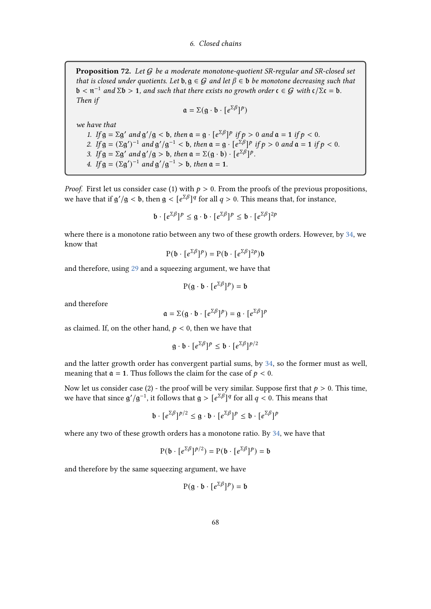<span id="page-67-0"></span>**Proposition 72.** Let  $G$  be a moderate monotone-quotient SR-regular and SR-closed set that is closed under quotients. Let  $\mathfrak{b}, \mathfrak{g} \in \mathcal{G}$  and let  $\beta \in \mathfrak{b}$  be monotone decreasing such that  $\mathfrak{b} < \mathfrak{n}^{-1}$  and  $\Sigma \mathfrak{b} > 1$ , and such that there exists no growth order  $\mathfrak{c} \in \mathcal{G}$  with  $\mathfrak{c}/\Sigma \mathfrak{c} = \mathfrak{b}$ . Then if

$$
\mathfrak{a} = \Sigma(g \cdot \mathfrak{b} \cdot [e^{\Sigma \beta}]^p)
$$

we have that

1. If  $g = \Sigma g'$  and  $g'/g < b$ , then  $a = g \cdot [e^{\Sigma \beta}]^p$  if  $p > 0$  and  $a = 1$  if  $p < 0$ . 2. If  $g = (\Sigma g')^{-1}$  and  $g'/g^{-1} < b$ , then  $a = g \cdot [e^{\Sigma \beta}]^p$  if  $p > 0$  and  $a = 1$  if  $p < 0$ . 3. If  $g = \Sigma g'$  and  $g'/g > b$ , then  $a = \Sigma(g \cdot b) \cdot [e^{\Sigma \beta}]^p$ . 4. If  $g = (\Sigma g')^{-1}$  and  $g'/g^{-1} > b$ , then  $a = 1$ .

*Proof.* First let us consider case (1) with  $p > 0$ . From the proofs of the previous propositions, we have that if  $g'/g < b$ , then  $g < [e^{\Sigma \beta}]^q$  for all  $q > 0$ . This means that, for instance,

$$
\mathfrak{b} \cdot [e^{\Sigma \beta}]^p \leq \mathfrak{g} \cdot \mathfrak{b} \cdot [e^{\Sigma \beta}]^p \leq \mathfrak{b} \cdot [e^{\Sigma \beta}]^{2p}
$$

where there is a monotone ratio between any two of these growth orders. However, by [34,](#page-30-1) we know that

$$
P(b \cdot [e^{\Sigma \beta}]^p) = P(b \cdot [e^{\Sigma \beta}]^{2p})b
$$

and therefore, using [29](#page-27-0) and a squeezing argument, we have that

$$
P(g \cdot b \cdot [e^{\Sigma \beta}]^p) = b
$$

and therefore

$$
\mathfrak{a} = \Sigma(\mathfrak{g} \cdot \mathfrak{b} \cdot [e^{\Sigma \beta}]^p) = \mathfrak{g} \cdot [e^{\Sigma \beta}]^p
$$

as claimed. If, on the other hand,  $p < 0$ , then we have that

$$
g \cdot b \cdot [e^{\Sigma \beta}]^p \le b \cdot [e^{\Sigma \beta}]^{p/2}
$$

and the latter growth order has convergent partial sums, by [34,](#page-30-1) so the former must as well, meaning that  $\mathfrak{a} = 1$ . Thus follows the claim for the case of  $p < 0$ .

Now let us consider case (2) - the proof will be very similar. Suppose first that  $p > 0$ . This time, we have that since  $g'/g^{-1}$ , it follows that  $g > [e^{\sum \beta}]^q$  for all  $q < 0$ . This means that

$$
\mathfrak{b} \cdot [e^{\Sigma \beta}]^{p/2} \leq \mathfrak{g} \cdot \mathfrak{b} \cdot [e^{\Sigma \beta}]^{p} \leq \mathfrak{b} \cdot [e^{\Sigma \beta}]^{p}
$$

where any two of these growth orders has a monotone ratio. By [34,](#page-30-1) we have that

$$
P(\mathfrak{b}\cdot\lbrack e^{\Sigma\beta}]^{p/2})=P(\mathfrak{b}\cdot\lbrack e^{\Sigma\beta}]^{p})=\mathfrak{b}
$$

and therefore by the same squeezing argument, we have

$$
P(g \cdot b \cdot [e^{\Sigma \beta}]^p) = b
$$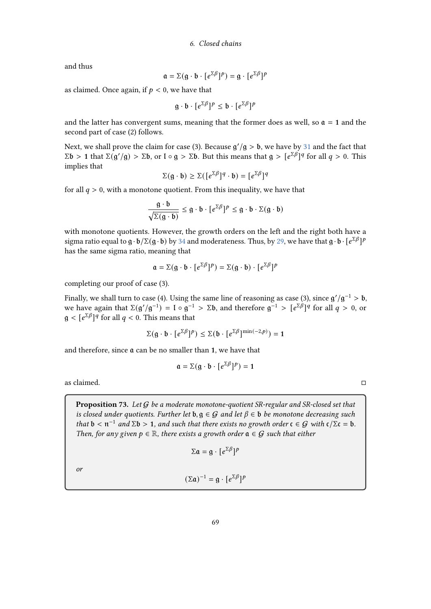and thus

$$
\mathfrak{a} = \Sigma(g \cdot \mathfrak{b} \cdot [e^{\Sigma \beta}]^p) = g \cdot [e^{\Sigma \beta}]^p
$$

as claimed. Once again, if  $p < 0$ , we have that

$$
g \cdot b \cdot [e^{\Sigma \beta}]^p \le b \cdot [e^{\Sigma \beta}]^p
$$

and the latter has convergent sums, meaning that the former does as well, so  $\mathfrak{a} = 1$  and the second part of case (2) follows.

Next, we shall prove the claim for case (3). Because  $g'/g > b$ , we have by [31](#page-28-0) and the fact that  $\Sigma \mathfrak{b} > 1$  that  $\Sigma(\mathfrak{g}'/\mathfrak{g}) > \Sigma \mathfrak{b}$ , or  $\mathfrak{l} \circ \mathfrak{g} > \Sigma \mathfrak{b}$ . But this means that  $\mathfrak{g} > [e^{\Sigma \beta}]^q$  for all  $q > 0$ . This implies that

$$
\Sigma(\mathfrak{g} \cdot \mathfrak{b}) \geq \Sigma([e^{\Sigma \beta}]^q \cdot \mathfrak{b}) = [e^{\Sigma \beta}]^q
$$

for all  $q > 0$ , with a monotone quotient. From this inequality, we have that

$$
\frac{\mathfrak{g} \cdot \mathfrak{b}}{\sqrt{\Sigma(\mathfrak{g} \cdot \mathfrak{b})}} \leq \mathfrak{g} \cdot \mathfrak{b} \cdot [e^{\Sigma \beta}]^p \leq \mathfrak{g} \cdot \mathfrak{b} \cdot \Sigma(\mathfrak{g} \cdot \mathfrak{b})
$$

with monotone quotients. However, the growth orders on the left and the right both have a sigma ratio equal to  $g \cdot b / \Sigma(g \cdot b)$  by [34](#page-30-1) and moderateness. Thus, by [29,](#page-27-0) we have that  $g \cdot b \cdot [e^{\Sigma \beta}]^p$ has the same sigma ratio, meaning that

$$
\mathfrak{a} = \Sigma(\mathfrak{g} \cdot \mathfrak{b} \cdot [e^{\Sigma \beta}]^p) = \Sigma(\mathfrak{g} \cdot \mathfrak{b}) \cdot [e^{\Sigma \beta}]^p
$$

completing our proof of case (3).

Finally, we shall turn to case (4). Using the same line of reasoning as case (3), since  $g'/g^{-1} > b$ , we have again that  $\Sigma(g'/g^{-1}) = I \circ g^{-1} > \Sigma b$ , and therefore  $g^{-1} > [e^{\Sigma \beta}]^q$  for all  $q > 0$ , or  $g < [e^{\Sigma \beta}]^q$  for all  $q < 0$ . This means that

$$
\Sigma(g \cdot b \cdot [e^{\Sigma \beta}]^p) \leq \Sigma(b \cdot [e^{\Sigma \beta}]^{\min(-2,p)}) = 1
$$

and therefore, since  $\mathfrak a$  can be no smaller than 1, we have that

$$
\mathfrak{a} = \Sigma(g \cdot \mathfrak{b} \cdot [e^{\Sigma \beta}]^p) = 1
$$

as claimed.  $\Box$ 

<span id="page-68-0"></span>**Proposition 73.** Let  $G$  be a moderate monotone-quotient SR-regular and SR-closed set that is closed under quotients. Further let  $\mathfrak{b}, \mathfrak{g} \in G$  and let  $\beta \in \mathfrak{b}$  be monotone decreasing such that  $b < \mathfrak{n}^{-1}$  and  $\Sigma b > 1$ , and such that there exists no growth order  $\mathfrak{c} \in \mathcal{G}$  with  $\mathfrak{c}/\Sigma \mathfrak{c} = \mathfrak{b}$ . Then, for any given  $p \in \mathbb{R}$ , there exists a growth order  $\mathfrak{a} \in \mathcal{G}$  such that either

$$
\Sigma \mathfrak{a} = \mathfrak{g} \cdot [e^{\Sigma \beta}]^p
$$

or

$$
(\Sigma \mathfrak{a})^{-1} = \mathfrak{g} \cdot [e^{\Sigma \beta}]^{p}
$$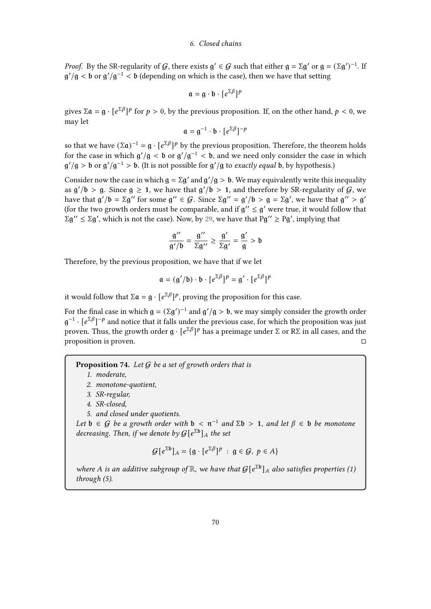*Proof.* By the SR-regularity of G, there exists  $g' \in G$  such that either  $g = \Sigma g'$  or  $g = (\Sigma g')^{-1}$ . If  $g'/g < b$  or  $g'/g^{-1} < b$  (depending on which is the case), then we have that setting

$$
\mathfrak{a} = \mathfrak{g} \cdot \mathfrak{b} \cdot [e^{\Sigma \beta}]^p
$$

gives  $\Sigma \mathfrak{a} = \mathfrak{g} \cdot [e^{\Sigma \beta}]^p$  for  $p > 0$ , by the previous proposition. If, on the other hand,  $p < 0$ , we may let

$$
\mathfrak{a} = \mathfrak{g}^{-1} \cdot \mathfrak{b} \cdot [e^{\Sigma \beta}]^{-p}
$$

so that we have  $(\Sigma \mathfrak{a})^{-1} = \mathfrak{g} \cdot [e^{\Sigma \beta}]^p$  by the previous proposition. Therefore, the theorem holds for the case in which  $g'/g < b$  or  $g'/g^{-1} < b$ , and we need only consider the case in which  $g'/g > b$  or  $g'/g^{-1} > b$ . (It is not possible for  $g'/g$  to *exactly equal* b, by hypothesis.)

Consider now the case in which  $g = \Sigma g'$  and  $g'/g > b$ . We may equivalently write this inequality as  $g'/b > g$ . Since  $g \ge 1$ , we have that  $g'/b > 1$ , and therefore by SR-regularity of  $G$ , we have that  $g'/b = \Sigma g''$  for some  $g'' \in G$ . Since  $\Sigma g'' = g'/b > g = \Sigma g'$ , we have that  $g'' > g'$ (for the two growth orders must be comparable, and if  $g'' \le g'$  were true, it would follow that  $\Sigma g'' \le \Sigma g'$ , which is not the case). Now, by [29,](#page-27-0) we have that  $Pg'' \ge PQ'$ , implying that

$$
\frac{g''}{g'/b} = \frac{g''}{\Sigma g''} \ge \frac{g'}{\Sigma g'} = \frac{g'}{g} > b
$$

Therefore, by the previous proposition, we have that if we let

$$
\mathfrak{a} = (\mathfrak{g}'/\mathfrak{b}) \cdot \mathfrak{b} \cdot [e^{\Sigma \beta}]^p = \mathfrak{g}' \cdot [e^{\Sigma \beta}]^p
$$

it would follow that  $\Sigma \mathfrak{a} = \mathfrak{g} \cdot [e^{\Sigma \beta}]^p$ , proving the proposition for this case.

For the final case in which  $g = (\Sigma g')^{-1}$  and  $g'/g > b$ , we may simply consider the growth order  $g^{-1}$  ·  $[e^{\sum \beta}]^{-p}$  and notice that it falls under the previous case, for which the proposition was just proven. Thus, the growth order  $\mathfrak{g} \cdot [e^{\Sigma \beta}]^p$  has a preimage under Σ or RΣ in all cases, and the proposition is proven.

#### **Proposition 74.** Let  $G$  be a set of growth orders that is

- 2. monotone-quotient,
- 3. SR-regular,
- 4. SR-closed,
- 5. and closed under quotients.

Let  $b \in G$  be a growth order with  $b < \mathfrak{n}^{-1}$  and  $\Sigma b > 1$ , and let  $\beta \in b$  be monotone decreasing. Then, if we denote by  $\mathcal{G}[e^{\Sigma \mathfrak{b}}]_A$  the set

$$
\mathcal{G}[e^{\Sigma \mathfrak{b}}]_A = \{ \mathfrak{g} \cdot [e^{\Sigma \beta}]^p : \mathfrak{g} \in \mathcal{G}, p \in A \}
$$

where A is an additive subgroup of  $\mathbb R$ , we have that  $\mathcal{G}[e^{\Sigma \mathfrak{b}}]_A$  also satisfies properties (1) through (5).

<sup>1.</sup> moderate,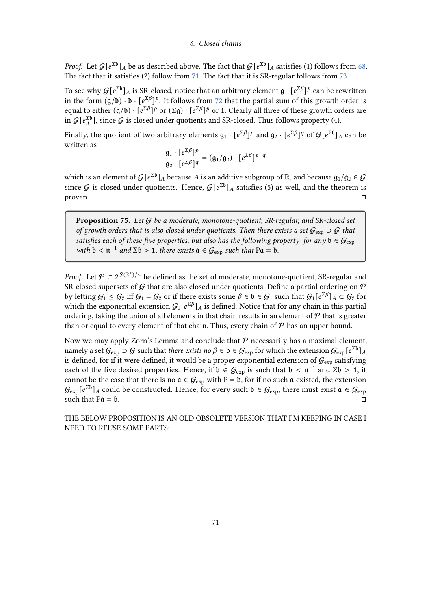*Proof.* Let  $G[e^{\Sigma \mathbf{b}}]_A$  be as described above. The fact that  $G[e^{\Sigma \mathbf{b}}]_A$  satisfies (1) follows from [68.](#page-64-0) The fact that it satisfies (2) follow from [71.](#page-66-0) The fact that it is SR-regular follows from [73.](#page-68-0)

To see why  $G[e^{\Sigma b}]_A$  is SR-closed, notice that an arbitrary element  $\mathfrak{g}\cdot[e^{\Sigma\beta}]^p$  can be rewritten in the form  $(g/b) \cdot b \cdot [e^{\sum \beta}]^p$ . It follows from [72](#page-67-0) that the partial sum of this growth order is equal to either  $(g/b) \cdot [e^{\Sigma \beta}]^p$  or  $(\Sigma g) \cdot [e^{\Sigma \beta}]^p$  or 1. Clearly all three of these growth orders are in  $G[e^{\Sigma \mathfrak{b}}_{A}],$  since  $G$  is closed under quotients and SR-closed. Thus follows property (4).

Finally, the quotient of two arbitrary elements  $\mathfrak{g}_1\cdot [e^{\Sigma\beta}]^p$  and  $\mathfrak{g}_2\cdot [e^{\Sigma\beta}]^q$  of  $\mathcal{G}[e^{\Sigma\mathfrak{b}}]_A$  can be written as

$$
\frac{\mathfrak{g}_1 \cdot [e^{\Sigma \beta}]^p}{\mathfrak{g}_2 \cdot [e^{\Sigma \beta}]^q} = (\mathfrak{g}_1/\mathfrak{g}_2) \cdot [e^{\Sigma \beta}]^{p-q}
$$

which is an element of  $G[e^{\Sigma \mathfrak{b}}]_A$  because  $A$  is an additive subgroup of  $\mathbb{R}$ , and because  $\mathfrak{g}_1/\mathfrak{g}_2 \in G$ since G is closed under quotients. Hence,  $G[e^{\Sigma b}]_A$  satisfies (5) as well, and the theorem is proven.

Proposition 75. Let  $G$  be a moderate, monotone-quotient, SR-regular, and SR-closed set of growth orders that is also closed under quotients. Then there exists a set  $G_{\text{exp}} \supset G$  that satisfies each of these five properties, but also has the following property: for any  $b \in \mathcal{G}_{\text{exp}}$ with  $b < \pi^{-1}$  and  $\Sigma b > 1$ , there exists  $a \in \mathcal{G}_{\exp}$  such that  $Pa = b$ .

*Proof.* Let  $\mathcal{P} \subset 2^{\mathcal{S}(\mathbb{R}^+)/\sim}$  be defined as the set of moderate, monotone-quotient, SR-regular and SR-closed supersets of G that are also closed under quotients. Define a partial ordering on  $P$ by letting  $G_1 \leq G_2$  iff  $G_1 = G_2$  or if there exists some  $\beta \in \mathfrak{b} \in G_1$  such that  $G_1[e^{\Sigma \beta}]_A \subset G_2$  for which the exponential extension  $G_1[e^{\sum \beta}]_A$  is defined. Notice that for any chain in this partial ordering, taking the union of all elements in that chain results in an element of  $P$  that is greater than or equal to every element of that chain. Thus, every chain of  $P$  has an upper bound.

Now we may apply Zorn's Lemma and conclude that  $P$  necessarily has a maximal element, namely a set  $\mathcal G_{\rm exp}\supset\mathcal G$  such that *there exists no*  $\beta\in\mathfrak b\in\mathcal G_{\rm exp}$  for which the extension  $\mathcal G_{\rm exp}$  [ $e^{\Sigma \mathfrak b}]_A$ is defined, for if it were defined, it would be a proper exponential extension of  $G_{\text{exp}}$  satisfying each of the five desired properties. Hence, if  $\mathfrak{b} \in \mathcal{G}_{\text{exp}}$  is such that  $\mathfrak{b} < \mathfrak{n}^{-1}$  and  $\Sigma \mathfrak{b} > 1$ , it cannot be the case that there is no  $\mathfrak{a} \in \mathcal{G}_{exp}$  with P = b, for if no such  $\mathfrak{a}$  existed, the extension  $G_{\rm exp}$ [ $e^{\Sigma \mathfrak{b}}$ ] $_A$  could be constructed. Hence, for every such  $\mathfrak{b}\in\mathcal{G}_{\rm exp}$ , there must exist  $\mathfrak{a}\in\mathcal{G}_{\rm exp}$ such that  $Pa = b$ .

THE BELOW PROPOSITION IS AN OLD OBSOLETE VERSION THAT I'M KEEPING IN CASE I NEED TO REUSE SOME PARTS: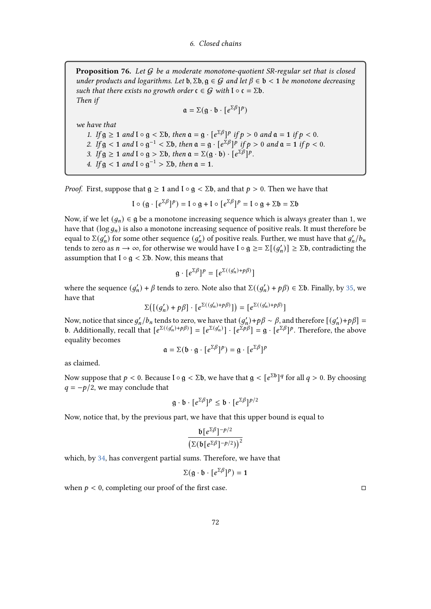**Proposition 76.** Let  $G$  be a moderate monotone-quotient SR-regular set that is closed under products and logarithms. Let  $\mathfrak{b}, \Sigma \mathfrak{b}, \mathfrak{g} \in \mathcal{G}$  and let  $\beta \in \mathfrak{b} < 1$  be monotone decreasing such that there exists no growth order  $\mathfrak{c} \in \mathcal{G}$  with  $\mathfrak{l} \circ \mathfrak{c} = \Sigma \mathfrak{b}$ . Then if

$$
\mathfrak{a} = \Sigma(g \cdot \mathfrak{b} \cdot [e^{\Sigma \beta}]^p)
$$

we have that

1. If  $g \ge 1$  and  $I \circ g < \Sigma b$ , then  $\mathfrak{a} = g \cdot [e^{\Sigma \beta}]^p$  if  $p > 0$  and  $\mathfrak{a} = 1$  if  $p < 0$ . 2. If  $g < 1$  and  $I \circ g^{-1} < \Sigma b$ , then  $\mathfrak{a} = g \cdot [e^{\Sigma \beta}]^p$  if  $p > 0$  and  $\mathfrak{a} = 1$  if  $p < 0$ . 3. If  $g \ge 1$  and  $I \circ g > \Sigma b$ , then  $a = \Sigma(g \cdot b) \cdot [e^{\Sigma \beta}]^p$ . 4. If  $g < 1$  and  $I \circ g^{-1} > \Sigma b$ , then  $\mathfrak{a} = 1$ .

*Proof.* First, suppose that  $g \ge 1$  and  $l \circ g < \Sigma b$ , and that  $p > 0$ . Then we have that

$$
I \circ (g \cdot [e^{\Sigma \beta}]^p) = I \circ g + I \circ [e^{\Sigma \beta}]^p = I \circ g + \Sigma b = \Sigma b
$$

Now, if we let  $(q_n) \in \mathfrak{g}$  be a monotone increasing sequence which is always greater than 1, we have that  $(\log q_n)$  is also a monotone increasing sequence of positive reals. It must therefore be equal to Σ $(g'_n)$  for some other sequence  $(g'_n)$  of positive reals. Further, we must have that  $g'_n/b_n$ tends to zero as  $n \to \infty$ , for otherwise we would have  $\mathfrak{l} \circ \mathfrak{g} \geq = \Sigma[(g'_n)] \geq \Sigma \mathfrak{b}$ , contradicting the assumption that  $\mathbf{I} \circ \mathbf{g} < \Sigma \mathbf{b}$ . Now, this means that

$$
g \cdot [e^{\Sigma \beta}]^p = [e^{\Sigma((g'_n) + p\beta)}]
$$

where the sequence  $(g'_n) + \beta$  tends to zero. Note also that  $\Sigma((g'_n) + p\beta) \in \Sigma$ b. Finally, by [35,](#page-31-0) we have that

$$
\Sigma\big(\big[ \big(g_n'\big)+p\beta \big]\cdot \big[e^{\Sigma\big( (g_n')+p\beta \big)} \big]\big)=\big[e^{\Sigma\big( (g_n')+p\beta \big)} \big]
$$

Now, notice that since  $g'_n/b_n$  tends to zero, we have that  $(g'_n)+p\beta \sim \beta$ , and therefore  $[(g'_n)+p\beta]=$ **b.** Additionally, recall that  $[e^{\Sigma((g'_n)+p\beta)}] = [e^{\Sigma(g'_n)}] \cdot [e^{\Sigma p\beta}] = g \cdot [e^{\Sigma \beta}]^p$ . Therefore, the above equality becomes

$$
\mathfrak{a} = \Sigma (\mathfrak{b} \cdot \mathfrak{g} \cdot [e^{\Sigma \beta}]^p) = \mathfrak{g} \cdot [e^{\Sigma \beta}]^p
$$

as claimed.

Now suppose that  $p < 0$ . Because  $\mathfrak{l} \circ \mathfrak{g} < \Sigma \mathfrak{b}$ , we have that  $\mathfrak{g} < [\mathfrak{e}^{\Sigma \mathfrak{b}}]^q$  for all  $q > 0$ . By choosing  $q = -p/2$ , we may conclude that

$$
g \cdot b \cdot [e^{\Sigma \beta}]^p \le b \cdot [e^{\Sigma \beta}]^{p/2}
$$

Now, notice that, by the previous part, we have that this upper bound is equal to

$$
\frac{\mathfrak{b}[e^{\Sigma\beta}]^{-p/2}}{\left(\Sigma\left(\mathfrak{b}[e^{\Sigma\beta}]^{-p/2}\right)\right)^2}
$$

which, by [34,](#page-30-1) has convergent partial sums. Therefore, we have that

$$
\Sigma(\mathfrak{g}\cdot\mathfrak{b}\cdot[e^{\Sigma\beta}]^p)=1
$$

when  $p < 0$ , completing our proof of the first case.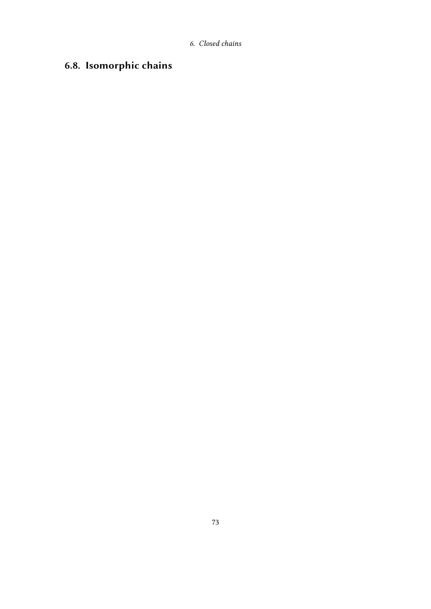## 6.8. Isomorphic chains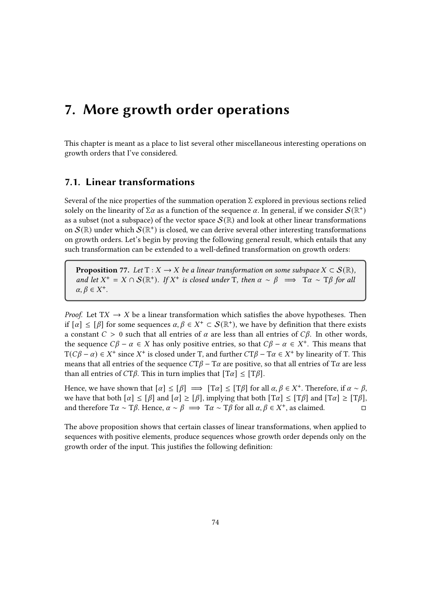This chapter is meant as a place to list several other miscellaneous interesting operations on growth orders that I've considered.

## 7.1. Linear transformations

Several of the nice properties of the summation operation  $\Sigma$  explored in previous sections relied solely on the linearity of  $\Sigma \alpha$  as a function of the sequence  $\alpha$ . In general, if we consider  $\mathcal{S}(\mathbb{R}^+)$ as a subset (not a subspace) of the vector space  $\mathcal{S}(\mathbb{R})$  and look at other linear transformations on  $\mathcal S(\mathbb R)$  under which  $\mathcal S(\mathbb R^+)$  is closed, we can derive several other interesting transformations on growth orders. Let's begin by proving the following general result, which entails that any such transformation can be extended to a well-defined transformation on growth orders:

**Proposition** 77. Let  $T : X \to X$  be a linear transformation on some subspace  $X \subset S(\mathbb{R})$ , and let  $X^+ = X \cap S(\mathbb{R}^+)$ . If  $X^+$  is closed under T, then  $\alpha \sim \beta \implies T\alpha \sim T\beta$  for all  $\alpha, \beta \in X^+$ .

*Proof.* Let  $TX \rightarrow X$  be a linear transformation which satisfies the above hypotheses. Then if  $[\alpha] \leq [\beta]$  for some sequences  $\alpha, \beta \in X^+ \subset \mathcal{S}(\mathbb{R}^+)$ , we have by definition that there exists a constant  $C > 0$  such that all entries of  $\alpha$  are less than all entries of  $C\beta$ . In other words, the sequence  $C\beta - \alpha \in X$  has only positive entries, so that  $C\beta - \alpha \in X^+$ . This means that  $T(C\beta - \alpha) \in X^+$  since  $X^+$  is closed under T, and further  $CT\beta - T\alpha \in X^+$  by linearity of T. This means that all entries of the sequence  $CT\beta - T\alpha$  are positive, so that all entries of  $T\alpha$  are less than all entries of  $CT\beta$ . This in turn implies that  $[T\alpha] \leq [T\beta]$ .

Hence, we have shown that  $[\alpha] \leq [\beta] \implies [\text{Tr} \alpha] \leq [\text{Tr} \beta]$  for all  $\alpha, \beta \in X^+$ . Therefore, if  $\alpha \sim \beta$ , we have that both  $[\alpha] \leq [\beta]$  and  $[\alpha] \geq [\beta]$ , implying that both  $[T\alpha] \leq [T\beta]$  and  $[T\alpha] \geq [T\beta]$ , and therefore T $\alpha \sim T\beta$ . Hence,  $\alpha \sim \beta \implies T\alpha \sim T\beta$  for all  $\alpha, \beta \in X^+$ , as claimed.

The above proposition shows that certain classes of linear transformations, when applied to sequences with positive elements, produce sequences whose growth order depends only on the growth order of the input. This justifies the following definition: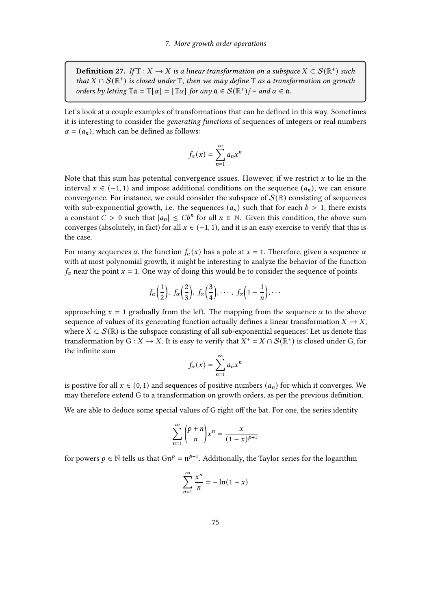**Definition 27.** If  $T : X \to X$  is a linear transformation on a subspace  $X \subset \mathcal{S}(\mathbb{R}^+)$  such that  $X \cap \mathcal{S}(\mathbb{R}^+)$  is closed under T, then we may define T as a transformation on growth orders by letting  $Ta = T[\alpha] = [T\alpha]$  for any  $a \in S(\mathbb{R}^+)$  /~ and  $\alpha \in \mathfrak{a}$ .

Let's look at a couple examples of transformations that can be defined in this way. Sometimes it is interesting to consider the generating functions of sequences of integers or real numbers  $\alpha = (a_n)$ , which can be defined as follows:

$$
f_{\alpha}(x) = \sum_{n=1}^{\infty} a_n x^n
$$

Note that this sum has potential convergence issues. However, if we restrict  $x$  to lie in the interval  $x \in (-1, 1)$  and impose additional conditions on the sequence  $(a_n)$ , we can ensure convergence. For instance, we could consider the subspace of  $\mathcal{S}(\mathbb{R})$  consisting of sequences with sub-exponential growth, i.e. the sequences  $(a_n)$  such that for each  $b > 1$ , there exists a constant  $C > 0$  such that  $|a_n| \leq Cb^n$  for all  $n \in \mathbb{N}$ . Given this condition, the above sum converges (absolutely, in fact) for all  $x \in (-1, 1)$ , and it is an easy exercise to verify that this is the case.

For many sequences  $\alpha$ , the function  $f_{\alpha}(x)$  has a pole at  $x = 1$ . Therefore, given a sequence  $\alpha$ with at most polynomial growth, it might be interesting to analyze the behavior of the function  $f_{\alpha}$  near the point  $x = 1$ . One way of doing this would be to consider the sequence of points

$$
f_{\alpha}\left(\frac{1}{2}\right), f_{\alpha}\left(\frac{2}{3}\right), f_{\alpha}\left(\frac{3}{4}\right), \cdots, f_{\alpha}\left(1-\frac{1}{n}\right), \cdots
$$

approaching  $x = 1$  gradually from the left. The mapping from the sequence  $\alpha$  to the above sequence of values of its generating function actually defines a linear transformation  $X \to X$ , where  $X \subset \mathcal{S}(\mathbb{R})$  is the subspace consisting of all sub-exponential sequences! Let us denote this transformation by G :  $X \to X$ . It is easy to verify that  $X^+ = X \cap S(\mathbb{R}^+)$  is closed under G, for the infinite sum

$$
f_{\alpha}(x) = \sum_{n=1}^{\infty} a_n x^n
$$

is positive for all  $x \in (0, 1)$  and sequences of positive numbers  $(a_n)$  for which it converges. We may therefore extend G to a transformation on growth orders, as per the previous definition.

We are able to deduce some special values of G right off the bat. For one, the series identity

$$
\sum_{n=1}^{\infty} {p+n \choose n} x^n = \frac{x}{(1-x)^{p+1}}
$$

for powers  $p \in \mathbb{N}$  tells us that  $Gn^p = n^{p+1}$ . Additionally, the Taylor series for the logarithm

$$
\sum_{n=1}^{\infty} \frac{x^n}{n} = -\ln(1-x)
$$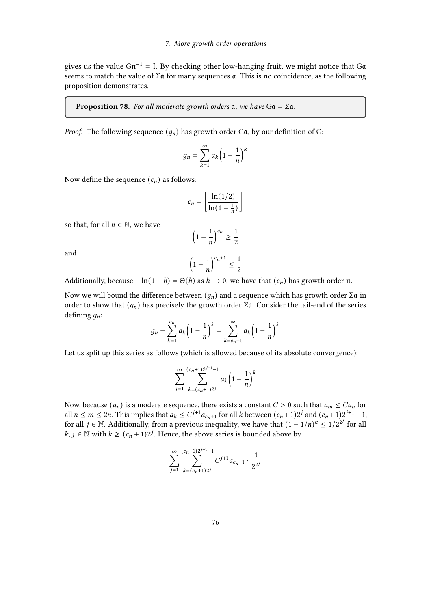gives us the value  $Gn^{-1} = I$ . By checking other low-hanging fruit, we might notice that Go seems to match the value of  $\Sigma \mathfrak{a}$  for many sequences  $\mathfrak{a}$ . This is no coincidence, as the following proposition demonstrates.

#### **Proposition 78.** For all moderate growth orders  $a$ , we have  $Ga = \Sigma a$ .

*Proof.* The following sequence  $(q_n)$  has growth order Ga, by our definition of G:

$$
g_n = \sum_{k=1}^{\infty} a_k \left(1 - \frac{1}{n}\right)^k
$$

Now define the sequence  $(c_n)$  as follows:

$$
c_n = \left\lfloor \frac{\ln(1/2)}{\ln(1 - \frac{1}{n})} \right\rfloor
$$

so that, for all  $n \in \mathbb{N}$ , we have

$$
\left(1-\frac{1}{n}\right)^{c_n} \ge \frac{1}{2}
$$

and

$$
\left(1-\frac{1}{n}\right)^{c_n+1} \le \frac{1}{2}
$$

Additionally, because  $-\ln(1-h) = \Theta(h)$  as  $h \to 0$ , we have that  $(c_n)$  has growth order  $\pi$ .

Now we will bound the difference between  $(q_n)$  and a sequence which has growth order  $\Sigma \mathfrak{a}$  in order to show that  $(g_n)$  has precisely the growth order  $\Sigma \mathfrak{a}$ . Consider the tail-end of the series defining  $q_n$ :

$$
g_n - \sum_{k=1}^{c_n} a_k \left( 1 - \frac{1}{n} \right)^k = \sum_{k=c_n+1}^{\infty} a_k \left( 1 - \frac{1}{n} \right)^k
$$

Let us split up this series as follows (which is allowed because of its absolute convergence):

$$
\sum_{j=1}^{\infty} \sum_{k=(c_n+1)2^{j+1}-1}^{(c_n+1)2^{j+1}-1} a_k \left(1-\frac{1}{n}\right)^k
$$

Now, because  $(a_n)$  is a moderate sequence, there exists a constant  $C > 0$  such that  $a_m \leq Ca_n$  for all  $n \leq m \leq 2n$ . This implies that  $a_k \leq C^{j+1} a_{c_n+1}$  for all k between  $(c_n+1)2^j$  and  $(c_n+1)2^{j+1}-1$ , for all *j* ∈ N. Additionally, from a previous inequality, we have that  $(1 - 1/n)^k \le 1/2^{2^j}$  for all  $k, j \in \mathbb{N}$  with  $k \geq (c_n + 1)2^{j}$ . Hence, the above series is bounded above by

$$
\sum_{j=1}^{\infty}\sum_{k=(c_n+1)2^j}^{(c_n+1)2^{j+1}-1}C^{j+1}a_{c_n+1}\cdot\frac{1}{2^{2^j}}
$$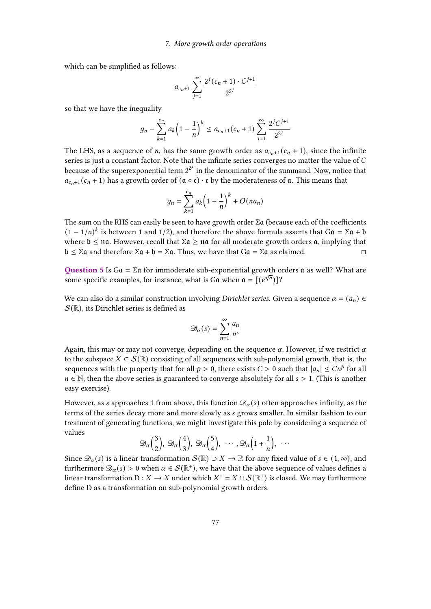which can be simplified as follows:

$$
a_{c_n+1}\sum_{j=1}^{\infty}\frac{2^j(c_n+1)\cdot C^{j+1}}{2^{2^j}}
$$

so that we have the inequality

$$
g_n - \sum_{k=1}^{c_n} a_k \left(1 - \frac{1}{n}\right)^k \le a_{c_n+1} (c_n + 1) \sum_{j=1}^{\infty} \frac{2^j C^{j+1}}{2^{2^j}}
$$

The LHS, as a sequence of *n*, has the same growth order as  $a_{c_n+1}$  ( $c_n + 1$ ), since the infinite series is just a constant factor. Note that the infinite series converges no matter the value of  $C$ because of the superexponential term  $2^{2^j}$  in the denominator of the summand. Now, notice that  $a_{c_n+1}(c_n+1)$  has a growth order of  $(\mathfrak{a} \circ \mathfrak{c}) \cdot \mathfrak{c}$  by the moderateness of  $\mathfrak{a}$ . This means that

$$
g_n = \sum_{k=1}^{c_n} a_k \left(1 - \frac{1}{n}\right)^k + O(na_n)
$$

The sum on the RHS can easily be seen to have growth order  $\Sigma \mathfrak{a}$  (because each of the coefficients  $(1 - 1/n)^k$  is between 1 and 1/2), and therefore the above formula asserts that G $a = \Sigma a + b$ where  $\mathfrak{b} \leq \mathfrak{n}\mathfrak{a}$ . However, recall that  $\Sigma \mathfrak{a} \geq \mathfrak{n}\mathfrak{a}$  for all moderate growth orders  $\mathfrak{a}$ , implying that  $\mathfrak{b} \leq \Sigma \mathfrak{a}$  and therefore  $\Sigma \mathfrak{a} + \mathfrak{b} = \Sigma \mathfrak{a}$ . Thus, we have that  $Ga = \Sigma \mathfrak{a}$  as claimed.

Question 5 Is Ga =  $\Sigma a$  for immoderate sub-exponential growth orders a as well? What are some specific examples, for instance, what is Ga when  $\mathfrak{a} = [e^{\sqrt{n}}]$ ?

We can also do a similar construction involving *Dirichlet series*. Given a sequence  $\alpha = (a_n) \in$  $\mathcal{S}(\mathbb{R})$ , its Dirichlet series is defined as

$$
\mathcal{D}_{\alpha}(s) = \sum_{n=1}^{\infty} \frac{a_n}{n^s}
$$

Again, this may or may not converge, depending on the sequence  $\alpha$ . However, if we restrict  $\alpha$ to the subspace  $X \subset \mathcal{S}(\mathbb{R})$  consisting of all sequences with sub-polynomial growth, that is, the sequences with the property that for all  $p > 0$ , there exists  $C > 0$  such that  $|a_n| \leq Cn^p$  for all  $n \in \mathbb{N}$ , then the above series is guaranteed to converge absolutely for all  $s > 1$ . (This is another easy exercise).

However, as s approaches 1 from above, this function  $\mathcal{D}_{\alpha}(s)$  often approaches infinity, as the terms of the series decay more and more slowly as grows smaller. In similar fashion to our treatment of generating functions, we might investigate this pole by considering a sequence of values

$$
\mathscr{D}_{\alpha}\left(\frac{3}{2}\right), \ \mathscr{D}_{\alpha}\left(\frac{4}{3}\right), \ \mathscr{D}_{\alpha}\left(\frac{5}{4}\right), \ \cdots, \mathscr{D}_{\alpha}\left(1+\frac{1}{n}\right), \ \cdots
$$

Since  $\mathscr{D}_{\alpha}(s)$  is a linear transformation  $\mathcal{S}(\mathbb{R}) \supset X \to \mathbb{R}$  for any fixed value of  $s \in (1,\infty)$ , and furthermore  $\mathscr{D}_{\alpha}(s) > 0$  when  $\alpha \in \mathcal{S}(\mathbb{R}^+)$ , we have that the above sequence of values defines a linear transformation D :  $X \to X$  under which  $X^+ = X \cap \mathcal{S}(\mathbb{R}^+)$  is closed. We may furthermore define D as a transformation on sub-polynomial growth orders.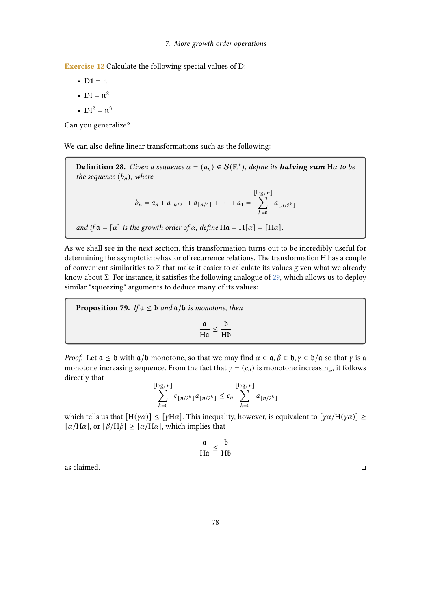Exercise 12 Calculate the following special values of D:

•  $D1 = n$ 

- $DI = n^2$
- $DI^2 = \pi^3$

Can you generalize?

We can also define linear transformations such as the following:

**Definition 28.** Given a sequence  $\alpha = (a_n) \in \mathcal{S}(\mathbb{R}^+)$ , define its **halving sum** H $\alpha$  to be the sequence  $(b_n)$ , where

$$
b_n = a_n + a_{\lfloor n/2 \rfloor} + a_{\lfloor n/4 \rfloor} + \cdots + a_1 = \sum_{k=0}^{\lfloor \log_2 n \rfloor} a_{\lfloor n/2^k \rfloor}
$$

and if  $\mathfrak{a} = [\alpha]$  is the growth order of  $\alpha$ , define H $\mathfrak{a} = H[\alpha] = [H\alpha]$ .

As we shall see in the next section, this transformation turns out to be incredibly useful for determining the asymptotic behavior of recurrence relations. The transformation H has a couple of convenient similarities to  $\Sigma$  that make it easier to calculate its values given what we already know about Σ. For instance, it satisfies the following analogue of [29,](#page-27-0) which allows us to deploy similar "squeezing" arguments to deduce many of its values:

**Proposition 79.** If  $a \leq b$  and  $a/b$  is monotone, then

$$
\frac{\mathfrak{a}}{H\mathfrak{a}} \leq \frac{\mathfrak{b}}{H\mathfrak{b}}
$$

*Proof.* Let  $a \le b$  with  $a/b$  monotone, so that we may find  $\alpha \in a, \beta \in b, \gamma \in b/a$  so that  $\gamma$  is a monotone increasing sequence. From the fact that  $y = (c_n)$  is monotone increasing, it follows directly that

$$
\sum_{k=0}^{\lfloor \log_2 n \rfloor} c_{\lfloor n/2^k \rfloor} a_{\lfloor n/2^k \rfloor} \le c_n \sum_{k=0}^{\lfloor \log_2 n \rfloor} a_{\lfloor n/2^k \rfloor}
$$

which tells us that  $[H(\gamma\alpha)] \leq [\gamma H\alpha]$ . This inequality, however, is equivalent to  $[\gamma\alpha/H(\gamma\alpha)] \geq$  $[\alpha/\text{H}\alpha]$ , or  $[\beta/\text{H}\beta] \geq [\alpha/\text{H}\alpha]$ , which implies that

$$
\frac{\mathfrak{a}}{H\mathfrak{a}} \leq \frac{\mathfrak{b}}{H\mathfrak{b}}
$$

as claimed.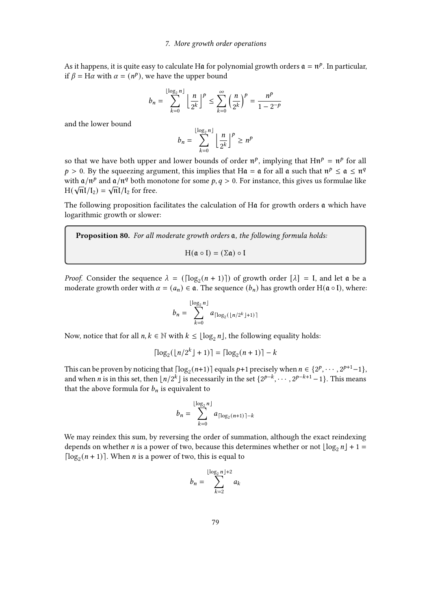As it happens, it is quite easy to calculate H $\mathfrak a$  for polynomial growth orders  $\mathfrak a = \mathfrak n^p.$  In particular, if  $\beta = H\alpha$  with  $\alpha = (n^p)$ , we have the upper bound

$$
b_n = \sum_{k=0}^{\lfloor \log_2 n \rfloor} \left\lfloor \frac{n}{2^k} \right\rfloor^p \le \sum_{k=0}^{\infty} \left( \frac{n}{2^k} \right)^p = \frac{n^p}{1 - 2^{-p}}
$$

and the lower bound

$$
b_n = \sum_{k=0}^{\lfloor \log_2 n \rfloor} \left\lfloor \frac{n}{2^k} \right\rfloor^p \ge n^p
$$

so that we have both upper and lower bounds of order  $\mathfrak{n}^p$ , implying that  $\text{H}\mathfrak{n}^p = \mathfrak{n}^p$  for all  $p > 0$ . By the squeezing argument, this implies that H $\alpha = \alpha$  for all  $\alpha$  such that  $\pi^p \leq \alpha \leq \pi^q$ with  $\alpha/n^p$  and  $\alpha/n^q$  both monotone for some  $p, q > 0$ . For instance, this gives us formulae like  $H(\sqrt{\pi}I/I_2) = \sqrt{\pi}I/I_2$  for free.

The following proposition facilitates the calculation of Ha for growth orders a which have logarithmic growth or slower:

Proposition 80. For all moderate growth orders a, the following formula holds:

$$
H(\mathfrak{a} \circ I) = (\Sigma \mathfrak{a}) \circ I
$$

*Proof.* Consider the sequence  $\lambda = (\lceil \log_2(n+1) \rceil)$  of growth order  $[\lambda] = I$ , and let  $\alpha$  be a moderate growth order with  $\alpha = (a_n) \in \mathfrak{a}$ . The sequence  $(b_n)$  has growth order H( $\mathfrak{a} \circ I$ ), where:

$$
b_n = \sum_{k=0}^{\lfloor \log_2 n \rfloor} a_{\lceil \log_2(\lfloor n/2^k \rfloor + 1) \rceil}
$$

Now, notice that for all  $n, k \in \mathbb{N}$  with  $k \leq \lfloor \log_2 n \rfloor$ , the following equality holds:

$$
\lceil \log_2(\lfloor n/2^k \rfloor + 1) \rceil = \lceil \log_2(n+1) \rceil - k
$$

This can be proven by noticing that  $\lceil \log_2(n+1) \rceil$  equals  $p+1$  precisely when  $n \in \{2^p, \dots, 2^{p+1}-1\}$ , and when *n* is in this set, then  $\lfloor n/2^k \rfloor$  is necessarily in the set  $\{2^{p-k}, \cdots, 2^{p-k+1}-1\}$ . This means that the above formula for  $b_n$  is equivalent to

$$
b_n = \sum_{k=0}^{\lfloor \log_2 n \rfloor} a_{\lceil \log_2 (n+1) \rceil - k}
$$

We may reindex this sum, by reversing the order of summation, although the exact reindexing depends on whether *n* is a power of two, because this determines whether or not  $\lfloor \log_2 n \rfloor + 1 =$ [ $\log_2(n+1)$ ]. When *n* is a power of two, this is equal to

$$
b_n = \sum_{k=2}^{\lfloor \log_2 n \rfloor + 2} a_k
$$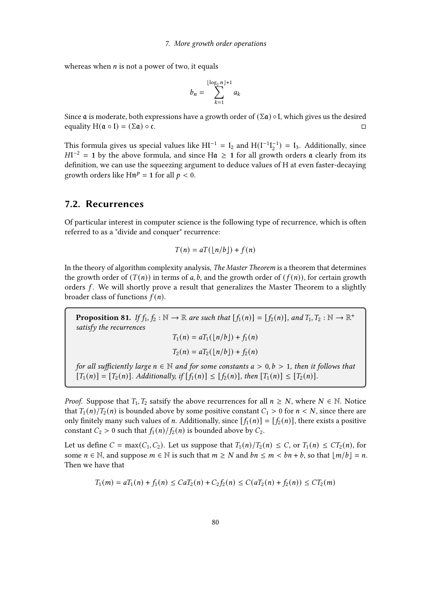whereas when  $n$  is not a power of two, it equals

$$
b_n = \sum_{k=1}^{\lfloor \log_2 n \rfloor + 1} a_k
$$

Since **a** is moderate, both expressions have a growth order of  $(\Sigma \mathbf{a}) \circ \mathbf{I}$ , which gives us the desired equality  $H(\mathfrak{a} \circ I) = (\Sigma \mathfrak{a}) \circ \mathfrak{c}$ .

This formula gives us special values like  $H I^{-1} = I_2$  and  $H (I^{-1} I_2^{-1}) = I_3$ . Additionally, since  $H1^{-2} = 1$  by the above formula, and since H $\mathfrak{a} \ge 1$  for all growth orders  $\mathfrak{a}$  clearly from its definition, we can use the squeezing argument to deduce values of H at even faster-decaying growth orders like  $\text{Hn}^p = 1$  for all  $p < 0$ .

## 7.2. Recurrences

Of particular interest in computer science is the following type of recurrence, which is often referred to as a "divide and conquer" recurrence:

$$
T(n) = aT(\lfloor n/b \rfloor) + f(n)
$$

In the theory of algorithm complexity analysis, The Master Theorem is a theorem that determines the growth order of  $(T(n))$  in terms of a, b, and the growth order of  $(f(n))$ , for certain growth orders  $f$ . We will shortly prove a result that generalizes the Master Theorem to a slightly broader class of functions  $f(n)$ .

**Proposition 81.** If  $f_1, f_2 : \mathbb{N} \to \mathbb{R}$  are such that  $[f_1(n)] = [f_2(n)]$ , and  $T_1, T_2 : \mathbb{N} \to \mathbb{R}^+$ satisfy the recurrences  $T(t) = T(1 - H) \cdot (t^2)$ 

$$
I_1(n) = aI_1(\lfloor n/b \rfloor) + f_1(n)
$$
  

$$
T_2(n) = aT_2(\lfloor n/b \rfloor) + f_2(n)
$$

for all sufficiently large  $n \in \mathbb{N}$  and for some constants  $a > 0, b > 1$ , then it follows that  $[T_1(n)] = [T_2(n)]$ . Additionally, if  $[f_1(n)] \leq [f_2(n)]$ , then  $[T_1(n)] \leq [T_2(n)]$ .

*Proof.* Suppose that  $T_1, T_2$  satsify the above recurrences for all  $n \geq N$ , where  $N \in \mathbb{N}$ . Notice that  $T_1(n)/T_2(n)$  is bounded above by some positive constant  $C_1 > 0$  for  $n < N$ , since there are only finitely many such values of *n*. Additionally, since  $[f_1(n)] = [f_2(n)]$ , there exists a positive constant  $C_2 > 0$  such that  $f_1(n)/f_2(n)$  is bounded above by  $C_2$ .

Let us define  $C = \max(C_1, C_2)$ . Let us suppose that  $T_1(n)/T_2(n) \leq C$ , or  $T_1(n) \leq CT_2(n)$ , for some  $n \in \mathbb{N}$ , and suppose  $m \in \mathbb{N}$  is such that  $m \ge N$  and  $bn \le m < bn + b$ , so that  $|m/b| = n$ . Then we have that

$$
T_1(m) = aT_1(n) + f_1(n) \leq CaT_2(n) + C_2f_2(n) \leq C(aT_2(n) + f_2(n)) \leq CT_2(m)
$$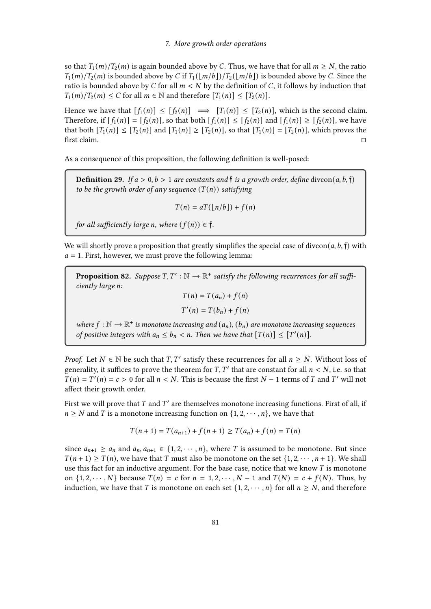so that  $T_1(m)/T_2(m)$  is again bounded above by C. Thus, we have that for all  $m \ge N$ , the ratio  $T_1(m)/T_2(m)$  is bounded above by C if  $T_1(\vert m/b \vert)/T_2(\vert m/b \vert)$  is bounded above by C. Since the ratio is bounded above by C for all  $m < N$  by the definition of C, it follows by induction that  $T_1(m)/T_2(m) \leq C$  for all  $m \in \mathbb{N}$  and therefore  $[T_1(n)] \leq [T_2(n)]$ .

Hence we have that  $[f_1(n)] \leq [f_2(n)] \implies [T_1(n)] \leq [T_2(n)]$ , which is the second claim. Therefore, if  $[f_1(n)] = [f_2(n)]$ , so that both  $[f_1(n)] \leq [f_2(n)]$  and  $[f_1(n)] \geq [f_2(n)]$ , we have that both  $[T_1(n)] \leq [T_2(n)]$  and  $[T_1(n)] \geq [T_2(n)]$ , so that  $[T_1(n)] = [T_2(n)]$ , which proves the rst claim.

As a consequence of this proposition, the following definition is well-posed:

**Definition 29.** If  $a > 0, b > 1$  are constants and  $\mathfrak{f}$  is a growth order, define divcon(a, b,  $\mathfrak{f}$ ) to be the growth order of any sequence  $(T(n))$  satisfying

$$
T(n) = aT(\lfloor n/b \rfloor) + f(n)
$$

for all sufficiently large *n*, where  $(f(n)) \in \mathfrak{f}$ .

We will shortly prove a proposition that greatly simplifies the special case of divcon( $a, b, \hat{\mathbf{f}}$ ) with  $a = 1$ . First, however, we must prove the following lemma:

**Proposition 82.** Suppose  $T, T' : \mathbb{N} \to \mathbb{R}^+$  satisfy the following recurrences for all sufficiently large n:  $T(n) = T(a_n) + f(n)$ 

 $T'(n) = T(b_n) + f(n)$ 

where  $f : \mathbb{N} \to \mathbb{R}^+$  is monotone increasing and  $(a_n)$ ,  $(b_n)$  are monotone increasing sequences of positive integers with  $a_n \leq b_n < n$ . Then we have that  $[T(n)] \leq [T'(n)]$ .

*Proof.* Let  $N \in \mathbb{N}$  be such that  $T, T'$  satisfy these recurrences for all  $n \geq N$ . Without loss of generality, it suffices to prove the theorem for  $T, T'$  that are constant for all  $n < N$ , i.e. so that  $T(n) = T'(n) = c > 0$  for all  $n < N$ . This is because the first  $N - 1$  terms of T and T' will not affect their growth order.

First we will prove that  $T$  and  $T'$  are themselves monotone increasing functions. First of all, if  $n \geq N$  and T is a monotone increasing function on  $\{1, 2, \dots, n\}$ , we have that

$$
T(n+1) = T(a_{n+1}) + f(n+1) \ge T(a_n) + f(n) = T(n)
$$

since  $a_{n+1} \ge a_n$  and  $a_n, a_{n+1} \in \{1, 2, \dots, n\}$ , where T is assumed to be monotone. But since  $T(n + 1) \geq T(n)$ , we have that T must also be monotone on the set  $\{1, 2, \dots, n + 1\}$ . We shall use this fact for an inductive argument. For the base case, notice that we know  $T$  is monotone on  $\{1, 2, \dots, N\}$  because  $T(n) = c$  for  $n = 1, 2, \dots, N - 1$  and  $T(N) = c + f(N)$ . Thus, by induction, we have that T is monotone on each set  $\{1, 2, \dots, n\}$  for all  $n \geq N$ , and therefore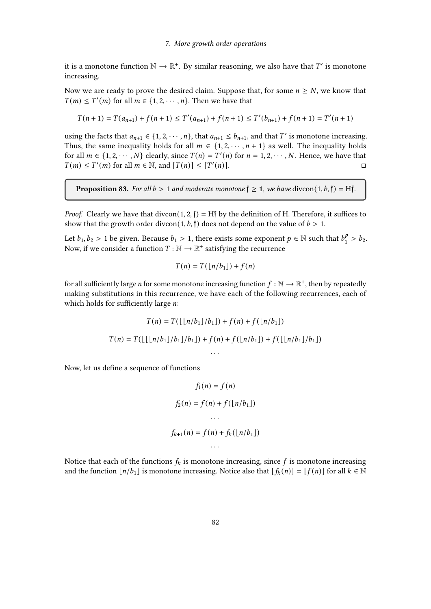it is a monotone function  $\mathbb{N} \to \mathbb{R}^+$ . By similar reasoning, we also have that  $T'$  is monotone increasing.

Now we are ready to prove the desired claim. Suppose that, for some  $n \geq N$ , we know that  $T(m) \leq T'(m)$  for all  $m \in \{1, 2, \dots, n\}$ . Then we have that

$$
T(n+1) = T(a_{n+1}) + f(n+1) \le T'(a_{n+1}) + f(n+1) \le T'(b_{n+1}) + f(n+1) = T'(n+1)
$$

using the facts that  $a_{n+1} \in \{1, 2, \dots, n\}$ , that  $a_{n+1} \le b_{n+1}$ , and that T' is monotone increasing. Thus, the same inequality holds for all  $m \in \{1, 2, \dots, n+1\}$  as well. The inequality holds for all  $m \in \{1, 2, \dots, N\}$  clearly, since  $T(n) = T'(n)$  for  $n = 1, 2, \dots, N$ . Hence, we have that  $T(m) \leq T'(m)$  for all  $m \in \mathbb{N}$ , and  $[T(n)] \leq [T']$  $\Box$ 

**Proposition 83.** For all  $b > 1$  and moderate monotone  $\mathbf{\tilde{y}} \geq 1$ , we have divcon $(1, b, \mathbf{\tilde{y}}) = H\mathbf{\tilde{f}}$ .

*Proof.* Clearly we have that divcon(1, 2, f) = Hf by the definition of H. Therefore, it suffices to show that the growth order divcon(1, b, f) does not depend on the value of  $b > 1$ .

Let  $b_1, b_2 > 1$  be given. Because  $b_1 > 1$ , there exists some exponent  $p \in \mathbb{N}$  such that  $b_1^p$  $_{1}^{p} > b_{2}.$ Now, if we consider a function  $T : \mathbb{N} \to \mathbb{R}^+$  satisfying the recurrence

$$
T(n) = T(\lfloor n/b_1 \rfloor) + f(n)
$$

for all sufficiently large  $n$  for some monotone increasing function  $f : \mathbb{N} \to \mathbb{R}^+$ , then by repeatedly making substitutions in this recurrence, we have each of the following recurrences, each of which holds for sufficiently large  $n$ :

$$
T(n) = T(\lfloor \lfloor n/b_1 \rfloor / b_1 \rfloor) + f(n) + f(\lfloor n/b_1 \rfloor)
$$

$$
T(n) = T(\lfloor \lfloor n/b_1 \rfloor / b_1 \rfloor / b_1 \rfloor) + f(n) + f(\lfloor n/b_1 \rfloor) + f(\lfloor \lfloor n/b_1 \rfloor / b_1 \rfloor)
$$

Now, let us define a sequence of functions

$$
f_1(n) = f(n)
$$
  

$$
f_2(n) = f(n) + f(\lfloor n/b_1 \rfloor)
$$
  
...  

$$
f_{k+1}(n) = f(n) + f_k(\lfloor n/b_1 \rfloor)
$$
  
...

Notice that each of the functions  $f_k$  is monotone increasing, since  $f$  is monotone increasing and the function  $\lfloor n/b_1 \rfloor$  is monotone increasing. Notice also that  $[f_k(n)] = [f(n)]$  for all  $k \in \mathbb{N}$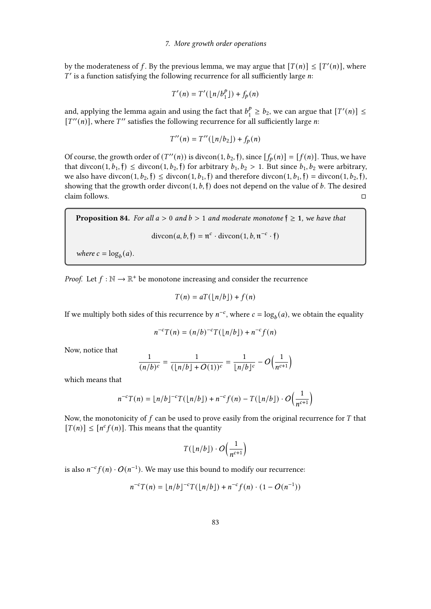by the moderateness of f. By the previous lemma, we may argue that  $[T(n)] \leq [T'(n)]$ , where  $T'$  is a function satisfying the following recurrence for all sufficiently large n:

$$
T'(n) = T'(\lfloor n/b_1^p \rfloor) + f_p(n)
$$

and, applying the lemma again and using the fact that  $b_1^p$  $\frac{p}{1} \ge b_2$ , we can argue that  $[T'(n)] \le$  $[T''(n)]$ , where  $T''$  satisfies the following recurrence for all sufficiently large n:

$$
T''(n) = T''(\lfloor n/b_2 \rfloor) + f_p(n)
$$

Of course, the growth order of  $(T''(n))$  is divcon(1,  $b_2$ , f), since  $[f_p(n)] = [f(n)]$ . Thus, we have that divcon(1,  $b_1$ , f)  $\leq$  divcon(1,  $b_2$ , f) for arbitrary  $b_1$ ,  $b_2 > 1$ . But since  $b_1$ ,  $b_2$  were arbitrary, we also have divcon(1,  $b_2$ ,  $\mathfrak{f}$ )  $\leq$  divcon(1,  $b_1$ ,  $\mathfrak{f}$ ) and therefore divcon(1,  $b_1$ ,  $\mathfrak{f}$ ) = divcon(1,  $b_2$ ,  $\mathfrak{f}$ ), showing that the growth order divcon(1,  $b$ ,  $\uparrow$ ) does not depend on the value of  $b$ . The desired  $\Box$ claim follows.

**Proposition 84.** For all  $a > 0$  and  $b > 1$  and moderate monotone  $\mathfrak{f} \geq 1$ , we have that

 $\text{divcon}(a, b, \mathfrak{f}) = \mathfrak{n}^c \cdot \text{divcon}(1, b, \mathfrak{n}^{-c} \cdot \mathfrak{f})$ 

where  $c = \log_b(a)$ .

*Proof.* Let  $f : \mathbb{N} \to \mathbb{R}^+$  be monotone increasing and consider the recurrence

$$
T(n) = aT(\lfloor n/b \rfloor) + f(n)
$$

If we multiply both sides of this recurrence by  $n^{-c}$ , where  $c = \log_b(a)$ , we obtain the equality

$$
n^{-c}T(n) = (n/b)^{-c}T(\lfloor n/b \rfloor) + n^{-c}f(n)
$$

Now, notice that

$$
\frac{1}{(n/b)^c} = \frac{1}{(\lfloor n/b \rfloor + O(1))^c} = \frac{1}{\lfloor n/b \rfloor^c} - O\Big(\frac{1}{n^{c+1}}\Big)
$$

which means that

$$
n^{-c}T(n) = \lfloor n/b \rfloor^{-c}T(\lfloor n/b \rfloor) + n^{-c}f(n) - T(\lfloor n/b \rfloor) \cdot O\Big(\frac{1}{n^{c+1}}\Big)
$$

Now, the monotonicity of  $f$  can be used to prove easily from the original recurrence for  $T$  that  $[T(n)] \leq [n^c f(n)]$ . This means that the quantity

$$
T(\lfloor n/b \rfloor) \cdot O\Big(\frac{1}{n^{c+1}}\Big)
$$

is also  $n^{-c} f(n) \cdot O(n^{-1})$ . We may use this bound to modify our recurrence:

$$
n^{-c}T(n) = \lfloor n/b \rfloor^{-c}T(\lfloor n/b \rfloor) + n^{-c}f(n) \cdot (1 - O(n^{-1}))
$$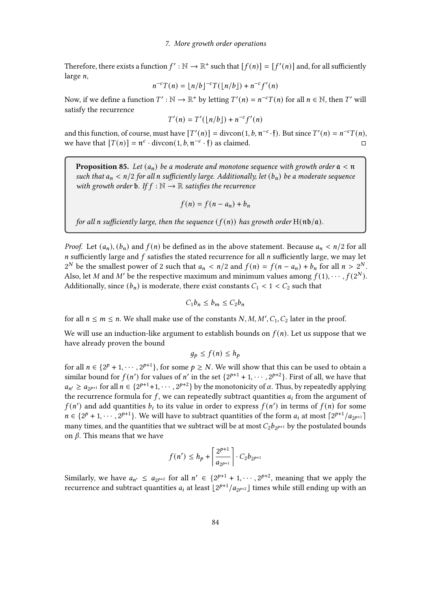Therefore, there exists a function  $f': \mathbb{N} \to \mathbb{R}^+$  such that  $[f(n)] = [f'(n)]$  and, for all sufficiently large  $n$ ,

$$
n^{-c}T(n) = \lfloor n/b \rfloor^{-c}T(\lfloor n/b \rfloor) + n^{-c}f'(n)
$$

Now, if we define a function  $T': \mathbb{N} \to \mathbb{R}^+$  by letting  $T'(n) = n^{-c}T(n)$  for all  $n \in \mathbb{N}$ , then T' will satisfy the recurrence

$$
T'(n) = T'(\lfloor n/b \rfloor) + n^{-c}f'(n)
$$

and this function, of course, must have  $[T'(n)] = \text{divcon}(1, b, \pi^{-c} \cdot \mathfrak{f})$ . But since  $T'(n) = n^{-c}T(n)$ , we have that  $[T(n)] = \pi^c \cdot \text{divcon}(1, b, \pi^{-c} \cdot \mathfrak{f})$  as claimed.

**Proposition 85.** Let  $(a_n)$  be a moderate and monotone sequence with growth order  $a < n$ such that  $a_n < n/2$  for all n sufficiently large. Additionally, let  $(b_n)$  be a moderate sequence with growth order **b**. If  $f : \mathbb{N} \to \mathbb{R}$  satisfies the recurrence

$$
f(n) = f(n - a_n) + b_n
$$

for all n sufficiently large, then the sequence  $(f(n))$  has growth order  $H(n\mathfrak{b}/\mathfrak{a})$ .

*Proof.* Let  $(a_n)$ ,  $(b_n)$  and  $f(n)$  be defined as in the above statement. Because  $a_n < n/2$  for all  $n$  sufficiently large and  $f$  satisfies the stated recurrence for all  $n$  sufficiently large, we may let  $2^N$  be the smallest power of 2 such that  $a_n < n/2$  and  $f(n) = f(n - a_n) + b_n$  for all  $n > 2^N$ . Also, let M and M' be the respective maximum and minimum values among  $f(1), \cdots, f(2^N)$ . Additionally, since  $(b_n)$  is moderate, there exist constants  $C_1 < 1 < C_2$  such that

$$
C_1 b_n \le b_m \le C_2 b_n
$$

for all  $n \le m \le n$ . We shall make use of the constants  $N, M, M', C_1, C_2$  later in the proof.

We will use an induction-like argument to establish bounds on  $f(n)$ . Let us suppose that we have already proven the bound

$$
g_p \le f(n) \le h_p
$$

for all  $n \in \{2^p + 1, \dots, 2^{p+1}\},$  for some  $p \ge N$ . We will show that this can be used to obtain a similar bound for  $f(n')$  for values of n' in the set  $\{2^{p+1} + 1, \dots, 2^{p+2}\}\$ . First of all, we have that  $a_{n'} \ge a_{2^{p+1}}$  for all  $n \in \{2^{p+1}+1, \cdots, 2^{p+2}\}\$  by the monotonicity of  $\alpha$ . Thus, by repeatedly applying the recurrence formula for  $f$ , we can repeatedly subtract quantities  $a_i$  from the argument of  $f(n')$  and add quantities  $b_i$  to its value in order to express  $f(n')$  in terms of  $f(n)$  for some  $n \in \{2^p + 1, \dots, 2^{p+1}\}\.$  We will have to subtract quantities of the form  $a_i$  at most  $\lceil 2^{p+1}/a_{2^{p+1}} \rceil$ many times, and the quantities that we subtract will be at most  $C_2b_{2^{p+1}}$  by the postulated bounds on  $\beta$ . This means that we have

$$
f(n') \le h_p + \left\lceil \frac{2^{p+1}}{a_{2^{p+1}}} \right\rceil \cdot C_2 b_{2^{p+1}}
$$

Similarly, we have  $a_{n'} \le a_{2^{p+2}}$  for all  $n' \in \{2^{p+1}+1,\dots,2^{p+2}\}$ , meaning that we apply the recurrence and subtract quantities  $a_i$  at least  $\lfloor 2^{p+1}/a_{2^{p+2}} \rfloor$  times while still ending up with an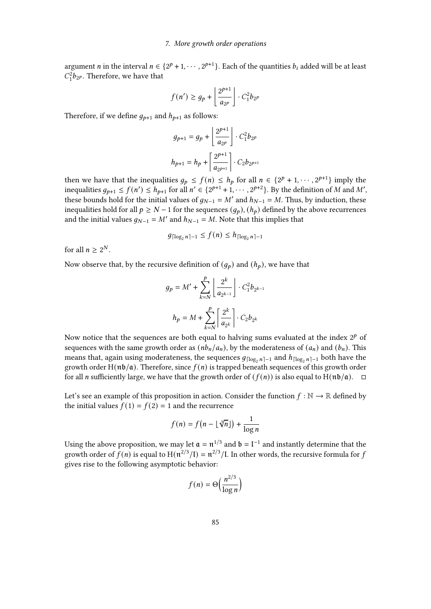argument *n* in the interval  $n \in \{2^p + 1, \cdots, 2^{p+1}\}$ . Each of the quantities  $b_i$  added will be at least  $C_1^2b_{2}$ . Therefore, we have that

$$
f(n') \ge g_p + \left\lfloor \frac{2^{p+1}}{a_{2^p}} \right\rfloor \cdot C_1^2 b_{2^p}
$$

Therefore, if we define  $q_{p+1}$  and  $h_{p+1}$  as follows:

$$
\begin{aligned} g_{p+1} &= g_p + \left\lfloor \frac{2^{p+1}}{a_{2^p}} \right\rfloor \cdot C_1^2 b_{2^p} \\ h_{p+1} &= h_p + \left\lceil \frac{2^{p+1}}{a_{2^{p+1}}} \right\rceil \cdot C_2 b_{2^{p+1}} \end{aligned}
$$

then we have that the inequalities  $g_p \le f(n) \le h_p$  for all  $n \in \{2^p + 1, \dots, 2^{p+1}\}\$ imply the inequalities  $g_{p+1} \le f(n') \le h_{p+1}$  for all  $n' \in \{2^{p+1}+1,\cdots,2^{p+2}\}\.$  By the definition of M and M', these bounds hold for the initial values of  $g_{N-1} = M'$  and  $h_{N-1} = M$ . Thus, by induction, these inequalities hold for all  $p \ge N - 1$  for the sequences  $(q_p)$ ,  $(h_p)$  defined by the above recurrences and the initial values  $g_{N-1} = M'$  and  $h_{N-1} = M$ . Note that this implies that

$$
g_{\lceil \log_2 n \rceil - 1} \le f(n) \le h_{\lceil \log_2 n \rceil - 1}
$$

for all  $n \geq 2^N$ .

Now observe that, by the recursive definition of  $(g_p)$  and  $(h_p)$ , we have that

$$
g_p = M' + \sum_{k=N}^p \left\lfloor \frac{2^k}{a_{2^{k-1}}} \right\rfloor \cdot C_1^2 b_{2^{k-1}}
$$

$$
h_p = M + \sum_{k=N}^p \left\lceil \frac{2^k}{a_{2^k}} \right\rceil \cdot C_2 b_{2^k}
$$

Now notice that the sequences are both equal to halving sums evaluated at the index  $2^p$  of sequences with the same growth order as  $(nb_n/a_n)$ , by the moderateness of  $(a_n)$  and  $(b_n)$ . This means that, again using moderateness, the sequences  $g_{\lceil \log_2 n \rceil - 1}$  and  $h_{\lceil \log_2 n \rceil - 1}$  both have the growth order H( $n\phi/a$ ). Therefore, since  $f(n)$  is trapped beneath sequences of this growth order for all *n* sufficiently large, we have that the growth order of  $(f(n))$  is also equal to H( $n\mathfrak{b}/\mathfrak{a}$ ).  $\Box$ 

Let's see an example of this proposition in action. Consider the function  $f : \mathbb{N} \to \mathbb{R}$  defined by the initial values  $f(1) = f(2) = 1$  and the recurrence

$$
f(n) = f\left(n - \lfloor \sqrt[3]{n} \rfloor\right) + \frac{1}{\log n}
$$

Using the above proposition, we may let  $\mathfrak{a} = \mathfrak{n}^{1/3}$  and  $\mathfrak{b} = \mathfrak{l}^{-1}$  and instantly determine that the growth order of  $f(n)$  is equal to  $H(n^{2/3}/I) = n^{2/3}/I$ . In other words, the recursive formula for j gives rise to the following asymptotic behavior:

$$
f(n) = \Theta\left(\frac{n^{2/3}}{\log n}\right)
$$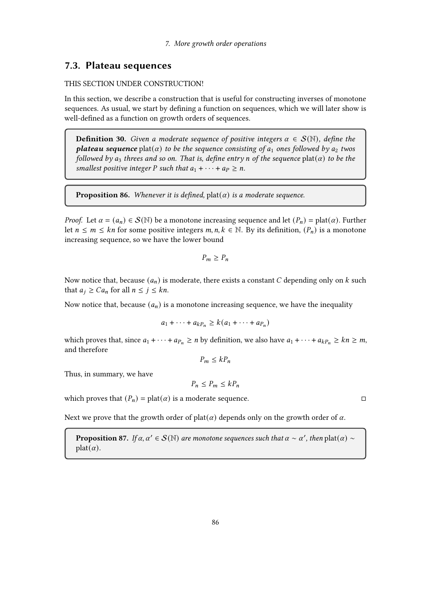## 7.3. Plateau sequences

#### THIS SECTION UNDER CONSTRUCTION!

In this section, we describe a construction that is useful for constructing inverses of monotone sequences. As usual, we start by defining a function on sequences, which we will later show is well-defined as a function on growth orders of sequences.

**Definition 30.** Given a moderate sequence of positive integers  $\alpha \in S(\mathbb{N})$ , define the **plateau sequence** plat( $\alpha$ ) to be the sequence consisting of  $a_1$  ones followed by  $a_2$  twos followed by  $a_3$  threes and so on. That is, define entry n of the sequence plat( $\alpha$ ) to be the smallest positive integer P such that  $a_1 + \cdots + a_P \ge n$ .

**Proposition 86.** Whenever it is defined, plat( $\alpha$ ) is a moderate sequence.

*Proof.* Let  $\alpha = (a_n) \in S(\mathbb{N})$  be a monotone increasing sequence and let  $(P_n) = \text{plat}(\alpha)$ . Further let  $n \leq m \leq kn$  for some positive integers  $m, n, k \in \mathbb{N}$ . By its definition,  $(P_n)$  is a monotone increasing sequence, so we have the lower bound

$$
P_m \ge P_n
$$

Now notice that, because  $(a_n)$  is moderate, there exists a constant C depending only on  $k$  such that  $a_i \geq Ca_n$  for all  $n \leq j \leq kn$ .

Now notice that, because  $(a_n)$  is a monotone increasing sequence, we have the inequality

$$
a_1 + \cdots + a_{kP_n} \geq k(a_1 + \cdots + a_{P_n})
$$

which proves that, since  $a_1 + \cdots + a_{P_n} \ge n$  by definition, we also have  $a_1 + \cdots + a_{kP_n} \ge kn \ge m$ , and therefore

 $P_m \leq k P_n$ 

Thus, in summary, we have

$$
P_n \le P_m \le kP_n
$$

which proves that  $(P_n) = \text{plat}(\alpha)$  is a moderate sequence.

Next we prove that the growth order of plat( $\alpha$ ) depends only on the growth order of  $\alpha$ .

**Proposition 87.** If  $\alpha, \alpha' \in \mathcal{S}(\mathbb{N})$  are monotone sequences such that  $\alpha \sim \alpha'$ , then  $\text{plat}(\alpha) \sim$  $plat(\alpha)$ .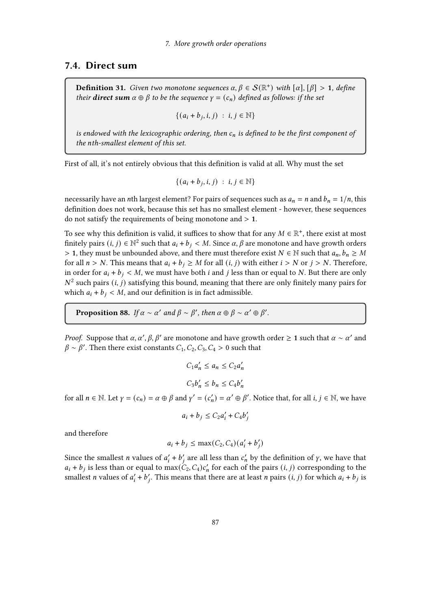### 7.4. Direct sum

**Definition 31.** Given two monotone sequences  $\alpha, \beta \in \mathcal{S}(\mathbb{R}^+)$  with  $[\alpha], [\beta] > 1$ , define their **direct sum**  $\alpha \oplus \beta$  to be the sequence  $\gamma = (c_n)$  defined as follows: if the set

$$
\{(a_i+b_j,i,j)\;:\;i,j\in\mathbb{N}\}\
$$

is endowed with the lexicographic ordering, then  $c_n$  is defined to be the first component of the nth-smallest element of this set.

First of all, it's not entirely obvious that this denition is valid at all. Why must the set

$$
\{(a_i+b_j,i,j)\;:\;i,j\in\mathbb{N}\}\
$$

necessarily have an *n*th largest element? For pairs of sequences such as  $a_n = n$  and  $b_n = 1/n$ , this definition does not work, because this set has no smallest element - however, these sequences do not satisfy the requirements of being monotone and  $> 1$ .

To see why this definition is valid, it suffices to show that for any  $M \in \mathbb{R}^+$ , there exist at most finitely pairs  $(i, j) \in \mathbb{N}^2$  such that  $a_i + b_j < M$ . Since  $\alpha, \beta$  are monotone and have growth orders > 1, they must be unbounded above, and there must therefore exist  $N \in \mathbb{N}$  such that  $a_n, b_n \geq M$ for all  $n > N$ . This means that  $a_i + b_j \geq M$  for all  $(i, j)$  with either  $i > N$  or  $j > N$ . Therefore, in order for  $a_i + b_j < M$ , we must have both *i* and *j* less than or equal to *N*. But there are only  $N^2$  such pairs  $(i, j)$  satisfying this bound, meaning that there are only finitely many pairs for which  $a_i + b_j < M$ , and our definition is in fact admissible.

**Proposition 88.** If  $\alpha \sim \alpha'$  and  $\beta \sim \beta'$ , then  $\alpha \oplus \beta \sim \alpha' \oplus \beta'$ .

*Proof.* Suppose that  $\alpha$ ,  $\alpha'$ ,  $\beta$ ,  $\beta'$  are monotone and have growth order  $\geq 1$  such that  $\alpha \sim \alpha'$  and  $\beta \sim \beta'$ . Then there exist constants  $C_1, C_2, C_3, C_4 > 0$  such that

$$
C_1 a'_n \le a_n \le C_2 a'_n
$$
  

$$
C_3 b'_n \le b_n \le C_4 b'_n
$$

for all  $n \in \mathbb{N}$ . Let  $\gamma = (c_n) = \alpha \oplus \beta$  and  $\gamma' = (c'_n) = \alpha' \oplus \beta'$ . Notice that, for all  $i, j \in \mathbb{N}$ , we have

$$
a_i + b_j \le C_2 a'_i + C_4 b'_j
$$

and therefore

$$
a_i + b_j \le \max(C_2, C_4)(a'_i + b'_j)
$$

Since the smallest *n* values of  $a'_i + b'_j$  are all less than  $c'_n$  by the definition of *y*, we have that  $a_i + b_j$  is less than or equal to  $\max(C_2, C_4)c'_n$  for each of the pairs  $(i, j)$  corresponding to the smallest *n* values of  $a'_i + b'_i$ . This means that there are at least *n* pairs  $(i, j)$  for which  $a_i + b_j$  is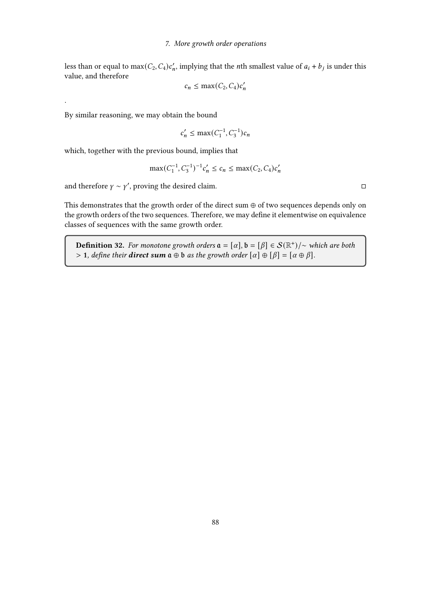less than or equal to  $max(C_2, C_4)c'_n$ , implying that the *n*th smallest value of  $a_i + b_j$  is under this value, and therefore

$$
c_n \le \max(C_2, C_4)c'_n
$$

By similar reasoning, we may obtain the bound

.

$$
c'_n \le \max(C_1^{-1}, C_3^{-1})c_n
$$

which, together with the previous bound, implies that

$$
\max(C_1^{-1}, C_3^{-1})^{-1}c'_n \le c_n \le \max(C_2, C_4)c'_n
$$

and therefore  $\gamma \sim \gamma'$ , proving the desired claim.

This demonstrates that the growth order of the direct sum ⊕ of two sequences depends only on the growth orders of the two sequences. Therefore, we may define it elementwise on equivalence classes of sequences with the same growth order.

**Definition 32.** For monotone growth orders  $\mathfrak{a} = [\alpha], \mathfrak{b} = [\beta] \in \mathcal{S}(\mathbb{R}^+) / \sim$  which are both > 1, define their **direct sum**  $a \oplus b$  as the growth order  $[\alpha] \oplus [\beta] = [\alpha \oplus \beta]$ .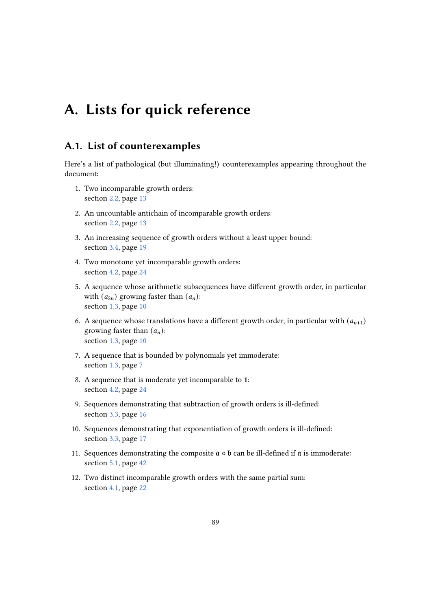# A. Lists for quick reference

## A.1. List of counterexamples

Here's a list of pathological (but illuminating!) counterexamples appearing throughout the document:

- 1. Two incomparable growth orders: section [2.2,](#page-12-0) page [13](#page-12-0)
- 2. An uncountable antichain of incomparable growth orders: section [2.2,](#page-12-1) page [13](#page-12-1)
- 3. An increasing sequence of growth orders without a least upper bound: section [3.4,](#page-17-0) page [19](#page-17-0)
- 4. Two monotone yet incomparable growth orders: section [4.2,](#page-23-0) page [24](#page-23-0)
- 5. A sequence whose arithmetic subsequences have different growth order, in particular with  $(a_{2n})$  growing faster than  $(a_n)$ : section [1.3,](#page-9-0) page [10](#page-9-0)
- 6. A sequence whose translations have a different growth order, in particular with  $(a_{n+1})$ growing faster than  $(a_n)$ : section [1.3,](#page-9-0) page [10](#page-9-0)
- 7. A sequence that is bounded by polynomials yet immoderate: section [1.3,](#page-6-0) page [7](#page-6-0)
- 8. A sequence that is moderate yet incomparable to 1: section [4.2,](#page-23-0) page [24](#page-23-0)
- 9. Sequences demonstrating that subtraction of growth orders is ill-defined: section [3.3,](#page-15-0) page [16](#page-15-0)
- 10. Sequences demonstrating that exponentiation of growth orders is ill-defined: section [3.3,](#page-15-0) page [17](#page-15-0)
- 11. Sequences demonstrating the composite  $a \circ b$  can be ill-defined if  $a$  is immoderate: section [5.1,](#page-41-0) page [42](#page-41-0)
- 12. Two distinct incomparable growth orders with the same partial sum: section [4.1,](#page-21-0) page [22](#page-21-0)